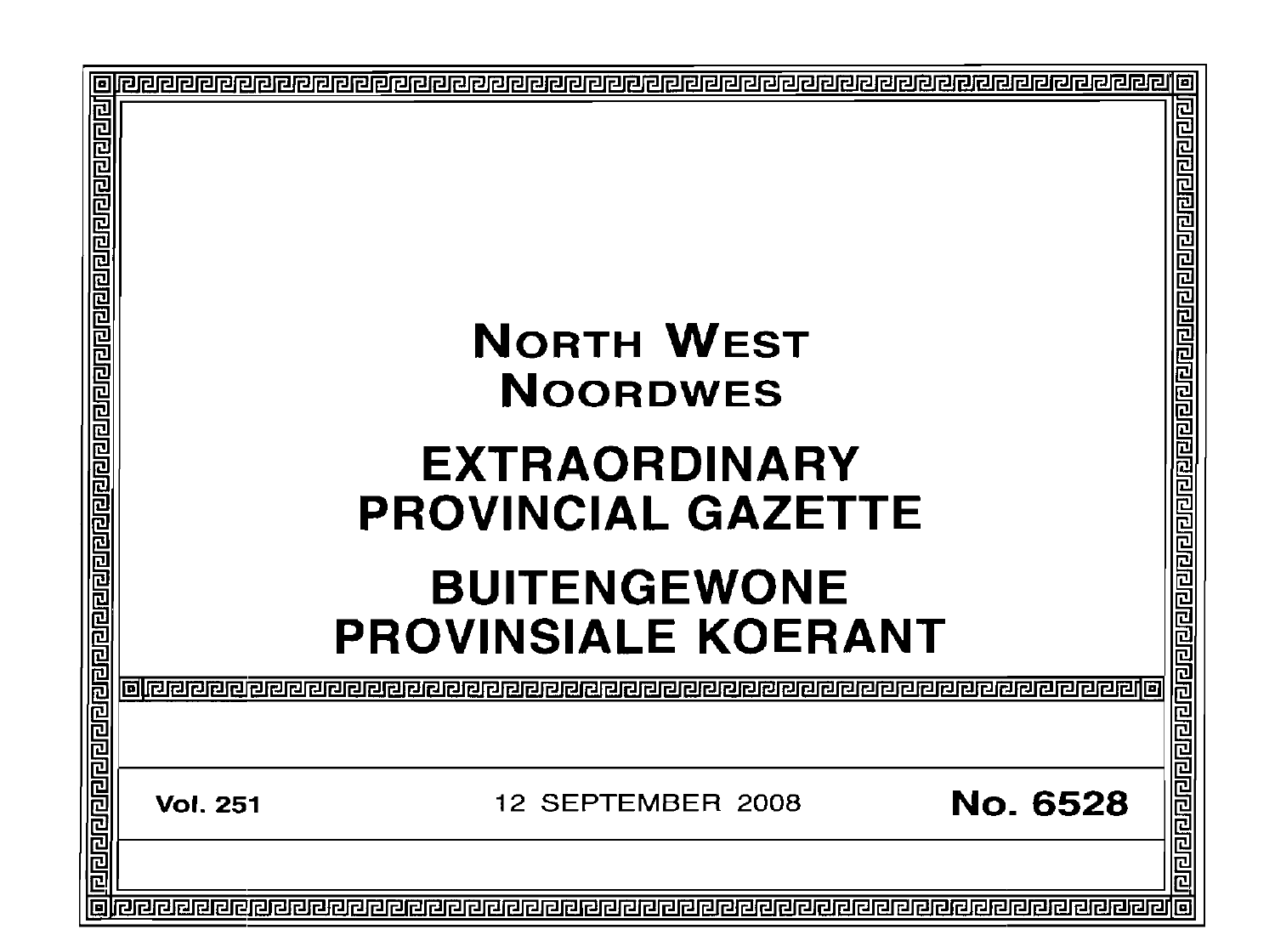|                                                                                                                  |                                                   | 10                        |
|------------------------------------------------------------------------------------------------------------------|---------------------------------------------------|---------------------------|
| <u>बाँग्वरागवाग्वागवाग्वान्न स्थायाग्वाग्वाग्वाग्वाग्वाग्वाग्वाग्वाग्वाण्डाण्वाग्वाग्वाग्वाग्वाग्वाग्वाग्वाण</u> |                                                   | 리민리리리리 리티리티리리티리티리리리리리리리리리 |
|                                                                                                                  | <b>NORTH WEST</b><br><b>NOORDWES</b>              |                           |
|                                                                                                                  | <b>EXTRAORDINARY</b><br><b>PROVINCIAL GAZETTE</b> |                           |
|                                                                                                                  | <b>BUITENGEWONE</b><br><b>PROVINSIALE KOERANT</b> | 202020                    |
|                                                                                                                  |                                                   |                           |
|                                                                                                                  | No. 6528<br>12 SEPTEMBER 2008<br><b>Vol. 251</b>  | <u>नागनगणनान</u>          |
|                                                                                                                  |                                                   |                           |
|                                                                                                                  |                                                   |                           |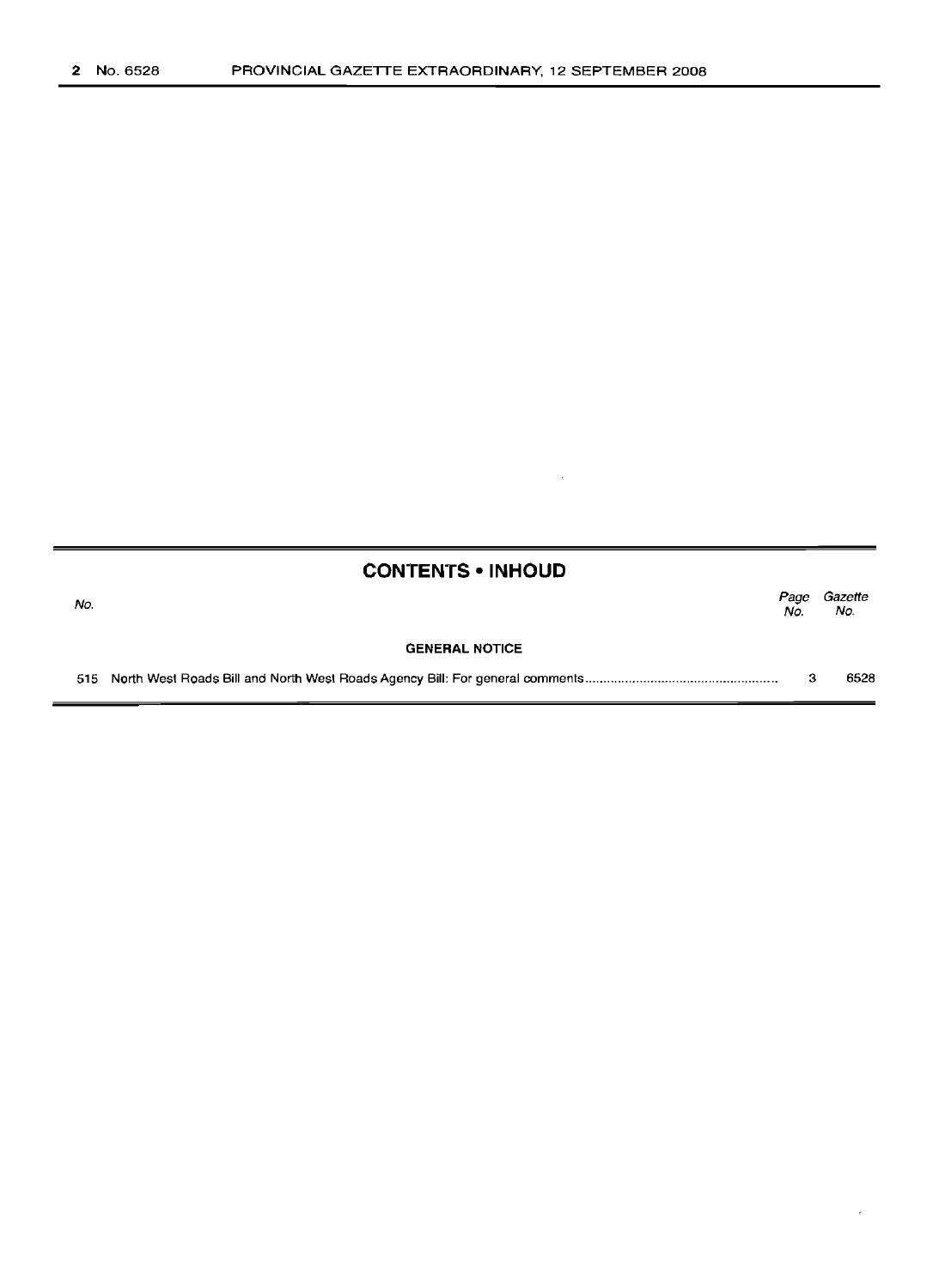| <b>CONTENTS • INHOUD</b> |  |     |                     |  |  |  |
|--------------------------|--|-----|---------------------|--|--|--|
| No.                      |  | No. | Page Gazette<br>No. |  |  |  |
| <b>GENERAL NOTICE</b>    |  |     |                     |  |  |  |
|                          |  |     | 6528                |  |  |  |

 $\sim 6\%$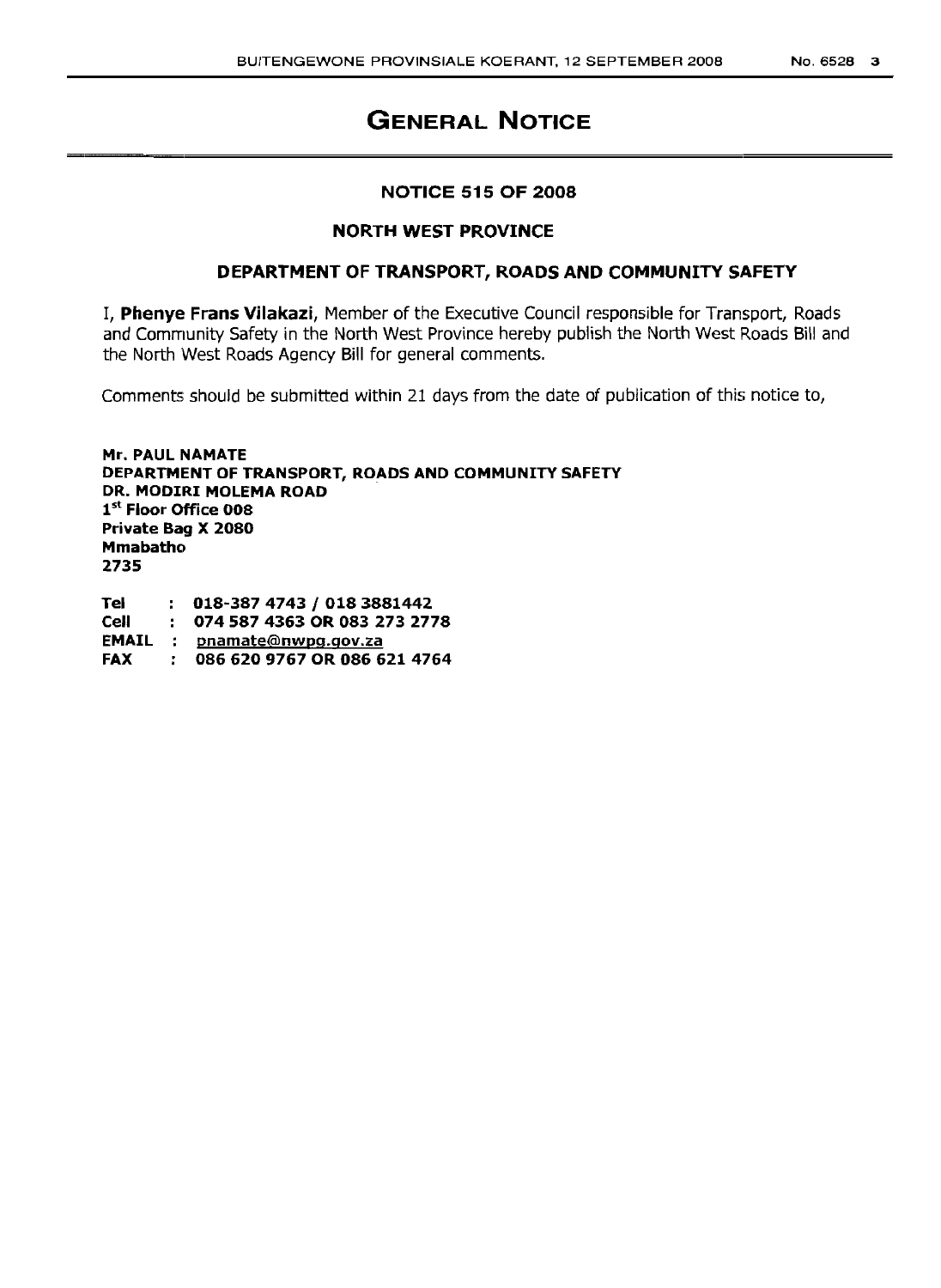#### **NOTICE 515 OF 2008**

#### **NORTH WEST PROVINCE**

#### **DEPARTMENT OF TRANSPORT, ROADS AND COMMUNITY SAFETY**

I, **Phenye Frans Vilakazi,** Member of the Executive Council responsible for Transport, Roads and Community Safety in the North West Province hereby publish the North West Roads Bill and the North West Roads Agency Bill for general comments.

Comments should be submitted within 21 days from the date of publication of this notice to,

**Mr. PAUL NAMATE DEPARTMENT OF TRANSPORT, ROADS AND COMMUNITY SAFETY DR. MODIRI MOLEMA ROAD** 1st **Floor Office 008 Private Bag X 2080 Mmabatho 2735**

**Tel Cell EMAIL** pnamate@nwpg.gov.za **FAX** *018-3874743* **I 0183881442 074 587 4363 OR 083 273 2778 086 620 9767 OR 086 621 4764**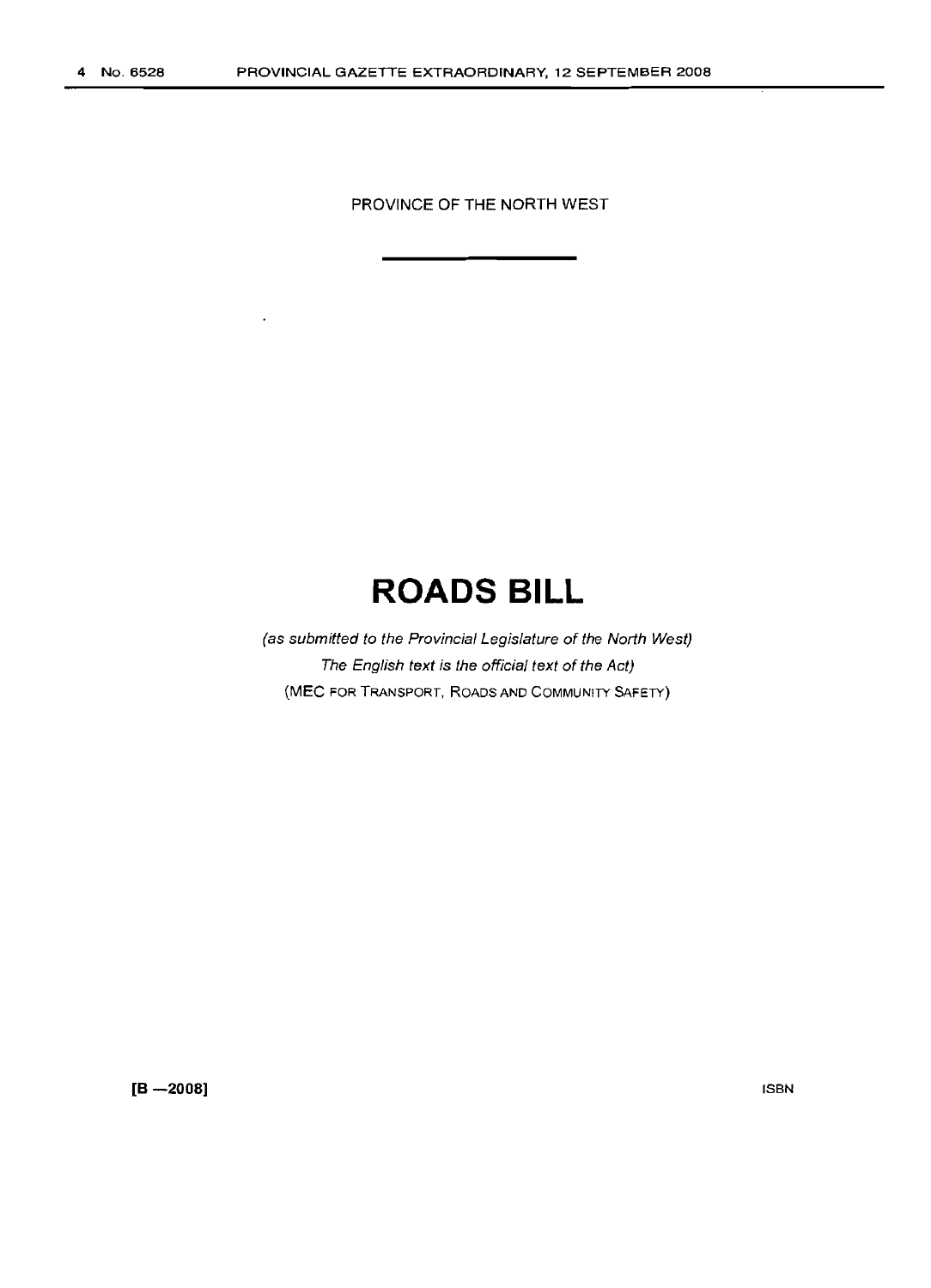PROVINCE OF THE NORTH WEST

## **ROADS BILL**

(as submitted to the Provincial Legislature of the North West) The English text is the official text of the Act) (MEC FOR TRANSPORT, ROADS AND COMMUNITY SAFETY)

**[8 -2008]**

ISBN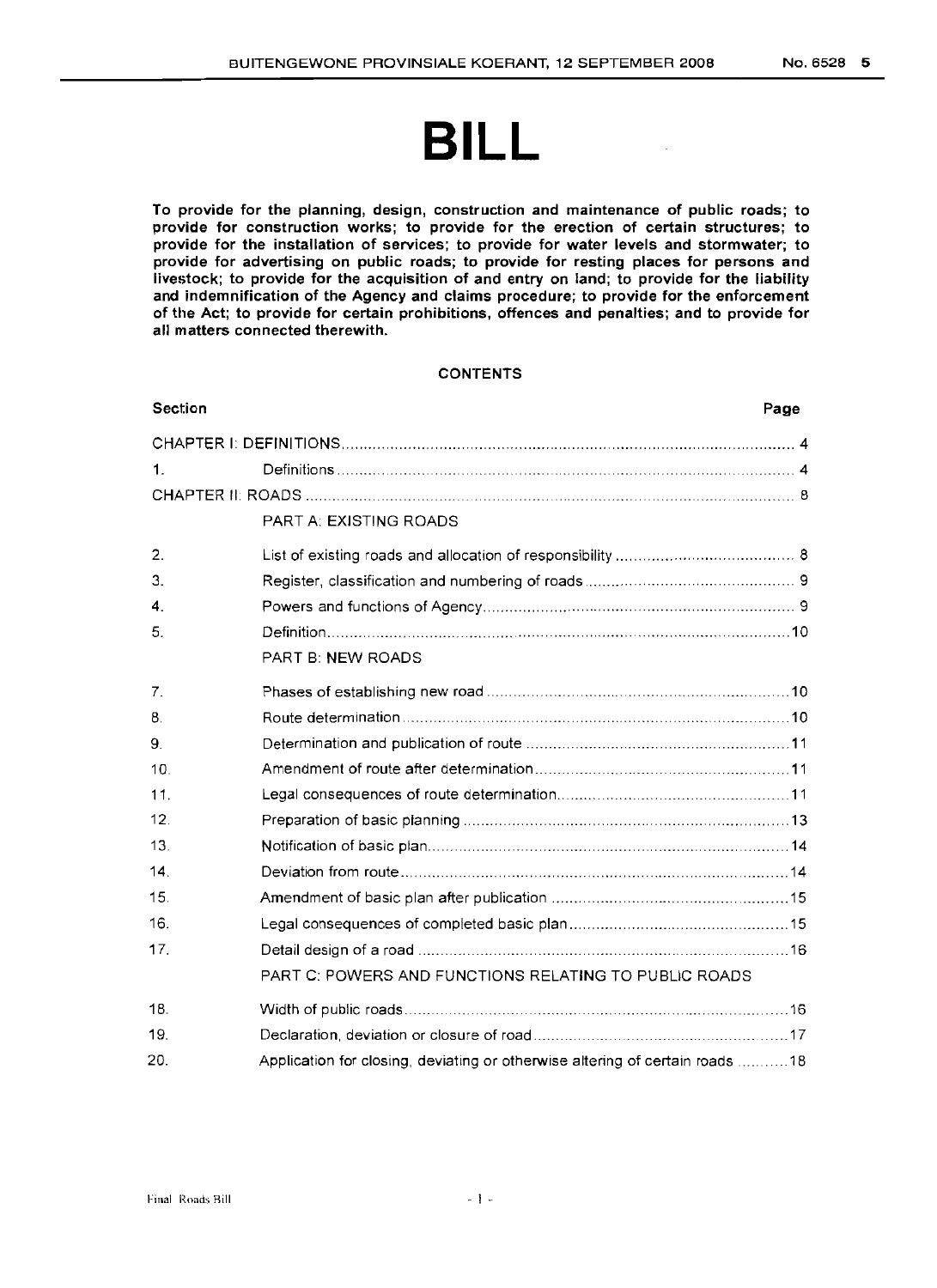# **BILL**

To provide for the planning, design, construction and maintenance of public roads; to provide for construction works; to provide for the erection of certain structures; to provide for the installation of services; to provide for water levels and stormwater; to provide for advertising on public roads; to provide for resting places for persons and livestock; to provide for the acquisition of and entry on land; to provide for the liability and indemnification of the Agency and claims procedure; to provide for the enforcement of the Act; to provide for certain prohibitions, offences and penalties; and to provide for all matters connected therewith.

#### **CONTENTS**

| <b>Section</b>  | Page                                                                         |  |  |  |  |  |  |
|-----------------|------------------------------------------------------------------------------|--|--|--|--|--|--|
|                 |                                                                              |  |  |  |  |  |  |
| 1.              |                                                                              |  |  |  |  |  |  |
|                 |                                                                              |  |  |  |  |  |  |
|                 | <b>PART A: EXISTING ROADS</b>                                                |  |  |  |  |  |  |
| 2.              |                                                                              |  |  |  |  |  |  |
| 3.              |                                                                              |  |  |  |  |  |  |
| 4.              |                                                                              |  |  |  |  |  |  |
| 5.              |                                                                              |  |  |  |  |  |  |
|                 | <b>PART B: NEW ROADS</b>                                                     |  |  |  |  |  |  |
| 7.              |                                                                              |  |  |  |  |  |  |
| 8.              |                                                                              |  |  |  |  |  |  |
| 9.              |                                                                              |  |  |  |  |  |  |
| 10.             |                                                                              |  |  |  |  |  |  |
| 11.             |                                                                              |  |  |  |  |  |  |
| 12 <sub>1</sub> |                                                                              |  |  |  |  |  |  |
| 13.             |                                                                              |  |  |  |  |  |  |
| 14.             |                                                                              |  |  |  |  |  |  |
| 15.             |                                                                              |  |  |  |  |  |  |
| 16.             |                                                                              |  |  |  |  |  |  |
| 17.             |                                                                              |  |  |  |  |  |  |
|                 | PART C: POWERS AND FUNCTIONS RELATING TO PUBLIC ROADS                        |  |  |  |  |  |  |
| 18.             |                                                                              |  |  |  |  |  |  |
| 19.             |                                                                              |  |  |  |  |  |  |
| 20.             | Application for closing, deviating or otherwise altering of certain roads 18 |  |  |  |  |  |  |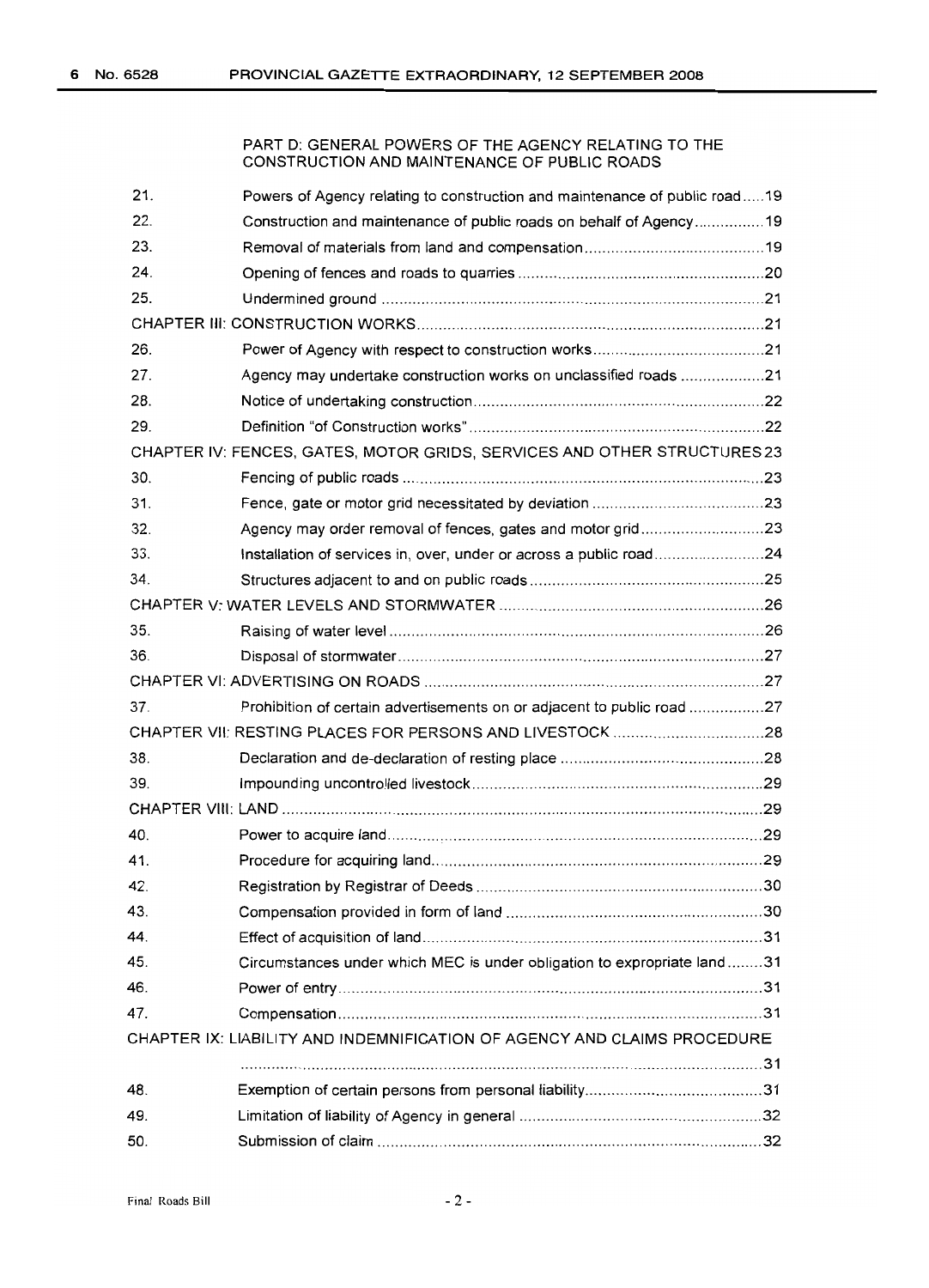#### PART D: GENERAL POWERS OF THE AGENCY RELATING TO THE CONSTRUCTION AND MAINTENANCE OF PUBLIC ROADS

| 21. | Powers of Agency relating to construction and maintenance of public road19 |  |
|-----|----------------------------------------------------------------------------|--|
| 22. | Construction and maintenance of public roads on behalf of Agency19         |  |
| 23. |                                                                            |  |
| 24. |                                                                            |  |
| 25. |                                                                            |  |
|     |                                                                            |  |
| 26. |                                                                            |  |
| 27. | Agency may undertake construction works on unclassified roads 21           |  |
| 28. |                                                                            |  |
| 29. |                                                                            |  |
|     | CHAPTER IV: FENCES, GATES, MOTOR GRIDS, SERVICES AND OTHER STRUCTURES 23   |  |
| 30. |                                                                            |  |
| 31. |                                                                            |  |
| 32. | Agency may order removal of fences, gates and motor grid23                 |  |
| 33. | Installation of services in, over, under or across a public road24         |  |
| 34. |                                                                            |  |
|     |                                                                            |  |
| 35. |                                                                            |  |
| 36. |                                                                            |  |
|     |                                                                            |  |
| 37. | Prohibition of certain advertisements on or adjacent to public road 27     |  |
|     |                                                                            |  |
| 38. |                                                                            |  |
| 39. |                                                                            |  |
|     |                                                                            |  |
| 40. |                                                                            |  |
| 41. |                                                                            |  |
| 42. |                                                                            |  |
| 43. |                                                                            |  |
| 44. |                                                                            |  |
| 45. | Circumstances under which MEC is under obligation to expropriate land31    |  |
| 46. |                                                                            |  |
| 47. |                                                                            |  |
|     | CHAPTER IX: LIABILITY AND INDEMNIFICATION OF AGENCY AND CLAIMS PROCEDURE   |  |
|     |                                                                            |  |
| 48. |                                                                            |  |
| 49. |                                                                            |  |
| 50. |                                                                            |  |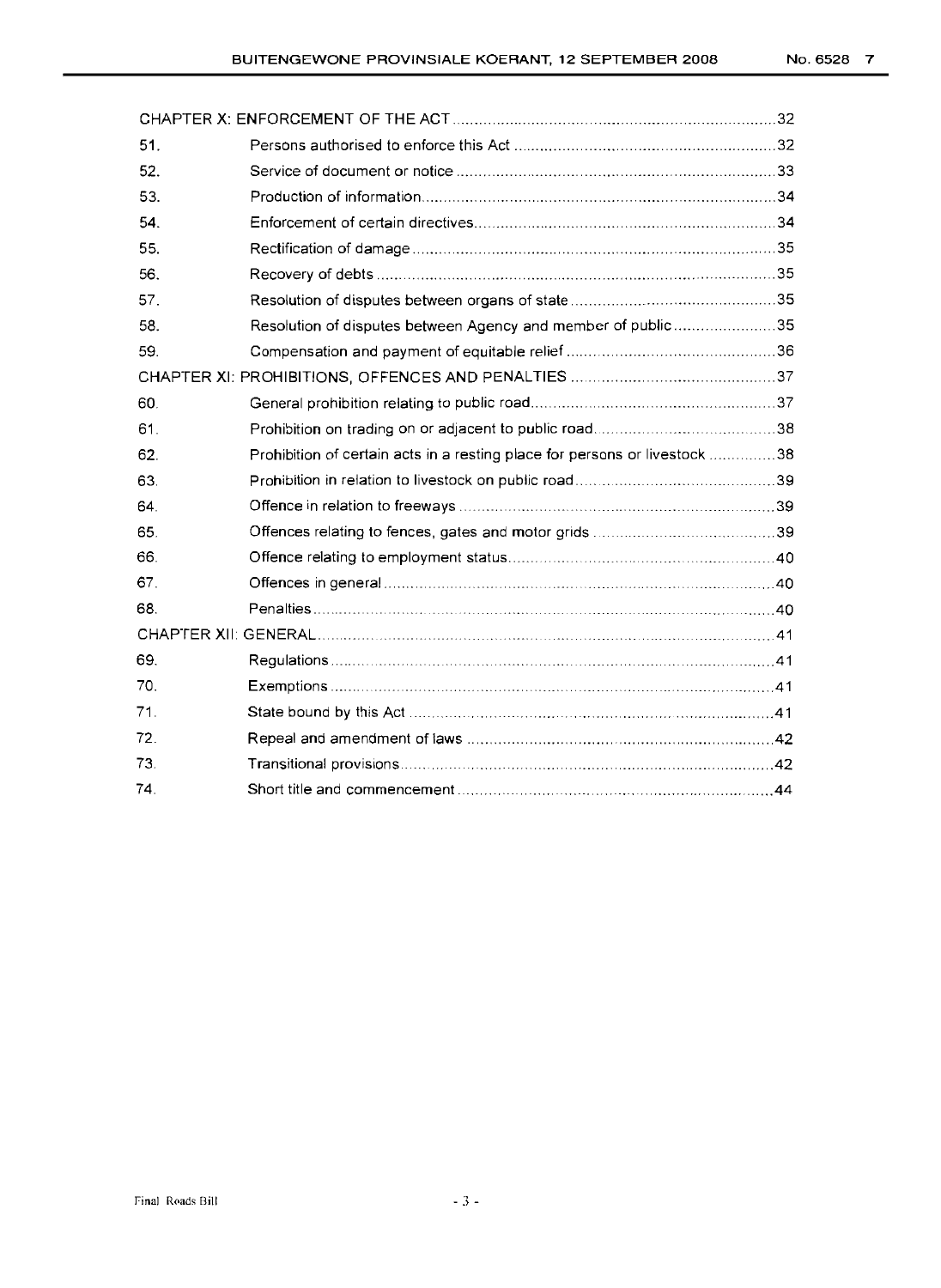| 51. |                                                                            |  |
|-----|----------------------------------------------------------------------------|--|
| 52. |                                                                            |  |
| 53. |                                                                            |  |
| 54. |                                                                            |  |
| 55. |                                                                            |  |
| 56. |                                                                            |  |
| 57. |                                                                            |  |
| 58. | Resolution of disputes between Agency and member of public35               |  |
| 59. |                                                                            |  |
|     |                                                                            |  |
| 60. |                                                                            |  |
| 61. |                                                                            |  |
| 62. | Prohibition of certain acts in a resting place for persons or livestock 38 |  |
| 63. |                                                                            |  |
| 64. |                                                                            |  |
| 65. |                                                                            |  |
| 66. |                                                                            |  |
| 67. |                                                                            |  |
| 68. |                                                                            |  |
|     |                                                                            |  |
| 69. |                                                                            |  |
| 70. |                                                                            |  |
| 71. |                                                                            |  |
| 72. |                                                                            |  |
| 73. |                                                                            |  |
| 74. |                                                                            |  |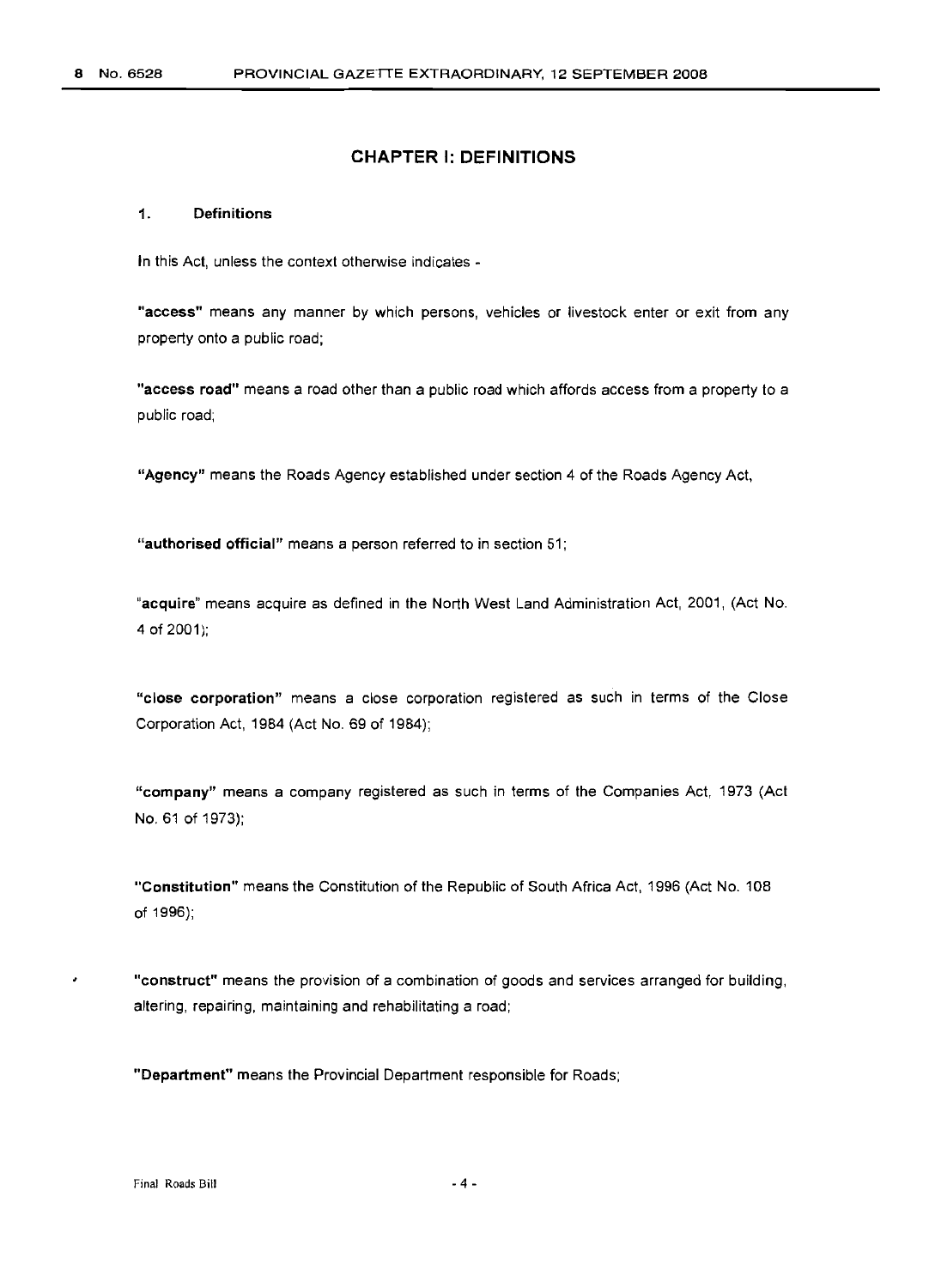#### **CHAPTER I: DEFINITIONS**

#### 1. Definitions

In this Act, unless the context otherwise indicates -

"access" means any manner by which persons, vehicles or livestock enter or exit from any property onto a public road;

"access road" means a road other than a public road which affords access from a property to a public road;

"Agency" means the Roads Agency established under section 4 of the Roads Agency Act,

"authorised official" means a person referred to in section 51;

"acquire" means acquire as defined in the North West Land Administration Act, 2001, (Act No. 4 of 2001);

"close corporation" means a close corporation registered as such in terms of the Close Corporation Act, 1984 (Act No. 69 of 1984);

"company" means a company registered as such in terms of the Companies Act, 1973 (Act No. 61 of 1973);

"Constitution" means the Constitution of the Republic of South Africa Act, 1996 (Act No. 108 of 1996);

"construct" means the provision of a combination of goods and services arranged for building, altering, repairing, maintaining and rehabilitating a road;

"Department" means the Provincial Department responsible for Roads;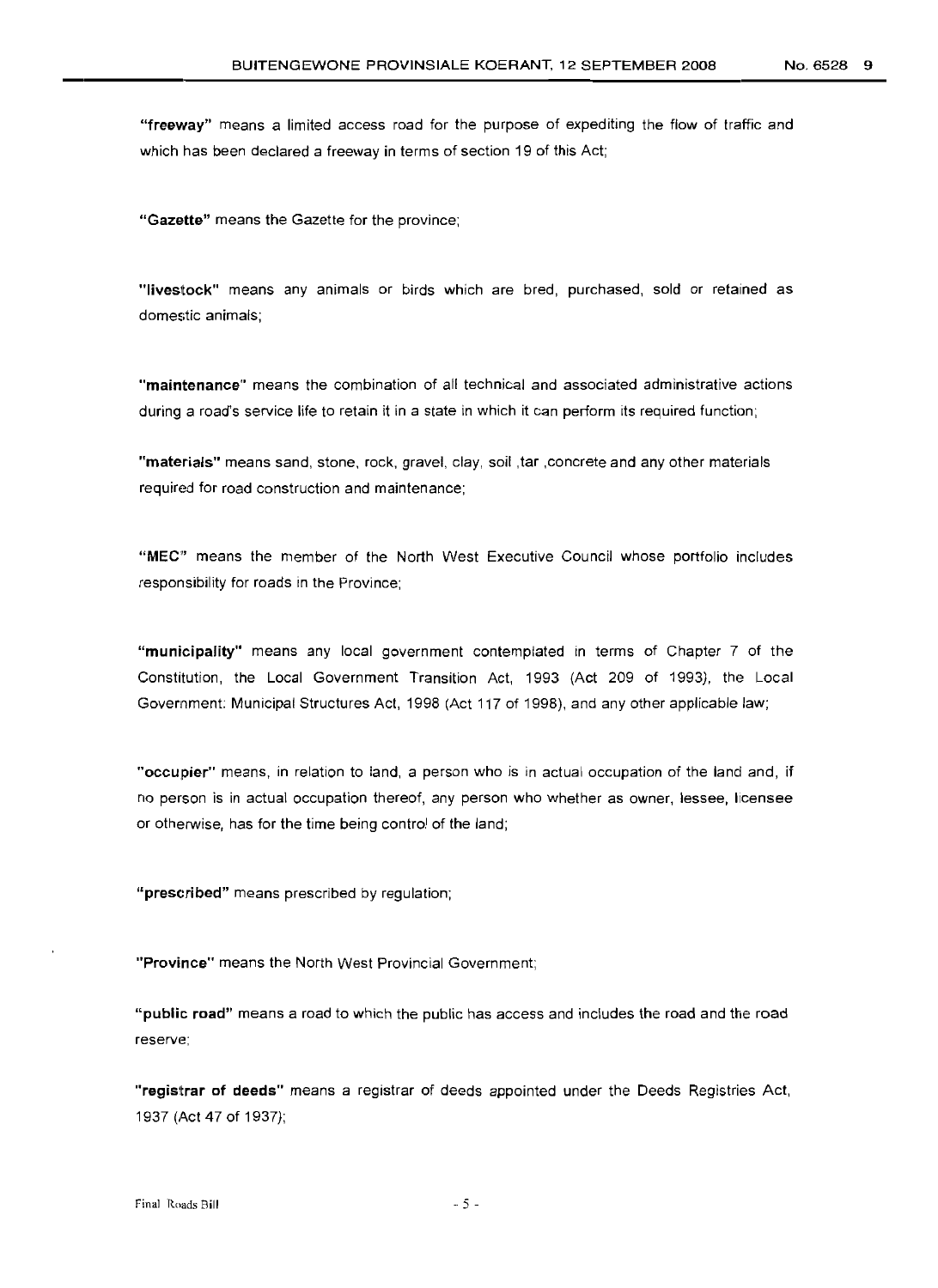"freeway" means a limited access road for the purpose of expediting the flow of traffic and which has been declared a freeway in terms of section 19 of this Act;

"Gazette" means the Gazette for the province;

"livestock" means any animals or birds which are bred, purchased, sold or retained as domestic animals;

"maintenance" means the combination of all technical and associated administrative actions during a road's service life to retain it in a state in which it can perform its required function;

"materials" means sand, stone, rock, gravel, clay, soil ,tar ,concrete and any other materials required for road construction and maintenance;

"MEC" means the member of the North West Executive Council whose portfolio includes responsibility for roads in the Province;

"municipality" means any local government contemplated in terms of Chapter 7 of the Constitution, the Local Government Transition Act, 1993 (Act 209 of 1993), the Local Government: Municipal Structures Act, 1998 (Act 117 of 1998), and any other applicable law;

"occupier" means, in relation to land, a person who is in actual occupation of the land and, if no person is in actual occupation thereof, any person who whether as owner, lessee, licensee or otherwise, has for the time being control of the land;

"prescribed" means prescribed by regulation;

"Province" means the North West Provincial Government;

"public road" means a road to which the public has access and includes the road and the road reserve;

"regisltrar of deeds" means a registrar of deeds appointed under the Deeds Registries Act, 1937 (Act 47 of 1937);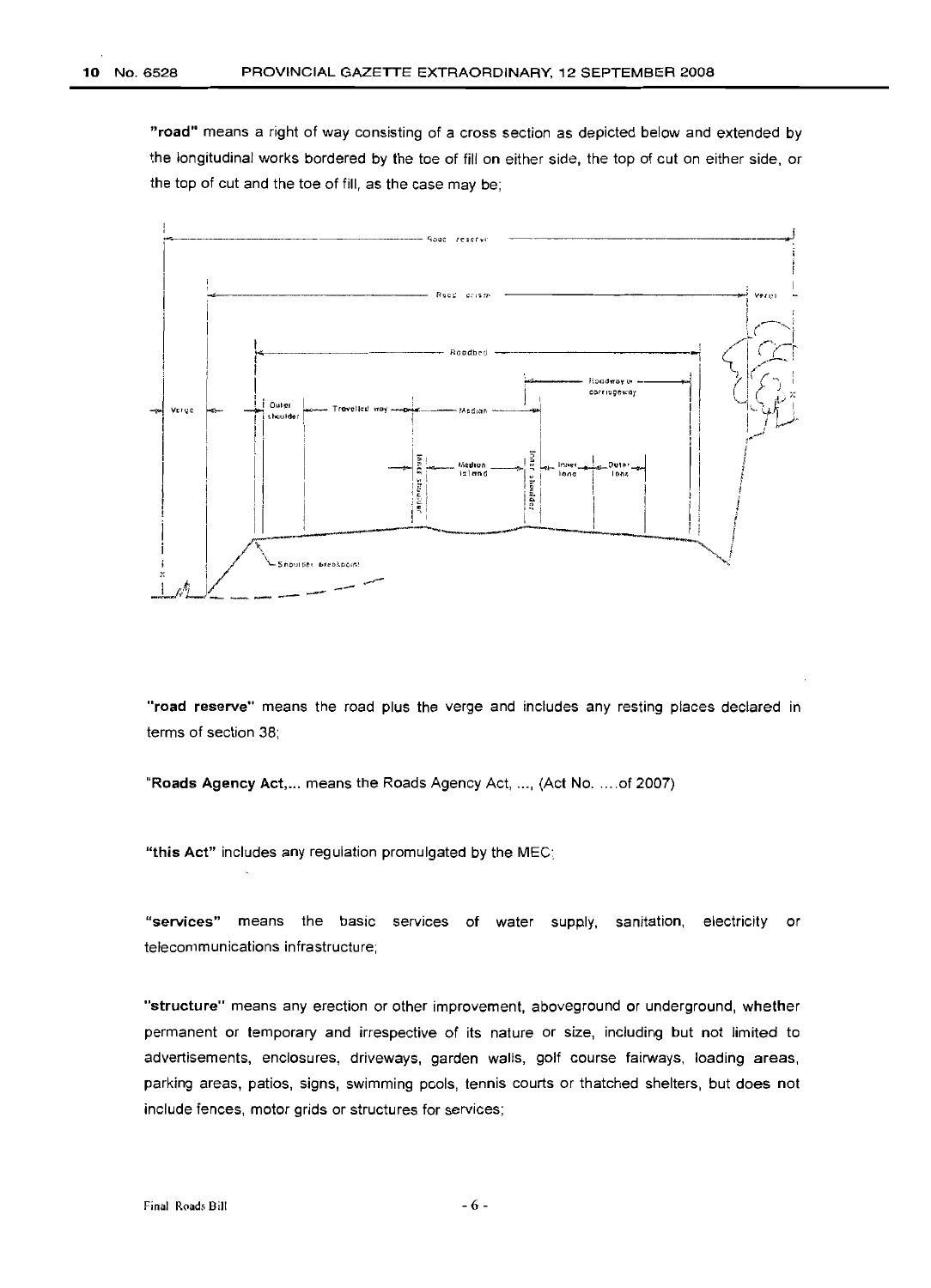"road" means a right of way consisting of a cross section as depicted below and extended by the longitudinal works bordered by the toe of fill on either side, the top of cut on either side, or the top of cut and the toe of fill, as the case may be;



"road reserve" means the road plus the verge and includes any resting places declared in terms of section 38;

"Roads Agency Act,... means the Roads Agency Act, ..., (Act No.....of 2007)

"this Act" includes any regulation promulgated by the MEC;

"services" means the basic services of water supply, sanitation, electricity or telecommunications infrastructure;

"structure" means any erection or other improvement, aboveground or underground, whether permanent or temporary and irrespective of its nature or size, including but not limited to advertisements, enclosures, driveways, garden walls, golf course fairways, loading areas, parking areas, patios, signs, swimming pools, tennis courts or thatched shelters, but does not include fences, motor grids or structures for services;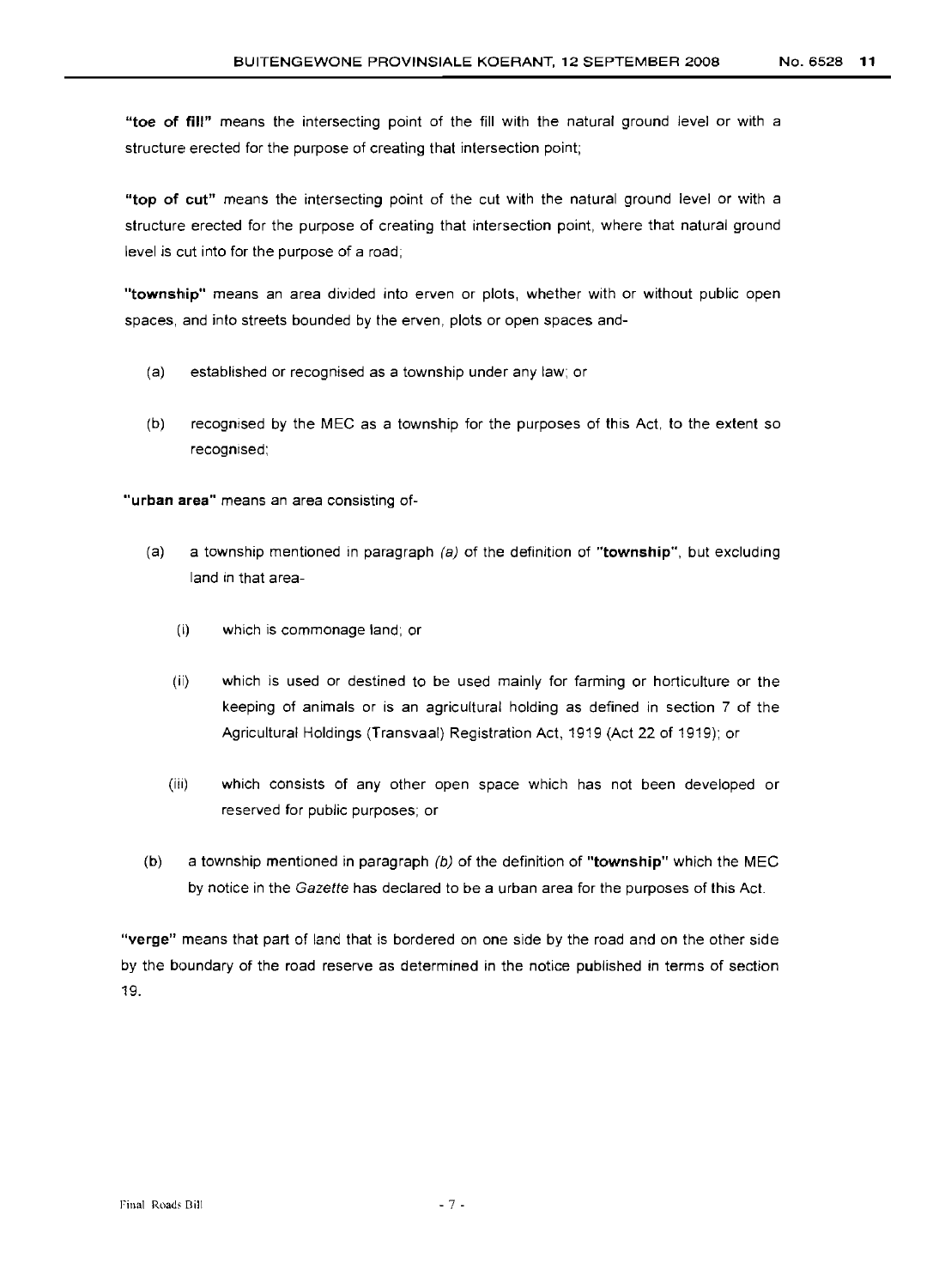**"toe of fill"** means the intersecting point of the fill with the natural ground level or with a structure erected for the purpose of creating that intersection point;

**"top of cut"** means the intersecting point of the cut with the natural ground level or with a structure erected for the purpose of creating that intersection point, where that natural ground level is cut into for the purpose of a road;

**"township"** means an area divided into erven or plots, whether with or without public open spaces, and into streets bounded by the erven, plots or open spaces and-

- (a) established or recognised as a township under any law; or
- (b) recognised by the MEC as a township for the purposes of this Act, to the extent so recognised;

"urban area" means an area consisting of-

- (a) a township mentioned in paragraph (a) of the definition of **"township",** but excluding land in that area-
	- (i) which is commonage land; or
	- (ii) which is used or destined to be used mainly for farming or horticulture or the keeping of animals or is an agricultural holding as defined in section 7 of the Agricultural Holdings (Transvaal) Registration Act, 1919 (Act 22 of 1919); or
	- (iili) which consists of any other open space which has not been developed or reserved for public purposes; or
- (b) a township mentioned in paragraph (b) of the definition of **"township"** which the MEC by notice in the Gazette has declared to be a urban area for the purposes of this Act.

**"verge"** means that part of land that is bordered on one side by the road and on the other side by the boundary of the road reserve as determined in the notice published in terms of section 19.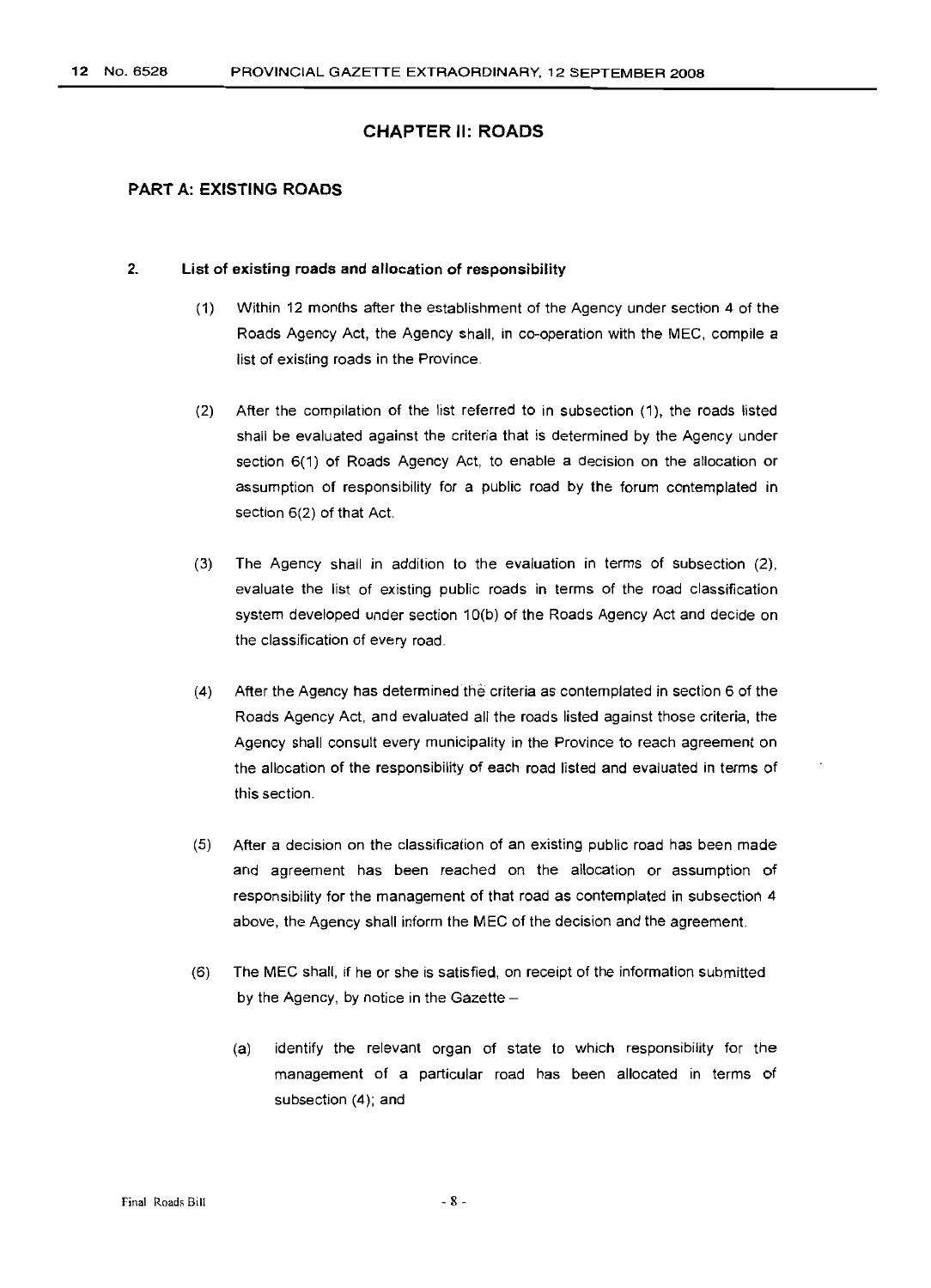#### CHAPTER II: ROADS

#### **PART A: EXISTING ROADS**

#### 2. **List of existing roads and allocation of responsibility**

- (1) Within 12 months after the establishment of the Agency under section 4 of the Roads Agency Act, the Agency shall, in co-operation with the MEG, compile a list of existing roads in the Province.
- (2) After the compilation of the list referred to in subsection (1), the roads listed shall be evaluated against the criteria that is determined by the Agency under section 6(1) of Roads Agency Act, to enable a decision on the allocation or assumption of responsibility for a public road by the forum contemplated in section 6(2) of that Act.
- (3) The Agency shall in addition to the evaluation in terms of subsection (2), evaluate the list of existing public roads in terms of the road classification system developed under section 1O(b) of the Roads Agency Act and decide on the classification of every road.
- (4) After the Agency has determined the criteria as contemplated in section 6 of the Roads Agency Act, and evaluated all the roads listed against those criteria, the Agency shall consult every municipality in the Province to reach agreement on the allocation of the responsibility of each road listed and evaluated in terms of this section.
- (5) After a decision on the classification of an existing public road has been made and agreement has been reached on the allocation or assumption of responsibility for the management of that road as contemplated in subsection 4 above, the Agency shall inform the MEG of the decision and the agreement.
- (6) The MEG shall, if he or she is satisfied, on receipt of the information submitted by the Agency, by notice in the Gazette -
	- (a) identify the relevant organ of state to which responsibility for the management of a particular road has been allocated in terms of subsection (4); and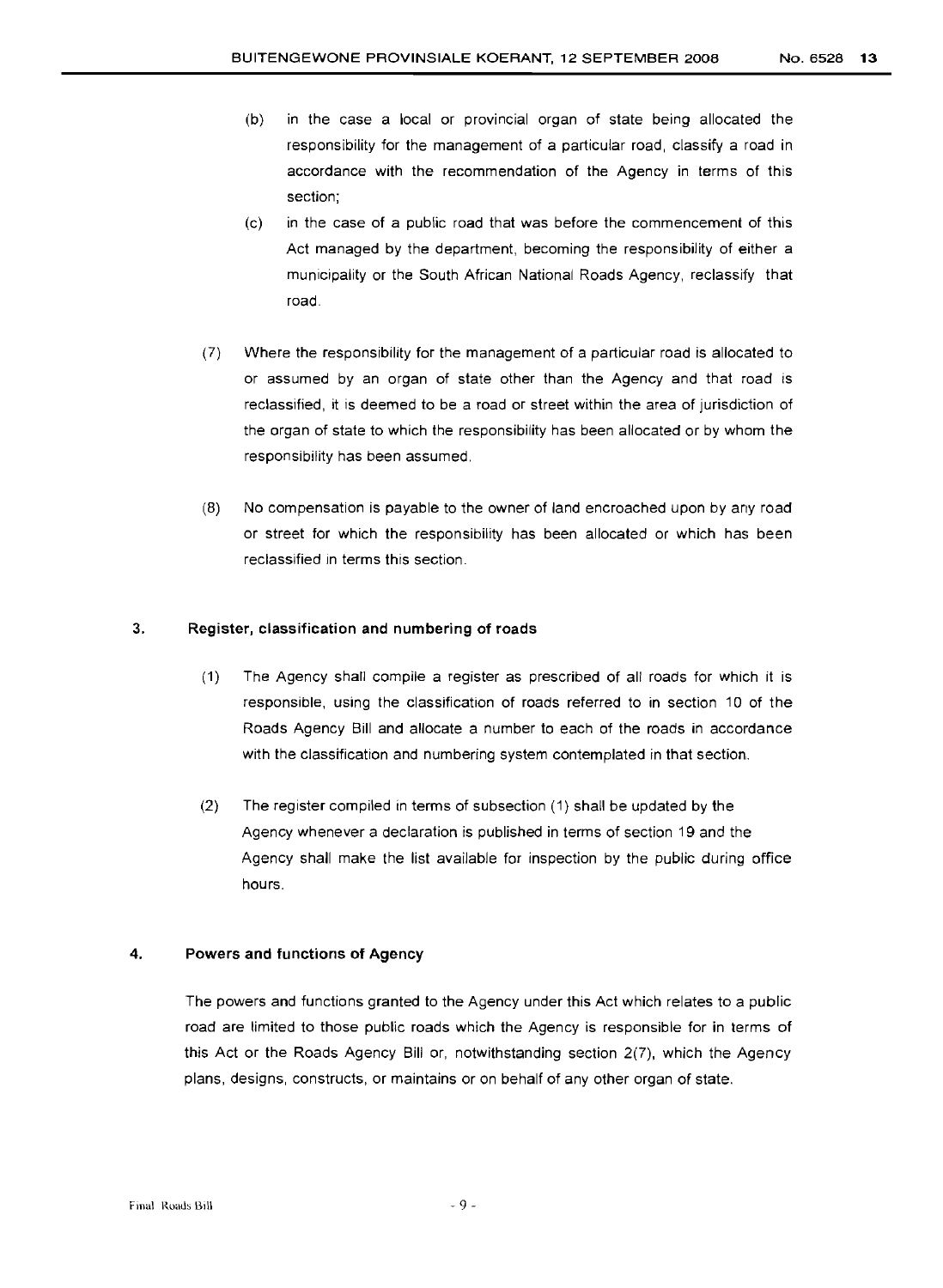- (b) in the case a local or provincial organ of state being allocated the responsibility for the management of a particular road, classify a road in accordance with the recommendation of the Agency in terms of this section;
- (c) in the case of a public road that was before the commencement of this Act managed by the department, becoming the responsibility of either a municipality or the South African National Roads Agency. reclassify that road.
- (7) Where the responsibility for the management of a particular road is allocated to or assumed by an organ of state other than the Agency and that road is reclassified, it is deemed to be a road or street within the area of jurisdiction of the organ of state to which the responsibility has been allocated or by whom the responsibility has been assumed.
- (8) No compensation is payable to the owner of land encroached upon by any road or street for which the responsibility has been allocated or which has been reclassified in terms this section.

#### 3. Register, classification and numbering of roads

- (1) The Agency shall compile a register as prescribed of all roads for which it is responsible, using the classification of roads referred to in section 10 of the Roads Agency Bill and allocate a number to each of the roads in accordance with the classification and numbering system contemplated in that section.
- (2) The register compiled in terms of subsection (1) shall be updated by the Agency whenever a declaration is published in terms of section 19 and the Agency shall make the list available for inspection by the public during office hours.

#### 4. Powers and functions of Agency

The powers and functions granted to the Agency under this Act which relates to a public road are limited to those public roads which the Agency is responsible for in terms of this Act or the Roads Agency Bill or, notwithstanding section 2(7), which the Agency plans, designs, constructs, or maintains or on behalf of any other organ of state.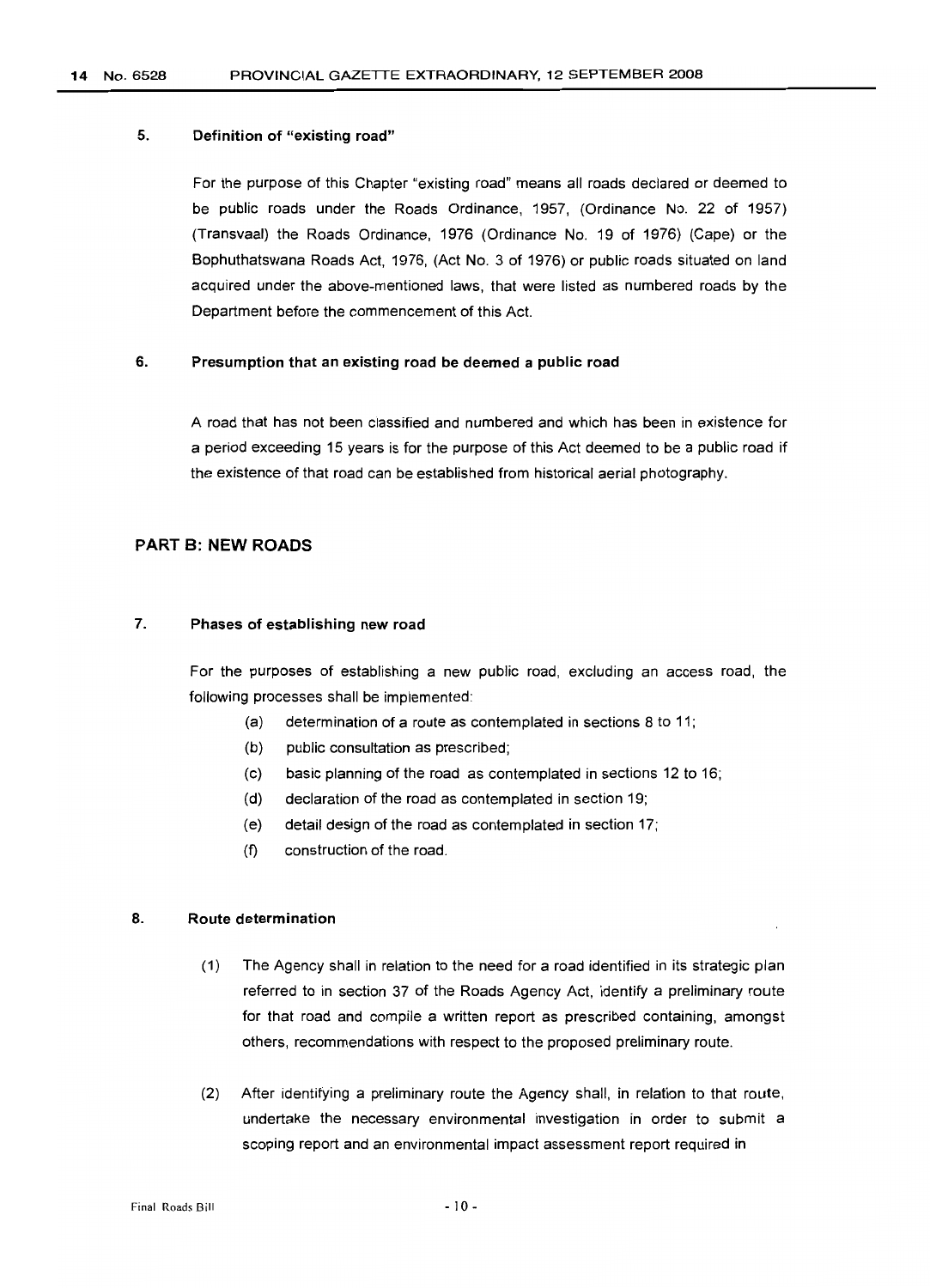#### 14 No. 6528 PROVINCIAL GAZETTE EXTRAORDINARY, 12 SEPTEMBER 2008

#### 5. Definition of "existing road"

For the purpose of this Chapter "existing road" means all roads declared or deemed to be public roads under the Roads Ordinance, 1957, (Ordinance No. 22 of 1957) (Transvaal) the Roads Ordinance, 1976 (Ordinance No. 19 of 1976) (Cape) or the Bophuthatswana Roads Act, 1976, (Act NO.3 of 1976) or public roads situated on land acquired under the above-mentioned laws, that were listed as numbered roads by the Department before the commencement of this Act.

#### 6. Presumption that an existing road be deemed a public road

A road that has not been classified and numbered and which has been in existence for a period exceeding 15 years is for the purpose of this Act deemed to be a public road if the existence of that road can be established from historical aerial photography.

#### PART B: NEW ROADS

#### 7. Phases of establishing new road

For the purposes of establishing a new public road, excluding an access road, the following processes shall be implemented:

- (a) determination of a route as contemplated in sections 8 to 11;
- (b) public consultation as prescribed;
- (c) basic planning of the road as contemplated in sections 12 to 16;
- (d) declaration of the road as contemplated in section 19;
- (e) detail design of the road as contemplated in section 17;
- (f) construction of the road.

#### 8. Route determination

- (1) The Agency shall in relation to the need for a road identified in its strategic plan referred to in section 37 of the Roads Agency Act, identify a preliminary route for that road and compile a written report as prescribed containing, amongst others, recommendations with respect to the proposed preliminary route.
- (2) After identifying a preliminary route the Agency shall, in relation to that route, undertake the necessary environmental investigation in order to submit a scoping report and an environmental impact assessment report required in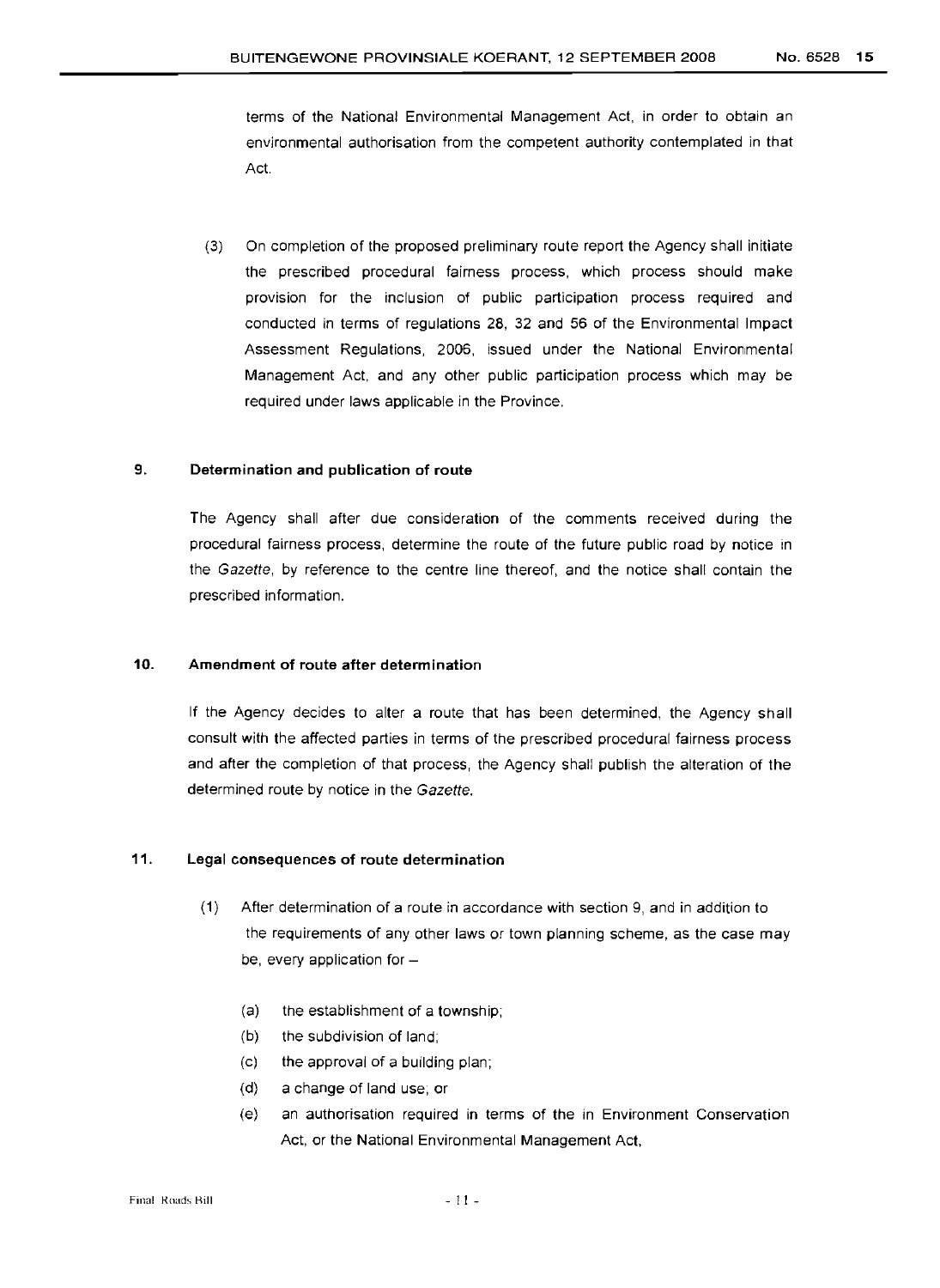terms of the National Environmental Management Act, in order to obtain an environmental authorisation from the competent authority contemplated in that Act.

(3) On completion of the proposed preliminary route report the Agency shall initiate the prescribed procedural fairness process, which process should make provision for the inclusion of public participation process required and conducted in terms of regulations 28, 32 and 56 of the Environmental Impact Assessment Regulations, 2006, issued under the National Environmental Management Act, and any other public participation process which may be required under laws applicable in the Province.

#### 9. Determination and publication of route

The Agency shall after due consideration of the comments received during the procedural fairness process, determine the route of the future public road by notice in the Gazette, by reference to the centre line thereof, and the notice shall contain the prescribed information.

#### 10. Amendment of route after determination

If the Agency decides to alter a route that has been determined, the Agency shall consult with the affected parties in terms of the prescribed procedural fairness process and after the completion of that process, the Agency shall publish the alteration of the determined route by notice in the Gazette.

#### 11. Legal consequences of route determination

- (1) After determination of a route in accordance with section 9, and in addition to the requirements of any other laws or town planning scheme, as the case may be, every application for  $-$ 
	- (a) the establishment of a township;
	- (b) the subdivision of land;
	- (c) the approval of a building plan;
	- (d) a change of land use; or
	- (e) an authorisation required in terms of the in Environment Conservation Act, or the National Environmental Management Act,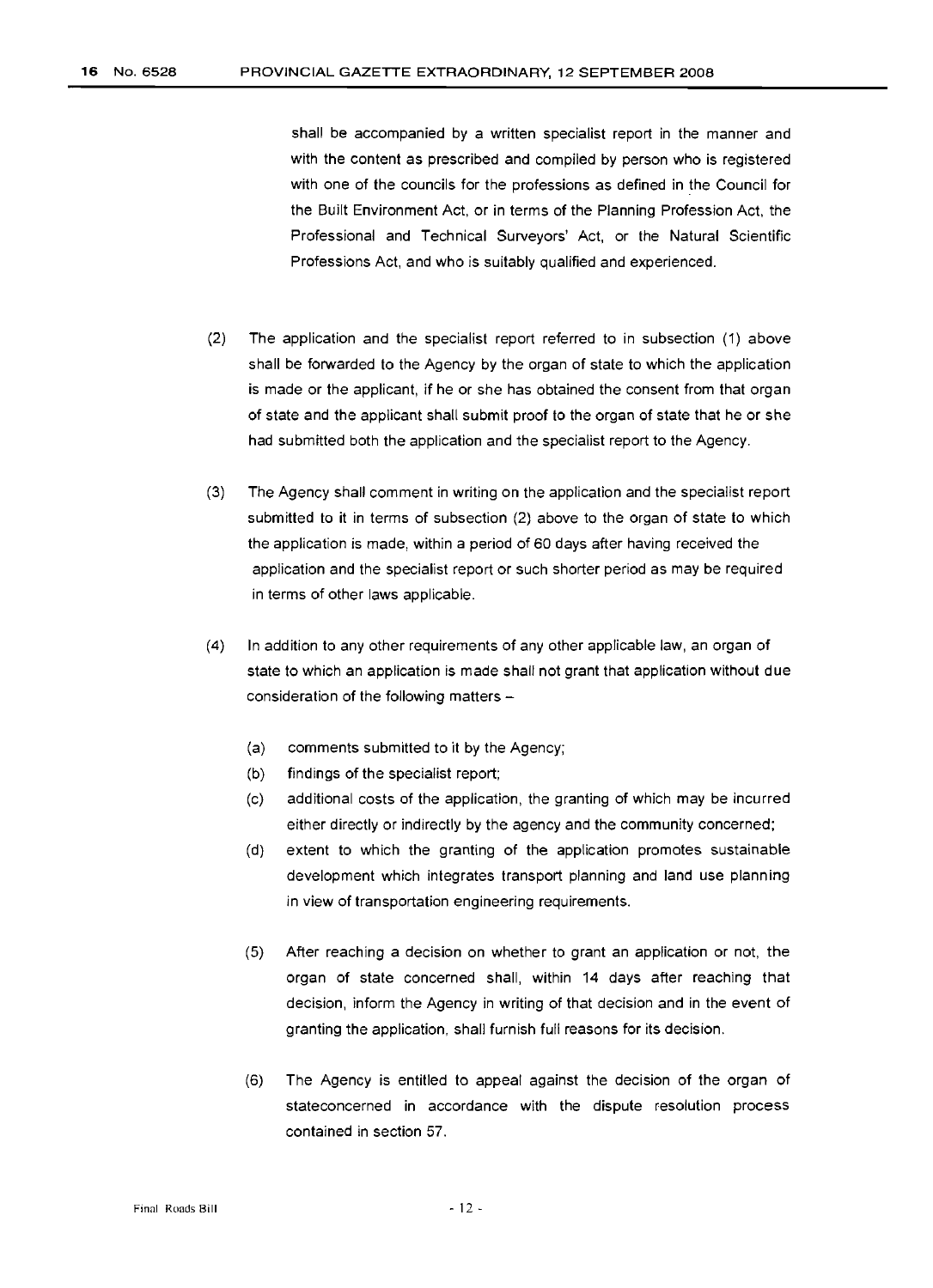shall be accompanied by a written specialist report in the manner and with the content as prescribed and compiled by person who is registered with one of the councils for the professions as defined in the Council for the Built Environment Act, or in terms of the Planning Profession Act, the Professional and Technical Surveyors' Act, or the Natural Scientific Professions Act, and who is suitably qualified and experienced.

- (2) The application and the specialist report referred to in subsection (1) above shall be forwarded to the Agency by the organ of state to which the application is made or the applicant, if he or she has obtained the consent from that organ of state and the applicant shall submit proof to the organ of state that he or she had submitted both the application and the specialist report to the Agency.
- (3) The Agency shall comment in writing on the application and the specialist report submitted to it in terms of subsection (2) above to the organ of state to which the application is made, within a period of 60 days after having received the application and the specialist report or such shorter period as may be required in terms of other laws applicable.
- (4) In addition to any other requirements of any other applicable law, an organ of state to which an application is made shall not grant that application without due consideration of the following matters -
	- (a) comments submitted to it by the Agency;
	- (b) findings of the specialist report;
	- (c) additional costs of the application, the granting of which may be incurred either directly or indirectly by the agency and the community concerned;
	- (d) extent to which the granting of the application promotes sustainable development which integrates transport planning and land use planning in view of transportation engineering requirements.
	- (5) After reaching a decision on whether to grant an application or not, the organ of state concerned shall, within 14 days after reaching that decision, inform the Agency in writing of that decision and in the event of granting the application, shall furnish full reasons for its decision.
	- (6) The Agency is entitled to appeal against the decision of the organ of stateconcerned in accordance with the dispute resolution process contained in section 57.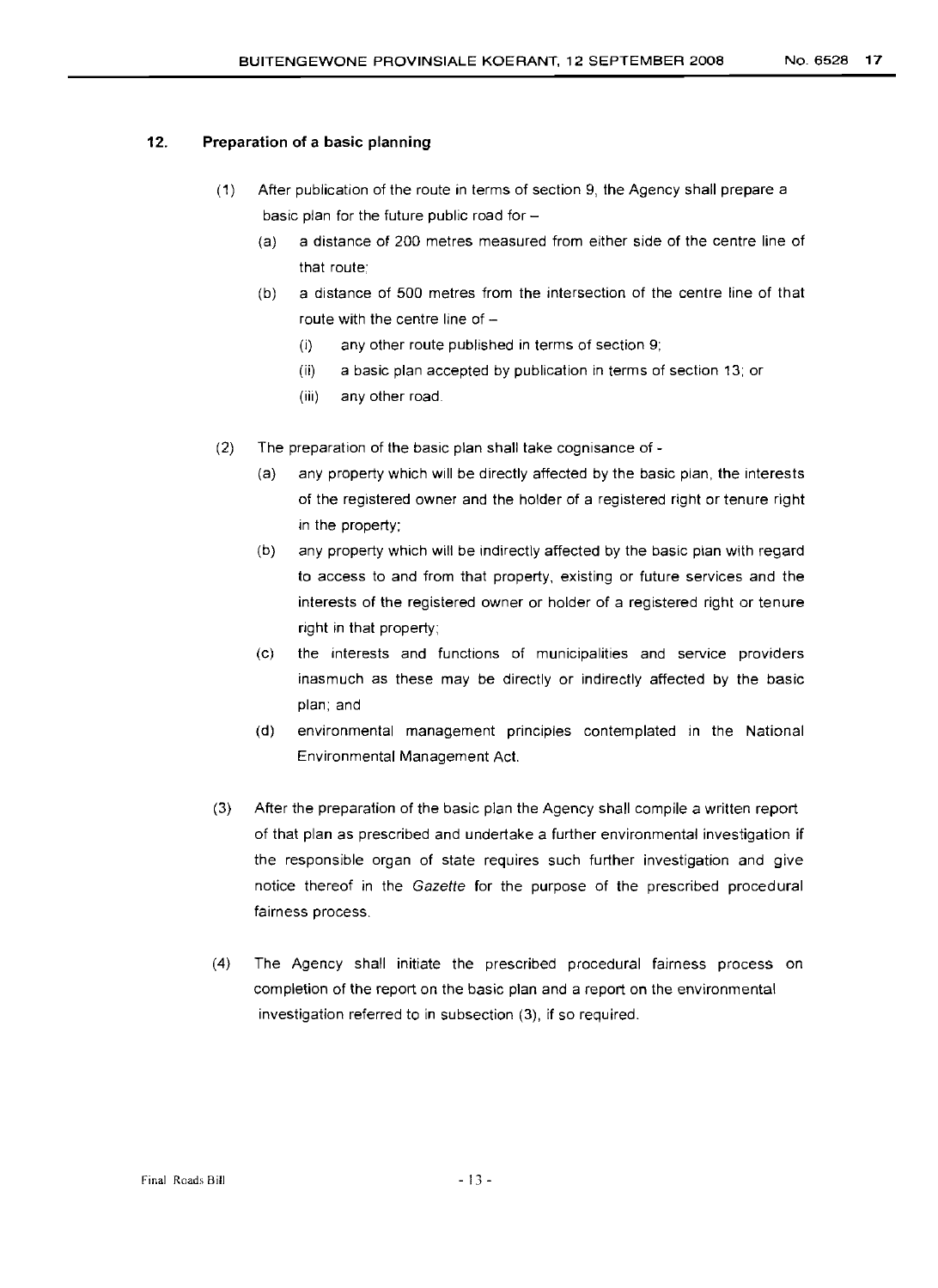#### 12. Preparation of a basic planning

- (1) After publication of the route in terms of section 9, the Agency shall prepare a basic plan for the future public road for  $-$ 
	- (a) a distance of 200 metres measured from either side of the centre line of that route;
	- (b) a distance of 500 metres from the intersection of the centre line of that route with the centre line of  $-$ 
		- (i) any other route published in terms of section 9;
		- (ii) a basic plan accepted by publication in terms of section 13; or
		- (iii) any other road.
- (2) The preparation of the basic plan shall take cognisance of
	- (a) any property which will be directly affected by the basic plan, the interests of the registered owner and the holder of a registered right or tenure right in the property;
	- (b) any property which will be indirectly affected by the basic plan with regard to access to and from that property, existing or future services and the interests of the registered owner or holder of a registered right or tenure right in that property;
	- (c) the interests and functions of municipalities and service providers inasmuch as these may be directly or indirectly affected by the basic plan; and
	- (d) environmental management principles contemplated in the National Environmental Management Act.
- (3) After the preparation of the basic plan the Agency shall compile a written report of that plan as prescribed and undertake a further environmental investigation if the responsible organ of state requires such further investigation and give notice thereof in the Gazette for the purpose of the prescribed procedural fairness process.
- (4) The Agency shall initiate the prescribed procedural fairness process on completion of the report on the basic plan and a report on the environmental investigation referred to in subsection (3), if so required.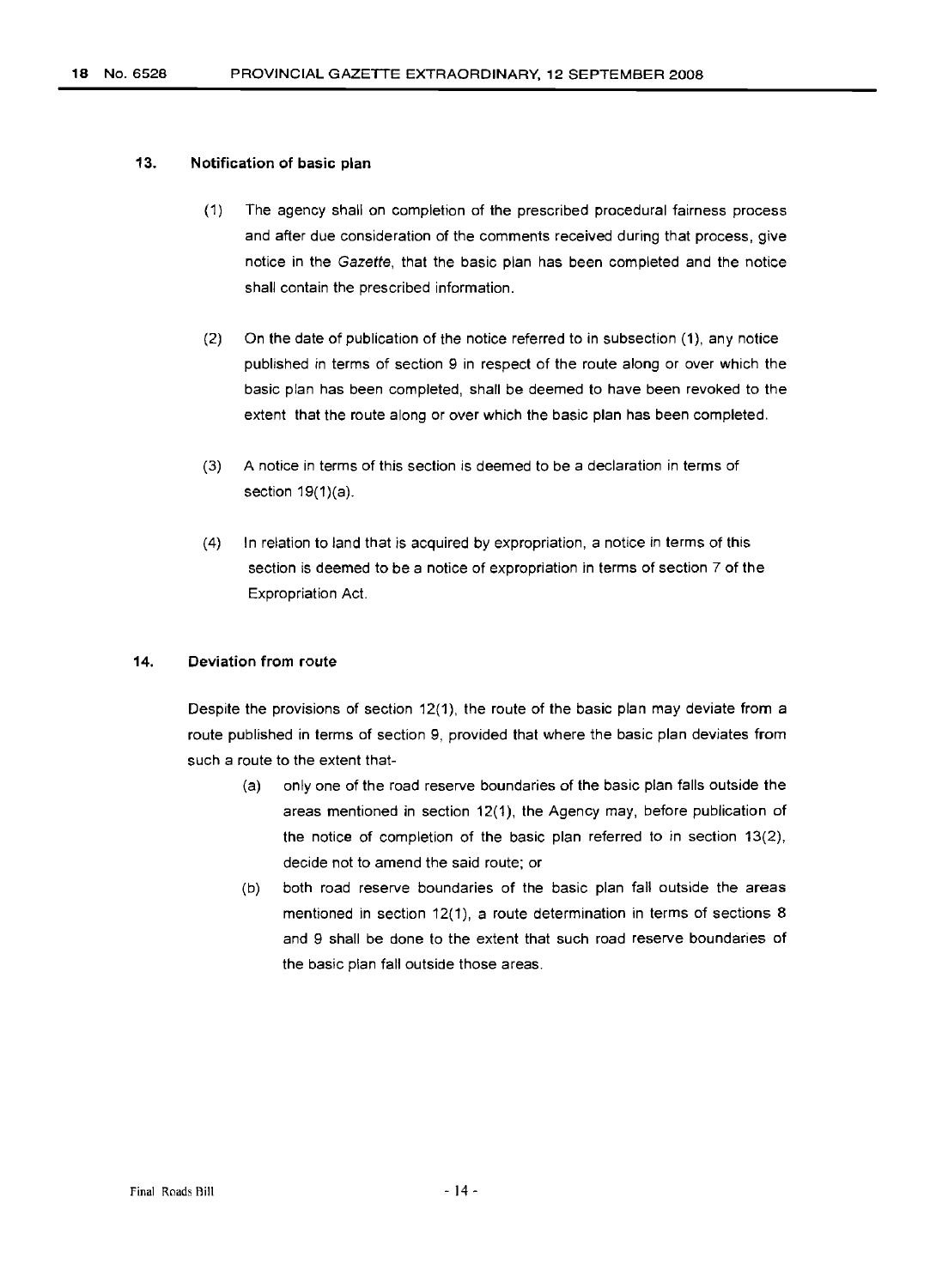#### 13. Notification of basic **plan**

- (1) The agency shall on completion of the prescribed procedural fairness process and after due consideration of the comments received during that process, give notice in the Gazette, that the basic plan has been completed and the notice shall contain the prescribed information.
- (2) On the date of publication of the notice referred to in subsection (1), any notice published in terms of section 9 in respect of the route along or over which the basic plan has been completed, shall be deemed to have been revoked to the extent that the route along or over which the basic plan has been completed.
- (3) A notice in terms of this section is deemed to be a declaration in terms of section 19(1)(a).
- (4) In relation to land that is acquired by expropriation, a notice in terms of this section is deemed to be a notice of expropriation in terms of section 7 of the Expropriation Act.

#### 14. Deviation from route

Despite the provisions of section 12(1), the route of the basic plan may deviate from a route published in terms of section 9, provided that where the basic plan deviates from such a route to the extent that-

- (a) only one of the road reserve boundaries of the basic plan falls outside the areas mentioned in section 12(1), the Agency may, before publication of the notice of completion of the basic plan referred to in section 13(2), decide not to amend the said route; or
- (b) both road reserve boundaries of the basic plan fall outside the areas mentioned in section 12(1), a route determination in terms of sections 8 and 9 shall be done to the extent that such road reserve boundaries of the basic plan fall outside those areas.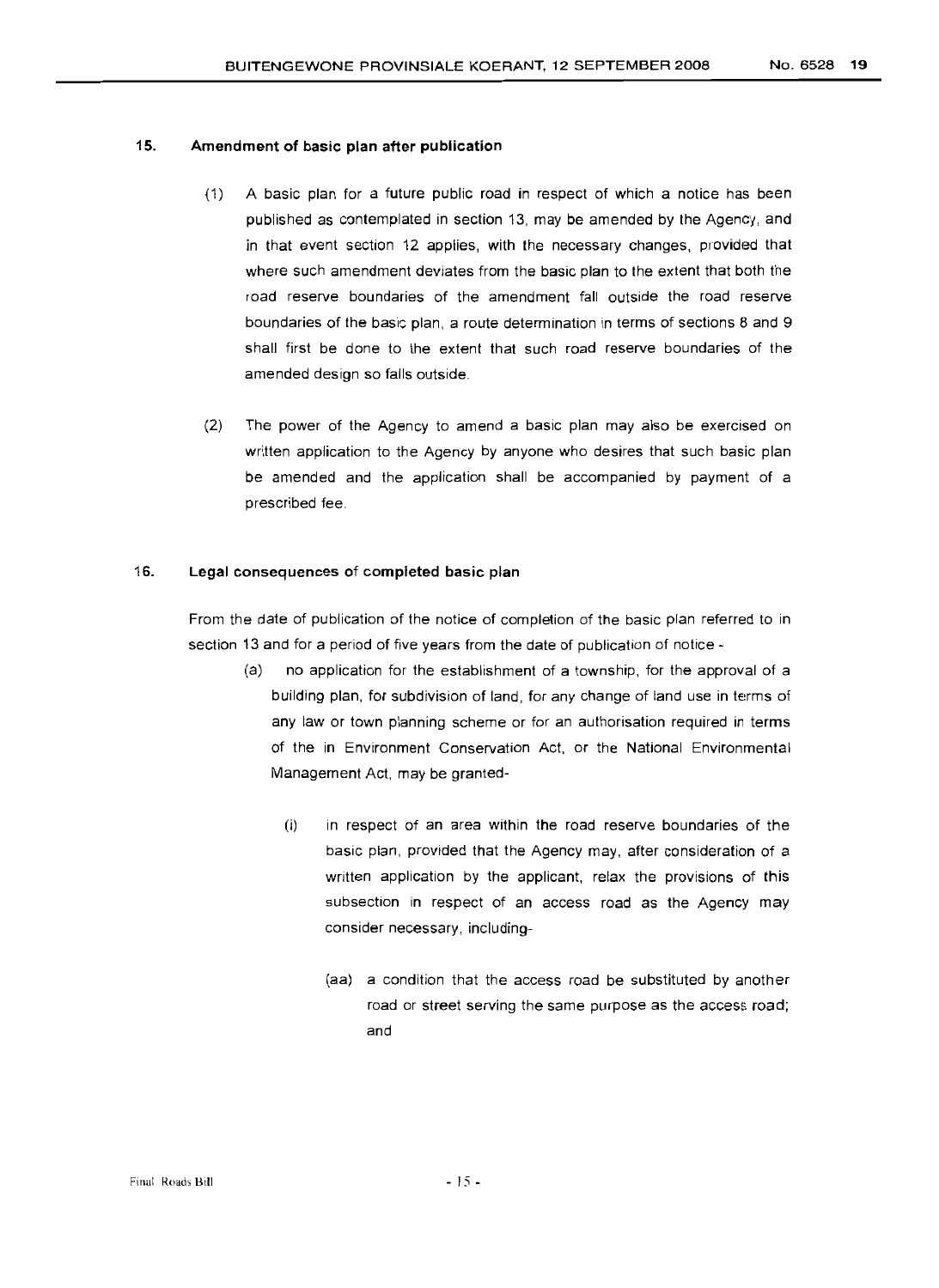#### 15. Amendment of basic plan after publication

- (1) A basic plan for a future public road in respect of which a notice has been published as contemplated in section 13, may be amended by the Agency, and in that event section 12 applies, with the necessary changes, provided that where such amendment deviates from the basic plan to the extent that both the road reserve boundaries of the amendment fall outside the road reserve boundaries of the basic plan, a route determination in terms of sections 8 and 9 shall first be done to the extent that such road reserve boundaries of the amended design so falls outside.
- (2) The power of the Agency to amend a basic plan may also be exercised on written application to the Agency by anyone who desires that such basic plan be amended and the application shall be accompanied by payment of a prescribed fee.

#### 16. Legal consequences of completed basic plan

From the date of publication of the notice of completion of the basic plan referred to in section 13 and for a period of five years from the date of publication of notice -

- (a) no application for the establishment of a township, for the approval of a building plan, for subdivision of land, for any change of land use in terms of any law or town planning scheme or for an authorisation required in terms of the in Environment Conservation Act, or the National Environmental Management Act, may be granted-
	- (i) in respect of an area within the road reserve boundaries of the basic plan, provided that the Agency may, after consideration of a written application by the applicant, relax the provisions of this subsection in respect of an access road as the Agency may consider necessary, including-
		- (aa) a condition that the access road be substituted by another road or street serving the same purpose as the access road; and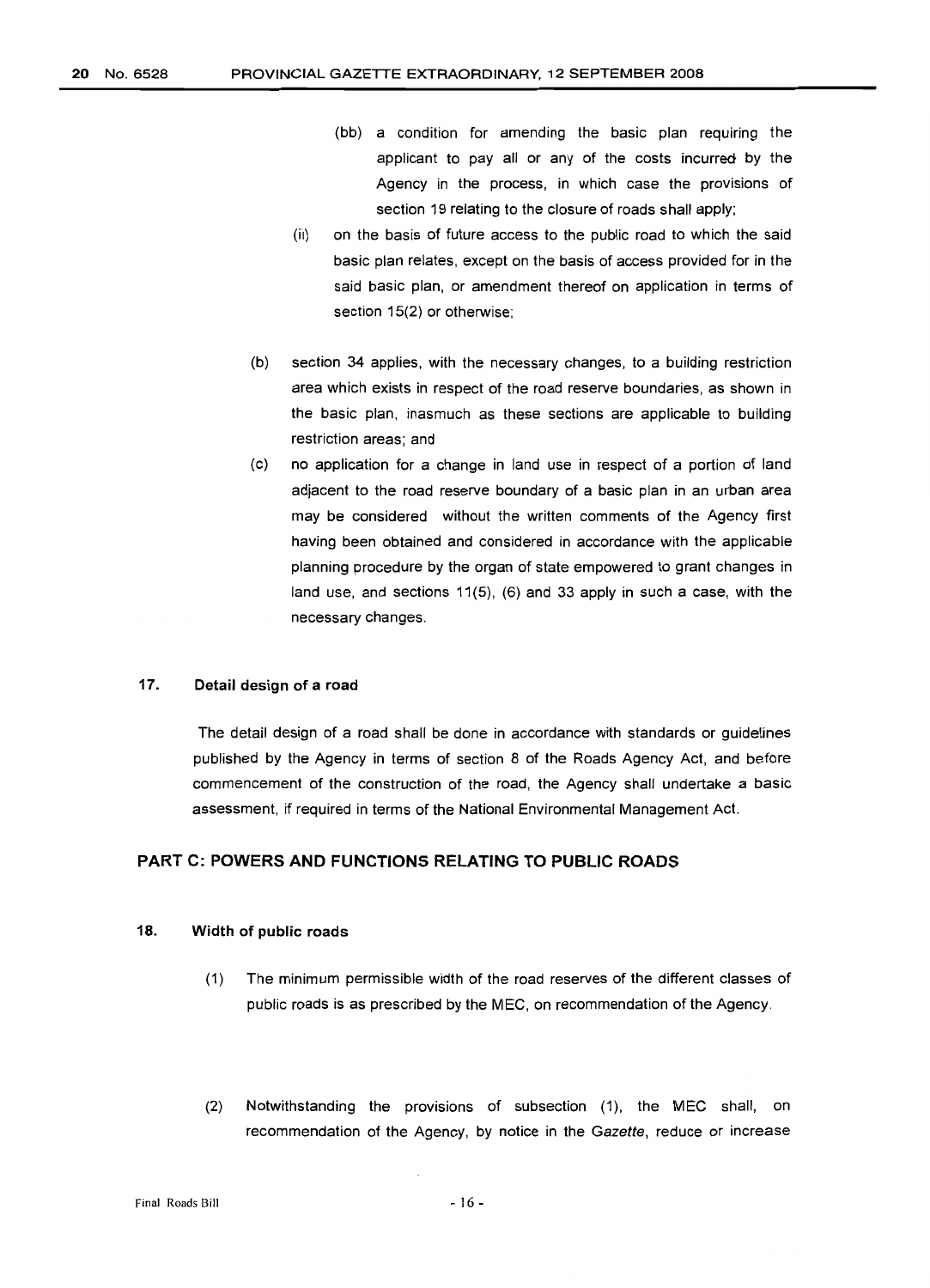- $(bb)$  a condition for amending the basic plan requiring the applicant to pay all or any of the costs incurred by the Agency in the process, in which case the provisions of section 19 relating to the closure of roads shall apply;
- (ii) on the basis of future access to the public road to which the said basic plan relates, except on the basis of access provided for in the said basic plan, or amendment thereof on application in terms of section 15(2) or otherwise;
- (b) section 34 applies, with the necessary changes, to a building restriction area which exists in respect of the road reserve boundaries, as shown in the basic plan, inasmuch as these sections are applicable to building restriction areas; and
- (c) no application for a change in land use in respect of a portion of land adjacent to the road reserve boundary of a basic plan in an urban area may be considered without the written comments of the Agency first having been obtained and considered in accordance with the applicable planning procedure by the organ of state empowered to grant changes in land use, and sections 11(5), (6) and 33 apply in such a case, with the necessary changes.

#### 17. Detail design of a road

The detail design of a road shall be done in accordance with standards or guidelines published by the Agency in terms of section 8 of the Roads Agency Act, and before commencement of the construction of the road, the Agency shall undertake a basic assessment, if required in terms of the National Environmental Management Act.

#### PART C: POWERS AND FUNCTIONS RELATING TO PUBLIC ROADS

#### 18. Width of public roads

- (1) The minimum permissible width of the road reserves of the different classes of public roads is as prescribed by the MEC, on recommendation of the Agency.
- (2) Notwithstanding the provisions of subsection (1), the MEC shall, on recommendation of the Agency, by notice in the Gazette, reduce or increase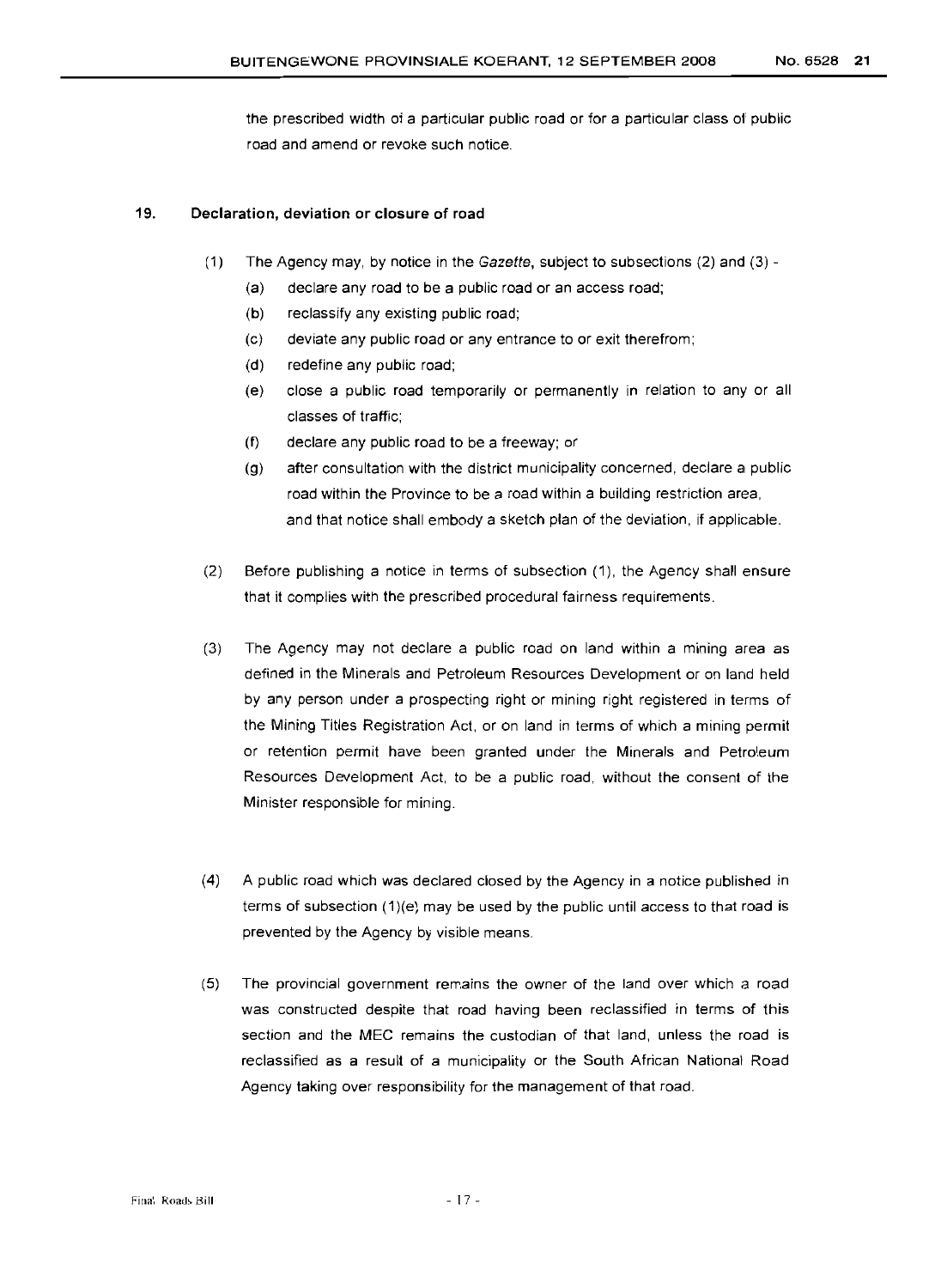the prescribed width of a particular public road or for a particular class of public road and amend or revoke such notice.

#### 19. Declaration, deviation or closure of road

- (1) The Agency may, by notice in the Gazette, subject to subsections (2) and (3)
	- (a) declare any road to be a public road or an access road;
	- (b) reclassify any existing public road;
	- (c) deviate any public road or any entrance to or exit therefrom;
	- (d) redefine any public road;
	- (e) close a puolic road temporarily or permanently in relation to any or all classes of traffic;
	- (f) declare any public road to be a freeway; or
	- (g) after consultation with the district municipality concerned, declare a public road within the Province to be a road within a building restriction area, and that notice shall embody a sketch plan of the deviation, if applicable.
- (2) Before publishing a notice in terms of subsection (1), the Agency shall ensure that it complies with the prescribed procedural fairness requirements.
- (3) The Agency may not declare a public road on land within a mining area as defined in the Minerals and Petroleum Resources Development or on land held by any person under a prospecting right or mining right registered in terms of the Mining Titles Registration Act, or on land in terms of which a mining permit or retention permit have been granted under the Minerals and Petroleum Resources Development Act, to be a public road, without the consent of the Minister responsible for mining.
- (4) A public road which was declared closed by the Agency in a notice published in terms of subsection (1)(e) may be used by the public until access to that road is prevented by the Agency by visible means.
- (5) The provincial government remains the owner of the land over which a road was constructed despite that road having been reclassified in terms of this section and the MEC remains the custodian of that land, unless the road is reclassified as a result of a municipality or the South African National Road Agency taking over responsibility for the management of that road.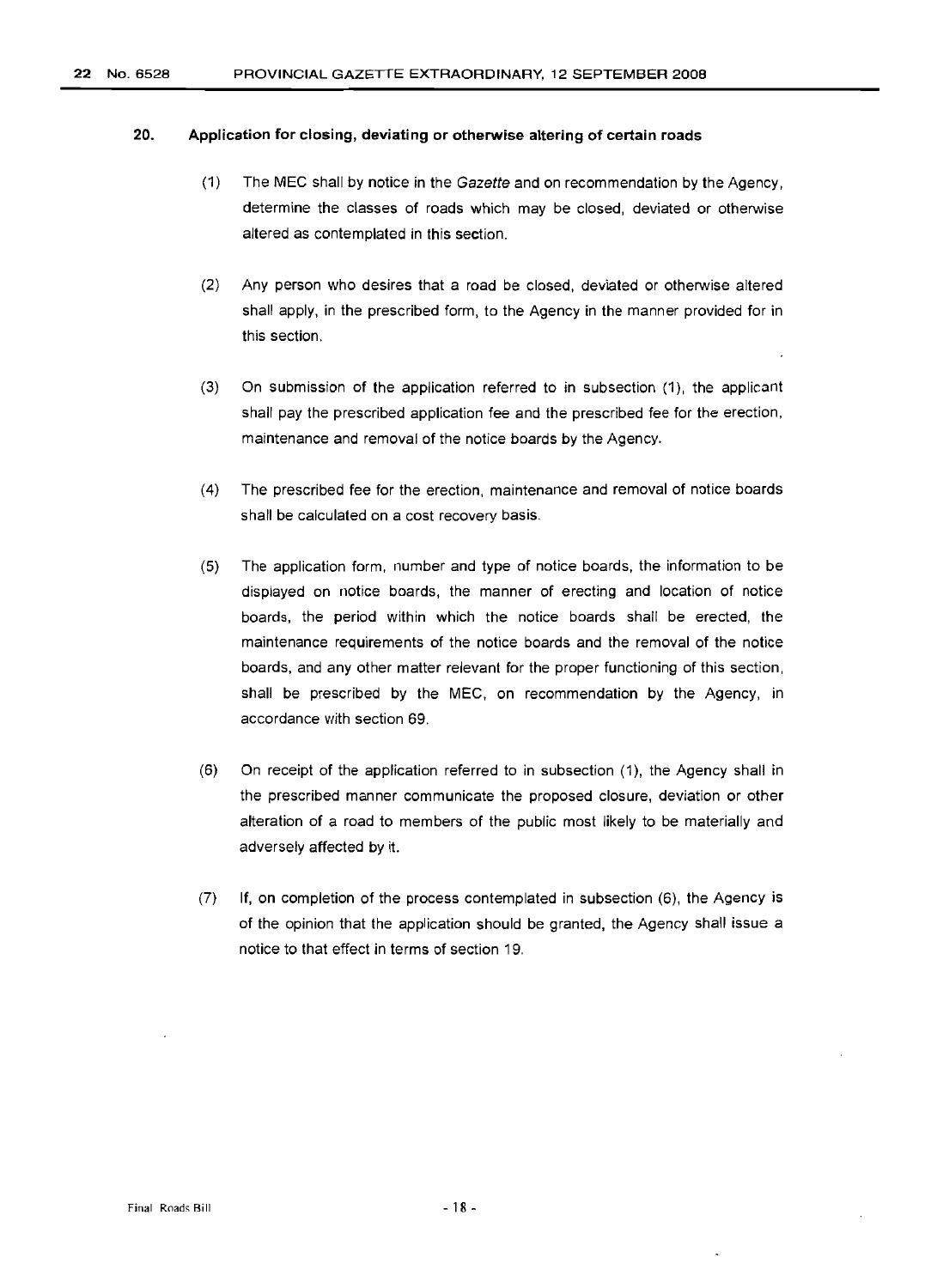#### 22 No. 6528 PROVINCIAL GAZETTE EXTRAORDINARY, 12 SEPTEMBER 2008

#### 20. Application for closing, deviating or otherwise altering of certain roads

- (1) The MEC shall by notice in the Gazette and on recommendation by the Agency, determine the classes of roads which may be closed, deviated or otherwise altered as contemplated in this section.
- (2) Any person who desires that a road be closed, deviated or otherwise altered shall apply, in the prescribed form, to the Agency in the manner provided for in this section.
- (3) On submission of the application referred to in subsection (1), the applicant shall pay the prescribed application fee and the prescribed fee for the erection, maintenance and removal of the notice boards by the Agency.
- (4) The prescribed fee for the erection, maintenance and removal of notice boards shall be calculated on a cost recovery basis.
- (5) The application form, number and type of notice boards, the information to be displayed on notice boards, the manner of erecting and location of notice boards, the period within which the notice boards shall be erected, the maintenance requirements of the notice boards and the removal of the notice boards, and any other matter relevant for the proper functioning of this section. shall be prescribed by the MEC, on recommendation by the Agency, in accordance with section 69.
- (6) On receipt of the application referred to in subsection (1), the Agency shall in the prescribed manner communicate the proposed closure, deviation or other alteration of a road to members of the public most likely to be materially and adversely affected by it.
- (7) If, on completion of the process contemplated in subsection (6), the Agency is of the opinion that the application should be granted, the Agency shall issue a notice to that effect in terms of section 19.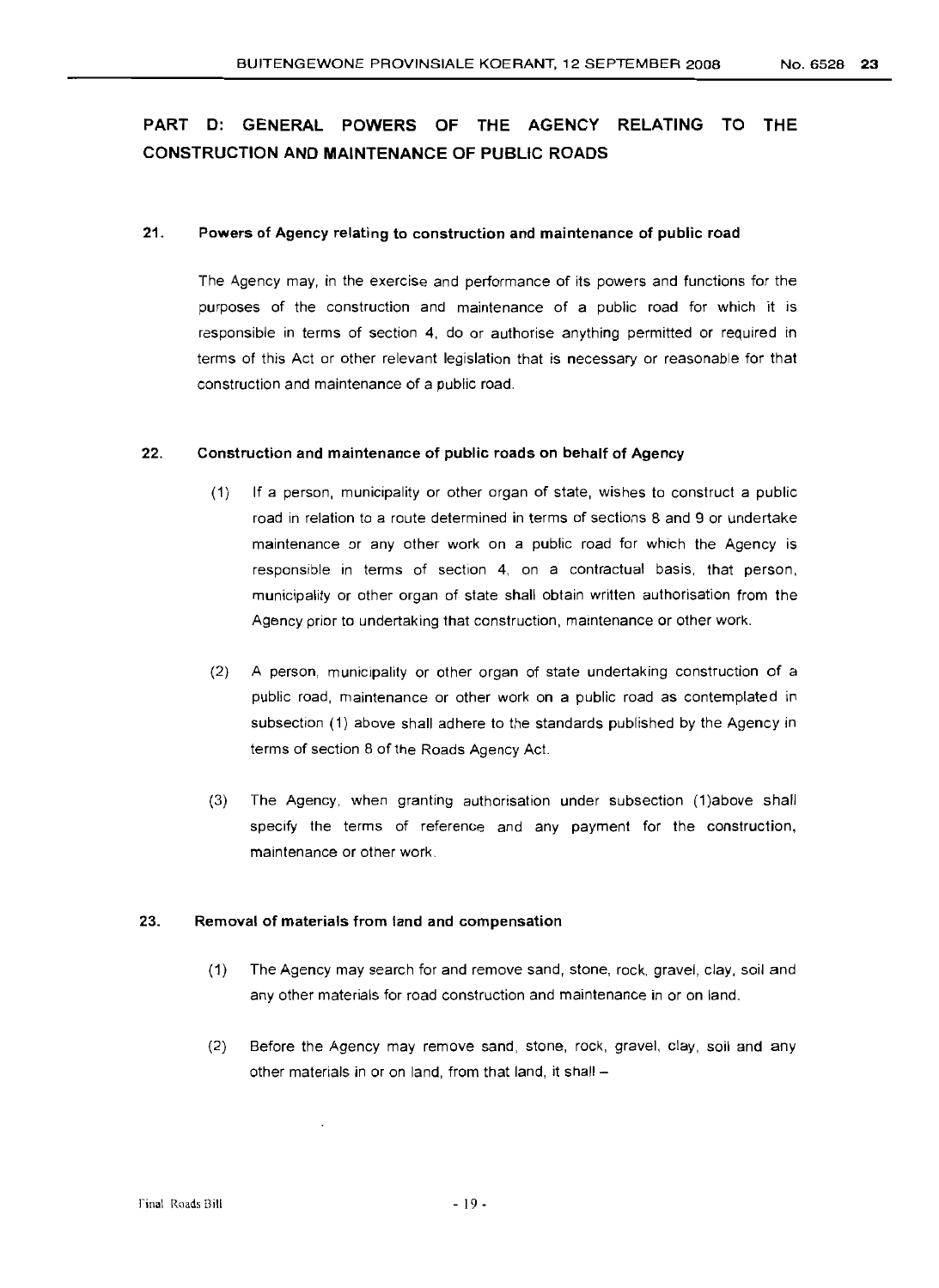## PART D: GENERAL POWERS OF THE AGENCY RELATING TO THE CONSTRUCTION AND MAINTENANCE OF PUBLIC ROADS

#### 21. Powers of Agency relating to construction and maintenance of public road

The Agency may, in the exercise and performance of its powers and functions for the purposes of the construction and maintenance of a public road for which it is responsible in terms of section 4, do or authorise anything permitted or required in terms of this Act or other relevant legislation that is necessary or reasonable for that construction and maintenance of a public road.

#### 22. Construction and maintenance of public roads on behalf of Agency

- (1) If a person, municipality or other organ of state, wishes to construct a public road in relation to a route determined in terms of sections 8 and 9 or undertake maintenance or any other work on a public road for which the Agency is responsible in terms of section 4, on a contractual basis, that person, municipality or other organ of state shall obtain written authorisation from the Agency prior to undertaking that construction, maintenance or other work.
- (2) A person, municipality or other organ of state undertaking construction of a public road, maintenance or other work on a public road as contemplated in subsection (1) above shall adhere to the standards published by the Aqency in terms of section 8 of the Roads Agency Act.
- (3) The Agency, when granting authorisation under subsection (1)above shall specify the terms of reference and any payment for the construction, maintenance or other work.

#### 23. Removal of materials from land and compensation

- (1) The Agency may search for and remove sand, stone, rock, gravel, clay, soil and any other materials for road construction and maintenance in or on land.
- (2) Before the Agency may remove sand, stone, rock, gravel, clay, soil and any other materials in or on land, from that land, it shall -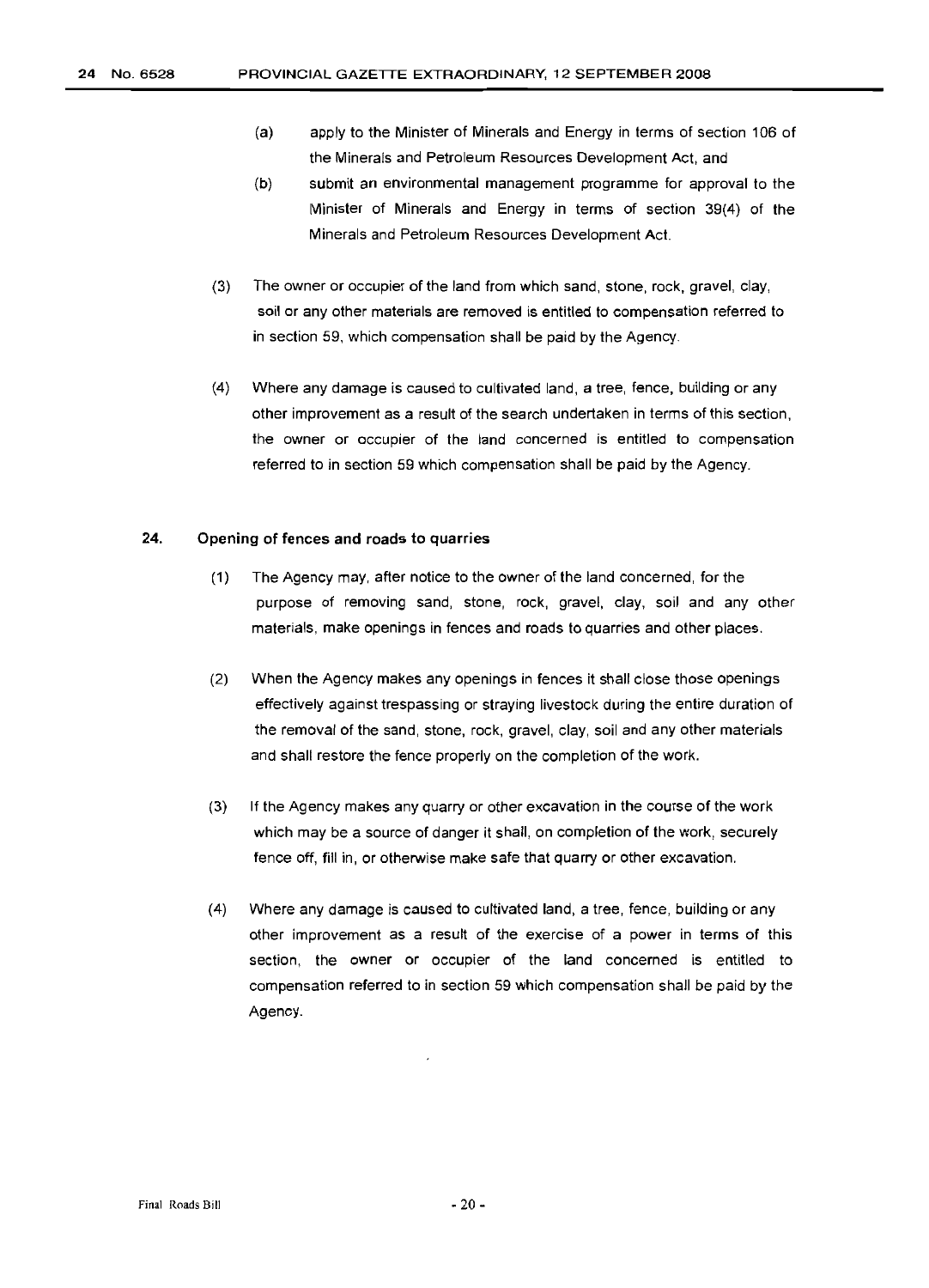- (a) apply to the Minister of Minerals and Energy in terms of section 106 of the Minerals and Petroleum Resources Development Act, and
- (b) submit an environmental management programme for approval to the Minister of Minerals and Energy in terms of section 39(4) of the Minerals and Petroleum Resources Development Act.
- (3) The owner or occupier of the land from which sand, stone, rock, gravel, clay, soil or any other materials are removed is entitled to compensation referred to in section 59, which compensation shall be paid by the Agency.
- (4) Where any damage is caused to cultivated land, a tree, fence, building or any other improvement as a result of the search undertaken in terms of this section, the owner or occupier of the land concerned is entitled to compensation referred to in section 59 which compensation shall be paid by the Agency.

#### 24. Opening of fences and roads to quarries

- (1) The Agency may, after notice to the owner of the land concerned, for the purpose of removing sand, stone, rock, gravel, clay, soil and any other materials, make openings in fences and roads to quarries and other places.
- (2) When the Agency makes any openings in fences it shall close those openings effectively against trespassing or straying livestock during the entire duration of the removal of the sand, stone, rock, gravel, clay, soil and any other materials and shall restore the fence properly on the completion of the work.
- (3) If the Agency makes any quarry or other excavation in the course of the work which may be a source of danger it shall, on completion of the work, securely fence off, fill in, or otherwise make safe that quarry or other excavation.
- (4) Where any damage is caused to cultivated land, a tree, fence, building or any other improvement as a result of the exercise of a power in terms of this section, the owner or occupier of the land concerned is entitled to compensation referred to in section 59 which compensation shall be paid by the Agency.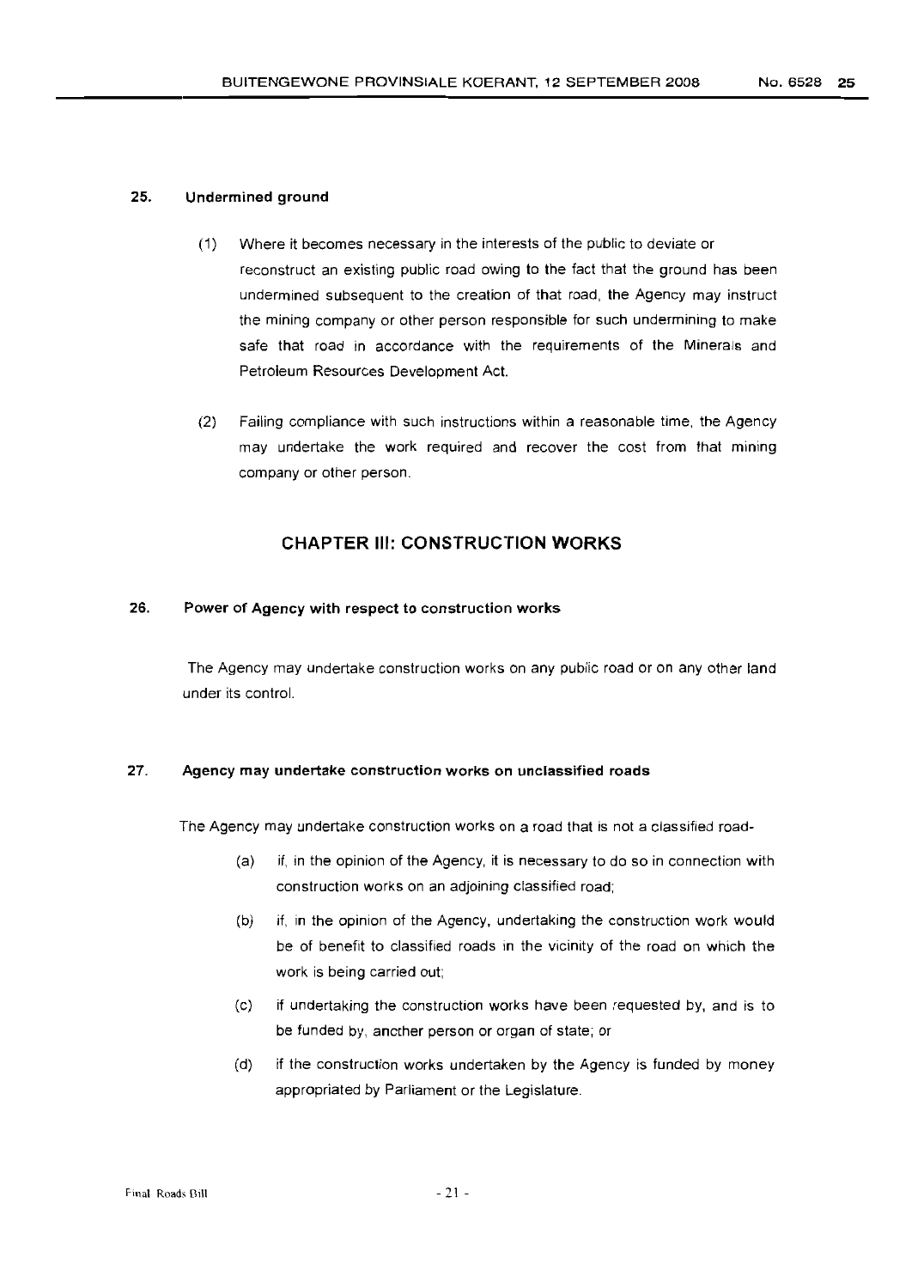#### 25. Undermined ground

- (1) Where it becomes necessary in the interests of the public to deviate or reconstruct an existing public road owing to the fact that the ground has been undermined subsequent to the creation of that road, the Agency may instruct the mining company or other person responsible for such undermining to make safe that road in accordance with the requirements of the Minerals and Petroleum Resources Development Act.
- (2) Failing compliance with such instructions within a reasonable time, the Agency may undertake the work required and recover the cost from that mining company or other person.

#### **CHAPTER III: CONSTRUCTION WORKS**

#### 26. Power of Agency with respect to construction works

The Agency may undertake construction works on any public road or on any other land under its control.

#### 27. Agency may undertake construction works on unclassified roads

The Agency may undertake construction works on a road that is not a classified road-

- (a) if, in the opinion of the Agency, it is necessary to do so in connection with construction works on an adjoining classified road;
- (b) if, in the opinion of the Agency, undertaking the construction work would be of benefit to classified roads in the vicinity of the road on which the work is being carried out;
- (c) if undertaking the construction works have been requested by, and is to be funded by, another person or organ of state; or
- (d) if the construction works undertaken by the Agency is funded by money appropriated by Parliament or the Legislature.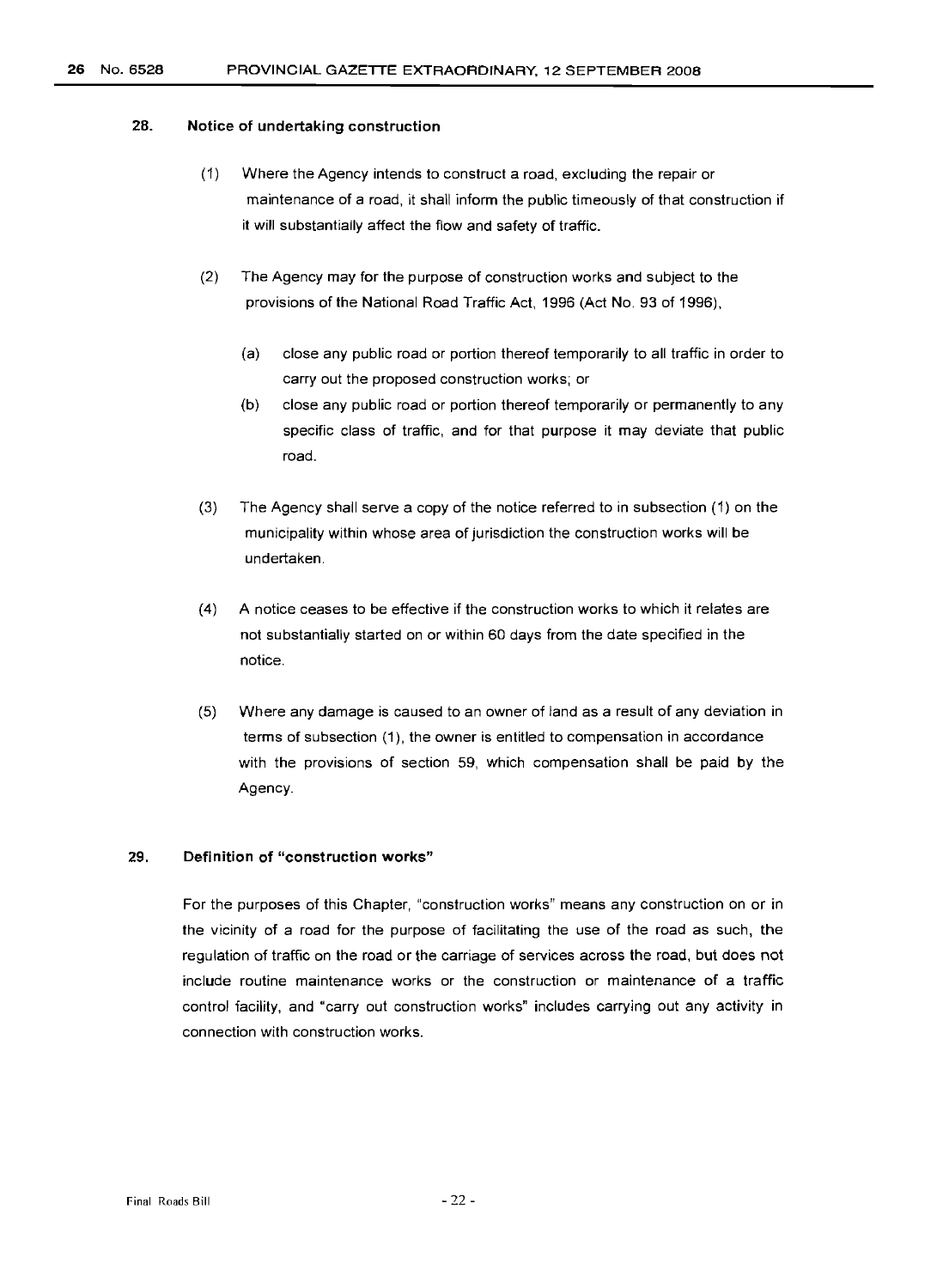#### 26 No. 6528 PROVINCIAL GAZETTE EXTRAORDINARY, 12 SEPTEMBER 2008

#### 28. Notice of undertaking construction

- (1) Where the Agency intends to construct a road, excluding the repair or maintenance of a road, it shall inform the public timeously of that construction if it will substantially affect the flow and safety of traffic.
- (2) The Agency may for the purpose of construction works and subject to the provisions of the National Road Traffic Act, 1996 (Act No. 93 of 1996),
	- (a) close any public road or portion thereof temporarily to all traffic in order to carry out the proposed construction works; or
	- (b) close any public road or portion thereof temporarily or permanently to any specific class of traffic, and for that purpose it may deviate that public road.
- (3) The Agency shall serve a copy of the notice referred to in subsection (1) on the municipality within whose area of jurisdiction the construction works will be undertaken.
- (4) A notice ceases to be effective if the construction works to which it relates are not substantially started on or within 60 days from the date specified in the notice.
- (5) Where any damage is caused to an owner of land as a result of any deviation in terms of subsection (1), the owner is entitled to compensation in accordance with the provisions of section 59, which compensation shall be paid by the Agency.

#### 29. Definition of "construction works"

For the purposes of this Chapter, "construction works" means any construction on or in the vicinity of a road for the purpose of facilitating the use of the road as such, the regulation of traffic on the road or the carriage of services across the road, but does not include routine maintenance works or the construction or maintenance of a traffic control facility, and "carry out construction works" includes carrying out any activity in connection with construction works.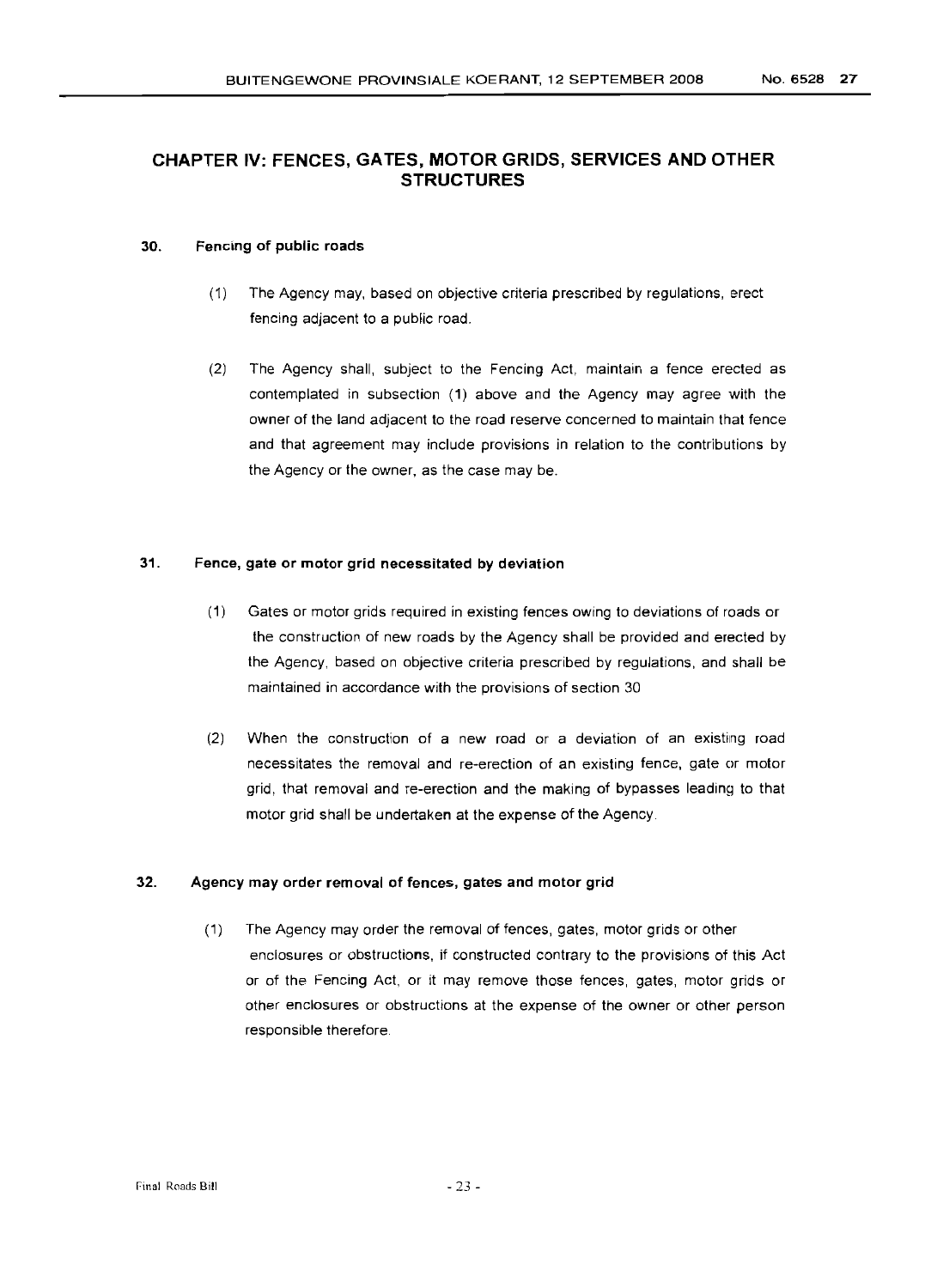## CHAPTER IV: FENCES, GATES, MOTOR GRIDS, SERVICES **AND** OTHER **STRUCTURES**

#### 30. Fencing of public roads

- (1) The Agency may, based on objective criteria prescribed by regulations, erect fencing adjacent to a public road.
- (2) The Agency shall, subject to the Fencing Act, maintain a fence erected as contemplated in subsection (1) above and the Agency may agree with the owner of the land adjacent to the road reserve concerned to maintain that fence and that agreement may include provisions in relation to the contributions by the Agency or the owner, as the case may be.

#### 31. Fence, gate or motor grid necessitated by deviation

- (1) Gates or motor grids required in existing fences owing to deviations of roads or the construction of new roads by the Agency shall be provided and erected by the Agency, based on objective criteria prescribed by regulations, and shall be maintained in accordance with the provisions of section 30
- (2) When the construction of a new road or a deviation of an existing road necessitates the removal and re-erection of an existing fence, gate or motor grid, that removal and re-erection and the making of bypasses leading to that motor grid shall be undertaken at the expense of the Agency.

#### 32. Agency may order removal of fences, gates and motor grid

(1) The Agency may order the removal of fences, gates, motor grids or other enclosures or obstructions, if constructed contrary to the provisions of this Act or of the Fencing Act, or it may remove those fences, gates, motor grids or other enclosures or obstructions at the expense of the owner or other person responsible therefore.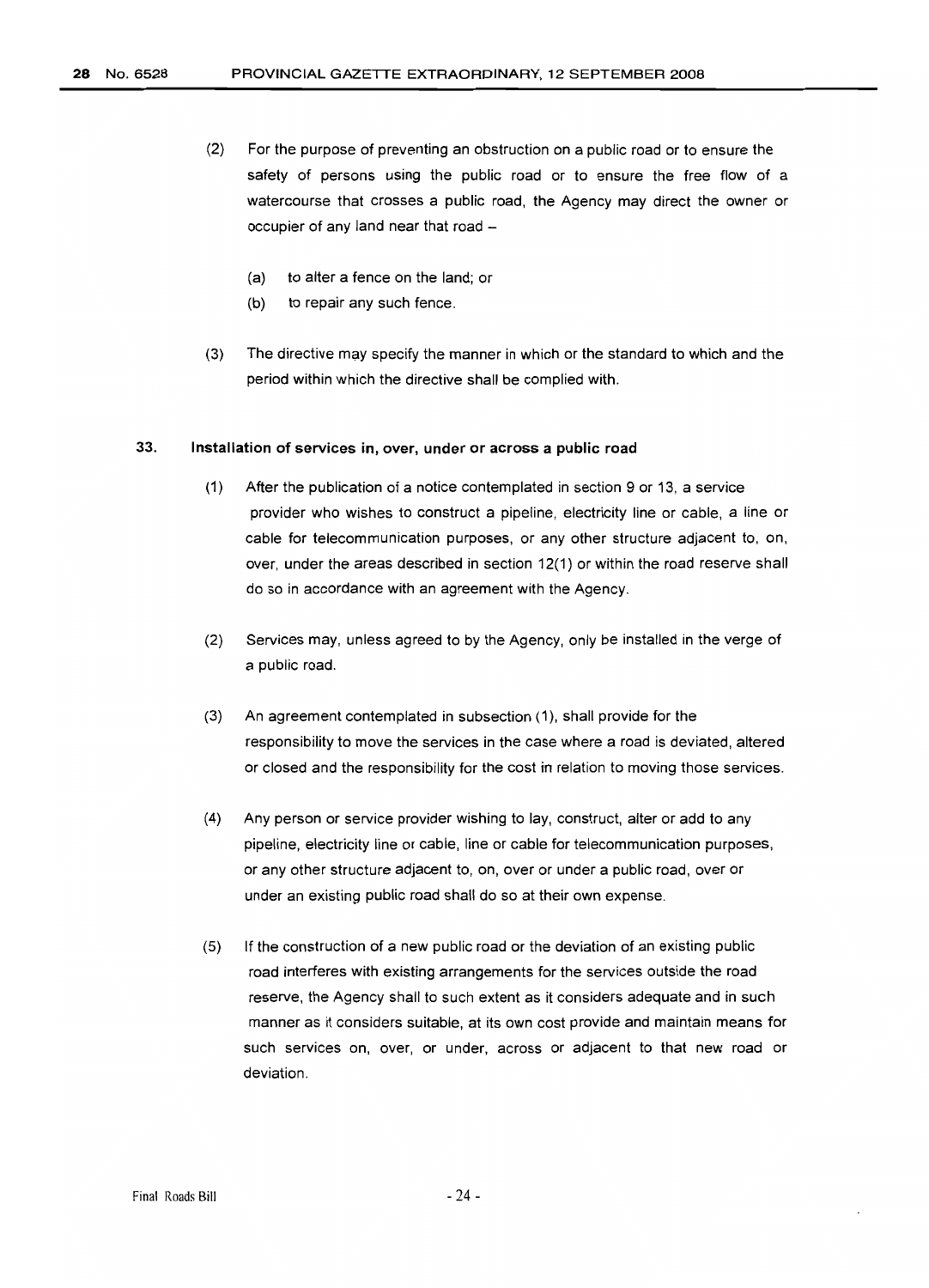- (2) For the purpose of preventing an obstruction on a public road or to ensure the safety of persons using the public road or to ensure the free flow of a watercourse that crosses a public road, the Agency may direct the owner or occupier of any land near that road -
	- (a) to alter a fence on the land; or
	- (b) to repair any such fence.
- (3) The directive may specify the manner in which or the standard to which and the period within which the directive shall be complied with.

#### 33. **Installation** of services in, over, **under or** across **a public road**

- (1) After the publication of a notice contemplated in section 9 or 13, a service provider who wishes to construct a pipeline, electricity line or cable, a line or cable for telecommunication purposes, or any other structure adjacent to, on, over, under the areas described in section 12(1) or within the road reserve shall do so in accordance with an agreement with the Agency.
- (2) Services may, unless agreed to by the Agency, only be installed in the verge of a public road.
- (3) An agreement contemplated in subsection (1), shall provide for the responsibility to move the services in the case where a road is deviated, altered or closed and the responsibility for the cost in relation to moving those services.
- (4) Any person or service provider wishing to lay, construct, alter or add to any pipeline, electricity line or cable, line or cable for telecommunication purposes, or any other structure adjacent to, on, over or under a public road, over or under an existing public road shall do so at their own expense.
- (5) If the construction of a new public road or the deviation of an existing public road interferes with existing arrangements for the services outside the road reserve, the Agency shall to such extent as it considers adequate and in such manner as it considers suitable, at its own cost provide and maintain means for such services on, over, or under, across or adjacent to that new road or deviation.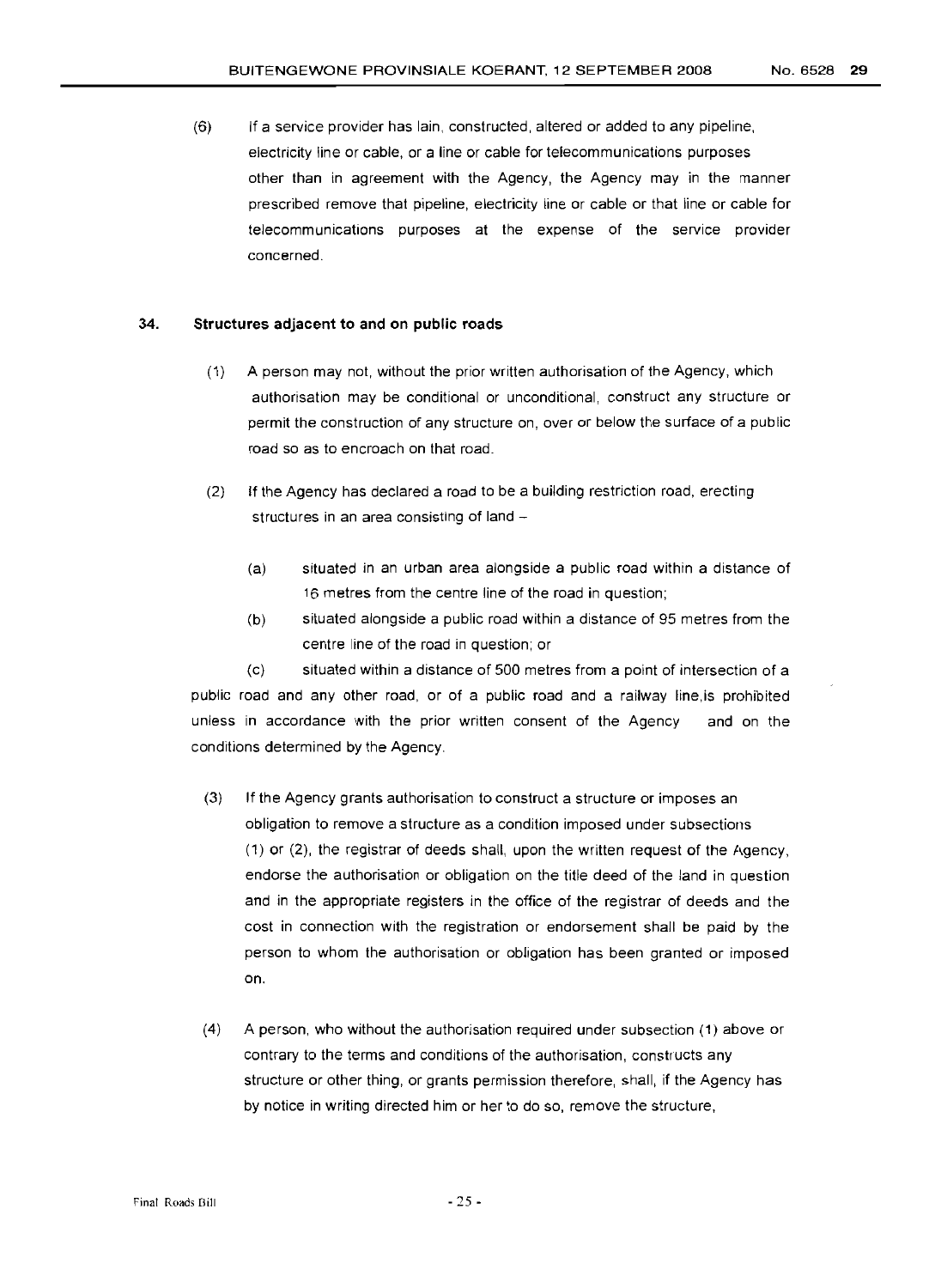(6) If a service provider has lain, constructed, altered or added to any pipeline, electricity line or cable, or a line or cable for telecommunications purposes other than in agreement with the Agency, the Agency may in the manner prescribed remove that pipeline, electricity line or cable or that line or cable for telecommunications purposes at the expense of the service provider concerned.

#### 34. **Structures adjacent to and on public roads**

- (1) A person may not, without the prior written authorisation of the Agency, which authorisation may be conditional or unconditional, construct any structure or permit the construction of any structure on, over or below the surface of a public road so as to encroach on that road.
- (2) If the Agency has declared a road to be a building restriction road, erecting structures in an area consisting of land -
	- (a) situated in an urban area alongside a public road within a distance of 16 metres from the centre line of the road in question;
	- (b) situated alongside a public road within a distance of 95 metres from the centre line of the road in question; or

(c) situated within a distance of 500 metres from a point of intersection of a public road and any other road, or of a public road and a railway line.is prohibited unless in accordance with the prior written consent of the Agency and on the conditions determined by the Agency.

- (3) If the Agency grants authorisation to construct a structure or imposes an obligation to remove a structure as a condition imposed under subsections (1) or (2), the registrar of deeds shall, upon the written request of the Agency, endorse the authorisation or obligation on the title deed of the land in question and in the appropriate registers in the office of the registrar of deeds and the cost in connection with the registration or endorsement shall be paid by the person to whom the authorisation or obligation has been granted or imposed on.
- (4) A person, who without the authorisation required under subsection (1) above or contrary to the terms and conditions of the authorisation, constructs any structure or other thing, or grants permission therefore, shall, if the Agency has by notice in writing directed him or her to do so, remove the structure,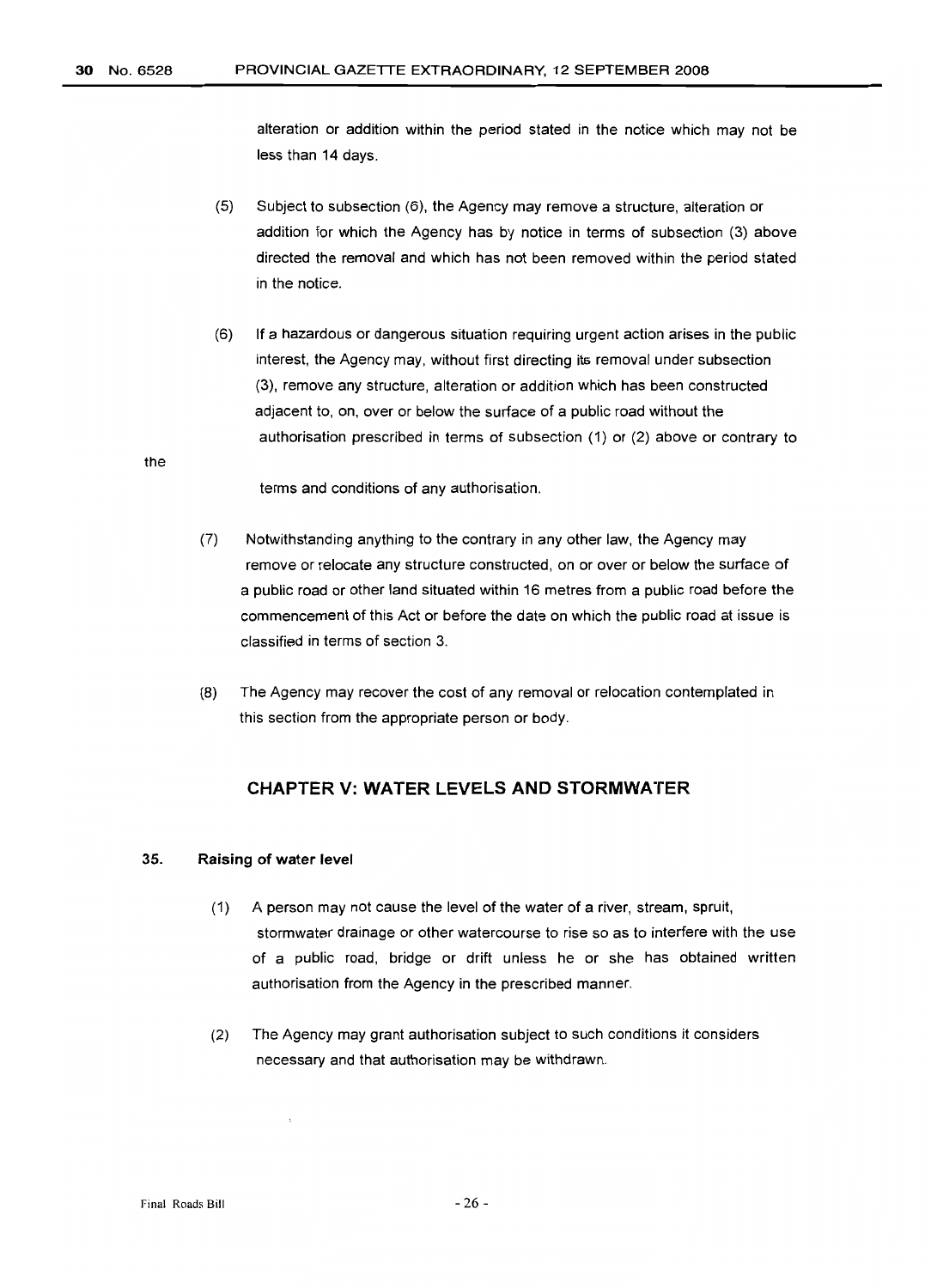alteration or addition within the period stated in the notice which may not be less than 14 days.

- (5) Subject to subsection (6), the Agency may remove a structure, alteration or addition for which the Agency has by notice in terms of subsection (3) above directed the removal and which has not been removed within the period stated in the notice.
- (6) If a hazardous or dangerous situation requiring urgent action arises in the public interest, the Agency may, without first directing its removal under subsection (3), remove any structure, alteration or addition which has been constructed adjacent to, on, over or below the surface of a public road without the authorisation prescribed in terms of subsection (1) or (2) above or contrary to

the

terms and conditions of any authorisation.

- (7) Notwithstanding anything to the contrary in any other law, the Agency may remove or relocate any structure constructed, on or over or below the surface of a public road or other land situated within 16 metres from a public road before the commencement of this Act or before the date on which the public road at issue is classified in terms of section 3.
- (8) The Agency may recover the cost of any removal or relocation contemplated in this section from the appropriate person or body.

## **CHAPTER V: WATER LEVELS AND STORMWATER**

#### 35. Raising of water level

- (1) A person may not cause the level of the water of a river, stream, spruit, stormwater drainage or other watercourse to rise so as to interfere with the use of a public road, bridge or drift unless he or she has obtained written authorisation from the Agency in the prescribed manner.
- (2) The Agency may grant authorisation subject to such conditions it considers necessary and that authorisation may be withdrawn.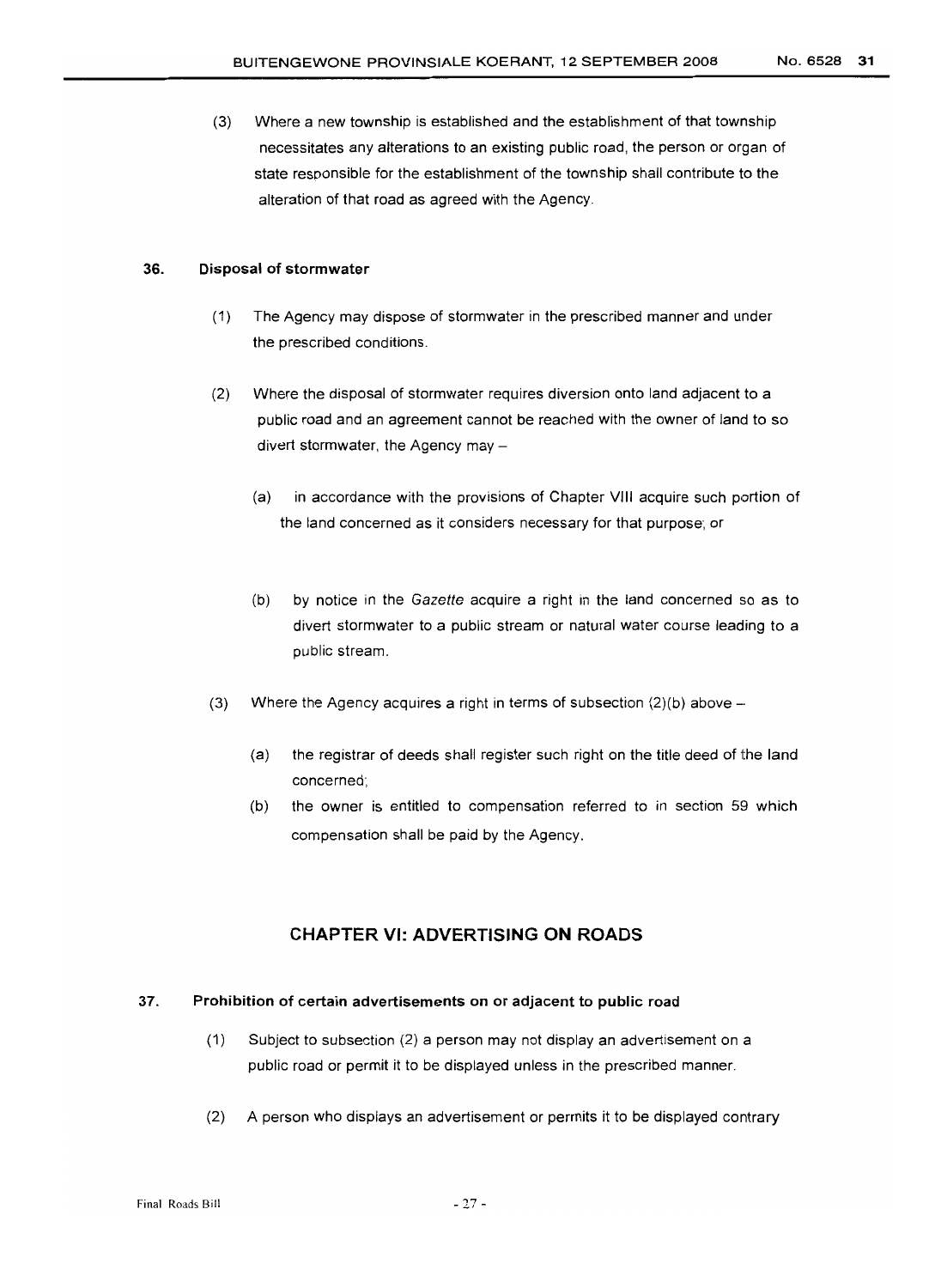(3) Where a new township is established and the establishment of that township necessitates any alterations to an existing public road, the person or organ of state responsible for the establishment of the township shall contribute to the alteration of that road as agreed with the Agency.

#### 36. Disposal of stormwater

- (1) The Agency may dispose of stormwater in the prescribed manner and under the prescribed conditions.
- (2) Where the disposal of stormwater requires diversion onto land adjacent to a public road and an agreement cannot be reached with the owner of land to so divert stormwater, the Agency may -
	- (a) in accordance with the provisions of Chapter VIII acquire such portion of the land concerned as it considers necessary for that purpose; or
	- (b) by notice in the Gazette acquire a right in the land concerned so as to divert stormwater to a public stream or natural water course leading to a public stream.
- (3) Where the Agency acquires a right in terms of subsection  $(2)(b)$  above -
	- (a) the registrar of deeds shall register such right on the title deed of the land concerned;
	- (b) the owner is entitled to compensation referred to in section 59 which compensation shall be paid by the Agency.

#### CHAPTER VI: ADVERTISING ON ROADS

#### 37. Prohibition of certain advertisements on or adjacent to public road

- (1) Subject to subsection (2) a person may not display an advertisement on a public road or permit it to be displayed unless in the prescribed manner.
- (2) A person who displays an advertisement or permits it to be displayed contrary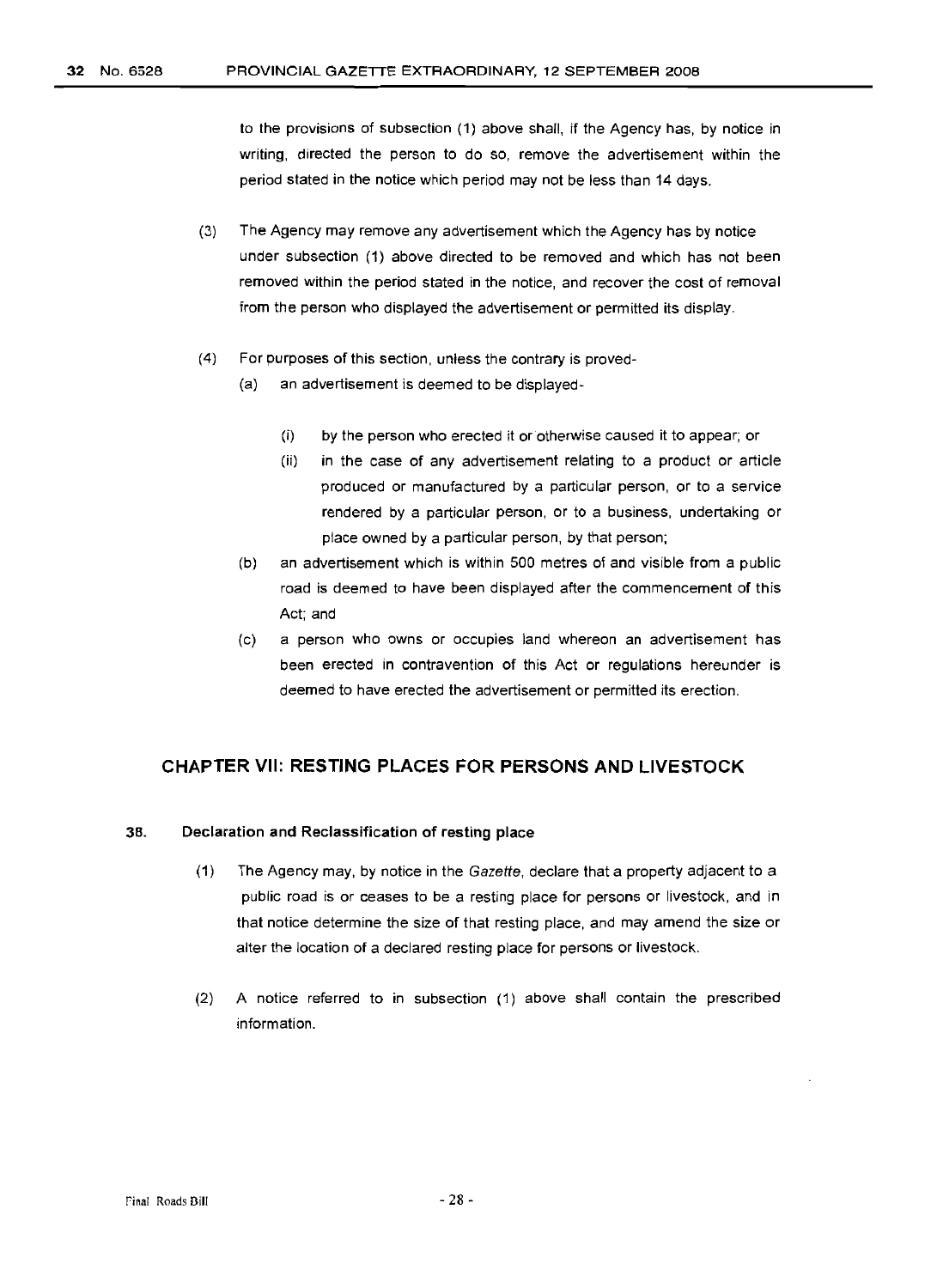to the provisions of subsection (1) above shall, if the Agency has, by notice in writing, directed the person to do so, remove the advertisement within the period stated in the notice which period may not be less than 14 days.

- (3) The Agency may remove any advertisement which the Agency has by notice under subsection (1) above directed to be removed and which has not been removed within the period stated in the notice, and recover the cost of removal from the person who displayed the advertisement or permitted its display.
- (4) For purposes of this section, unless the contrary is proved-
	- (a) an advertisement is deemed to be displayed-
		- (i) by the person who erected it or otherwise caused it to appear; or
		- (ii) in the case of any advertisement relating to a product or article produced or manufactured by a particular person, or to a service rendered by a particular person, or to a business, undertaking or place owned by a particular person, by that person;
	- (b) an advertisement which is within 500 metres of and visible from a public road is deemed to have been displayed after the commencement of this Act; and
	- (c) a person who owns or occupies land whereon an advertisement has been erected in contravention of this Act or regulations hereunder is deemed to have erected the advertisement or permitted its erection.

#### **CHAPTER VII: RESTING PLACES FOR PERSONS AND LIVESTOCK**

#### 38. **Declaration and Reclassification of resting place**

- (1) The Agency may, by notice in the Gazette, declare that a property adjacent to a public road is or ceases to be a resting place for persons or livestock, and in that notice determine the size of that resting place, and may amend the size or alter the location of a declared resting place for persons or livestock.
- (2) A notice referred to in subsection (1) above shall contain the prescribed information.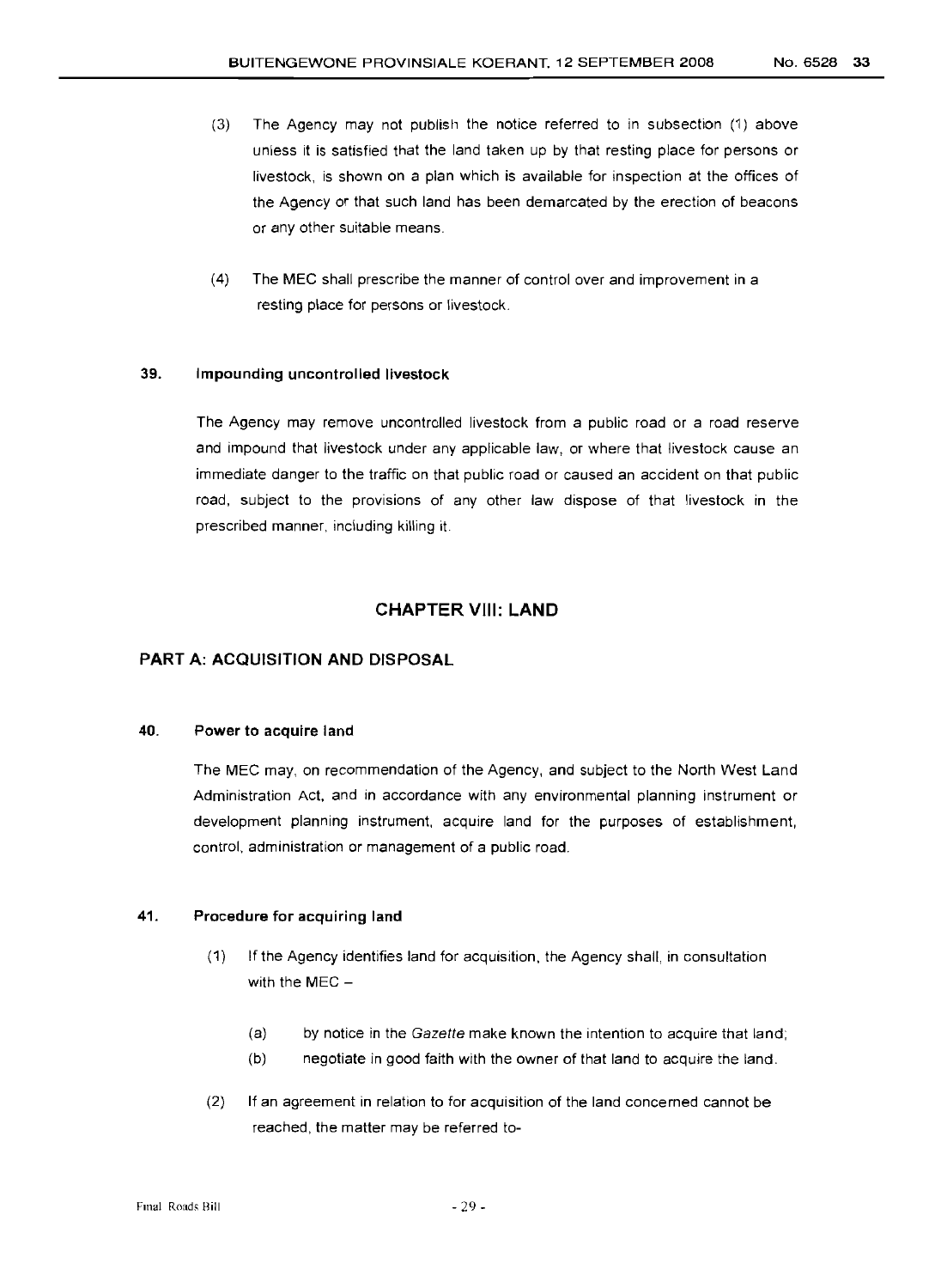- (3) The Agency may not publish the notice referred to in subsection (1) above unless it is satisfied that the land taken up by that resting place for persons or livestock, is shown on a plan which is available for inspection at the offices of the Agency or that such land has been demarcated by the erection of beacons or any other suitable means.
- (4) The MEC shall prescribe the manner of control over and improvement in a resting place for persons or livestock.

#### 39. Impounding uncontrolled livestock

The Agency may remove uncontrolled livestock from a public road or a road reserve and impound that livestock under any applicable law, or where that livestock cause an immediate danger to the traffic on that public road or caused an accident on that public road, subject to the provisions of any other law dispose of that livestock in the prescribed manner, including killing it.

#### CHAPTER VIII: **LAND**

#### PART A: ACQUISITION AND DISPOSAL

#### 40. Power to acquire land

The MEC may, on recommendation of the Agency, and subject to the North West Land Administration Act, and in accordance with any environmental planning instrument or development planning instrument, acquire land for the purposes of establishment, control, administration or management of a public road.

#### 41. Procedure for acquiring land

- (1) If the Agency identifies land for acquisition, the Agency shall, in consultation with the  $MEC -$ 
	- (a) by notice in the Gazette make known the intention to acquire that land;
	- (b) negotiate in good faith with the owner of that land to acquire the land.
- (2) If an agreement in relation to for acquisition of the land concerned cannot be reached, the matter may be referred to-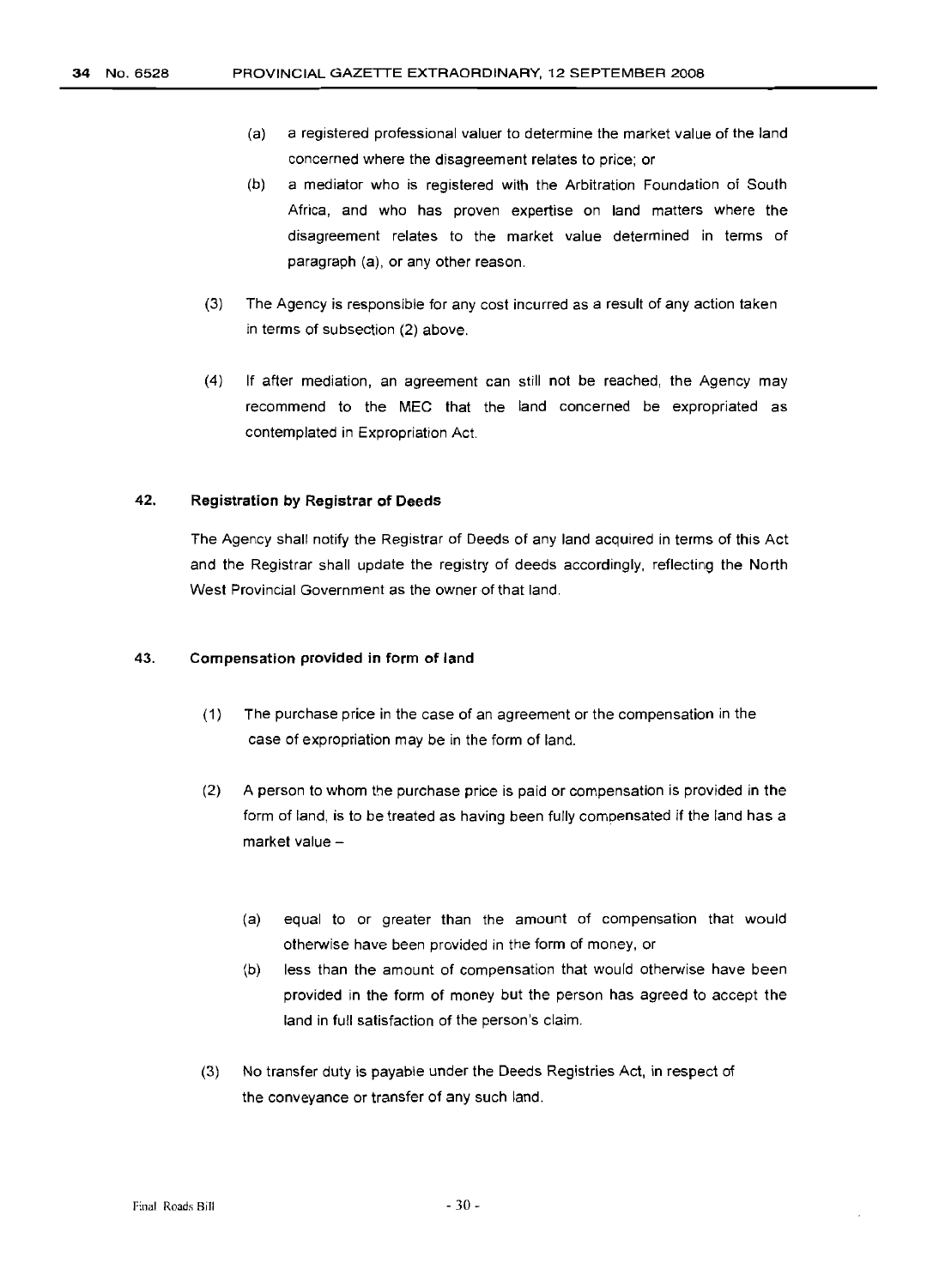- (a) a registered professional valuer to determine the market value of the land concerned where the disagreement relates to price; or
- (b) a mediator who is registered with the Arbitration Foundation of South Africa, and who has proven expertise on land matters where the disagreement relates to the market value determined in terms of paragraph (a), or any other reason.
- (3) The Agency is responsible for any cost incurred as a result of any action taken in terms of subsection (2) above.
- (4) If after mediation, an agreement can still not be reached, the Agency may recommend to the MEC that the land concerned be expropriated as contemplated in Expropriation Act.

#### 42. **Registration by Registrar of Deeds**

The Agency shall notify the Registrar of Deeds of any land acquired in terms of this Act and the Registrar shall update the registry of deeds accordingly, reflecting the North West Provincial Government as the owner of that land.

#### 43. **Compensation provided in form of land**

- (1) The purchase price in the case of an agreement or the compensation in the case of expropriation may be in the form of land.
- (2) A person to whom the purchase price is paid or compensation is provided in the form of land, is to be treated as having been fully compensated if the land has a market value -
	- (a) equal to or greater than the amount of compensation that would otherwise have been provided in the form of money, or
	- (b) less than the amount of compensation that would otherwise have been provided in the form of money but the person has agreed to accept the land in full satisfaction of the person's claim.
- (3) No transfer duty is payable under the Deeds Registries Act, in respect of the conveyance or transfer of any such land.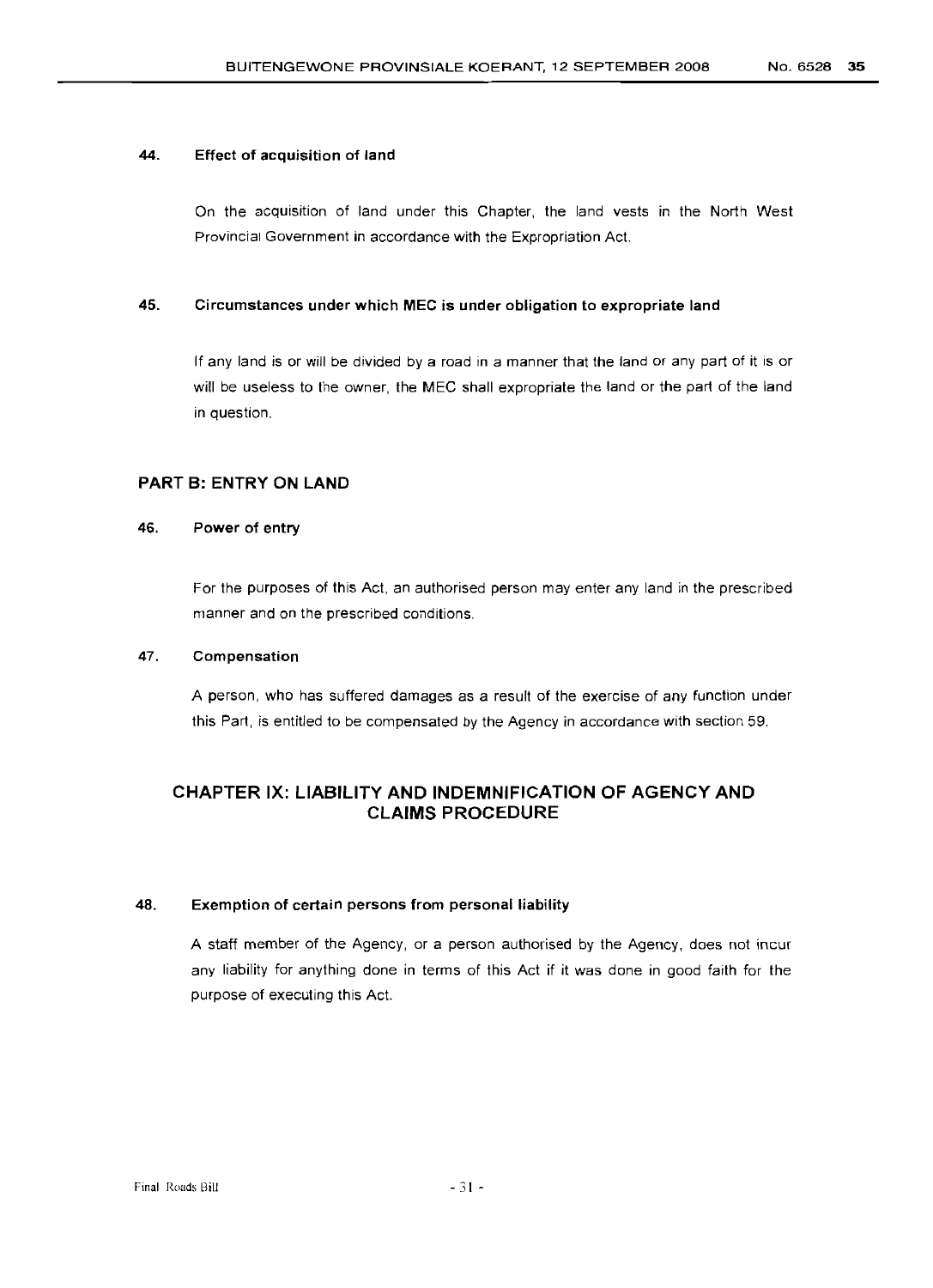#### 44. Effect of acquisition of land

On the acquisition of land under this Chapter, the land vests in the North West Provincial Government in accordance with the Expropriation Act.

#### 45. Circumstances under which MEC is under obligation to expropriate land

If any land is or will be divided by a road in a manner that the land or any part of it is or will be useless to the owner, the MEC shall expropriate the land or the part of the land in question.

#### PART B: ENTRY ON LAND

#### 46. Power of entry

For the purposes of this Act, an authorised person may enter any land in the prescribed manner and on the prescribed conditions.

#### 47. Compensation

A person, who has suffered damages as a result of the exercise of any function under this Part, is entitled to be compensated by the Agency in accordance with section 59.

#### CHAPTER IX: LIABILITY AND INDEMNIFICATION OF AGENCY AND CLAIMS PROCEDURE

#### 48. Exemption of certain persons from personal liability

A staff member of the Agency, or a person authorised by the Agency, does not incur any liability for anything done in terms of this Act if it was done in good faith for the purpose of executing this Act.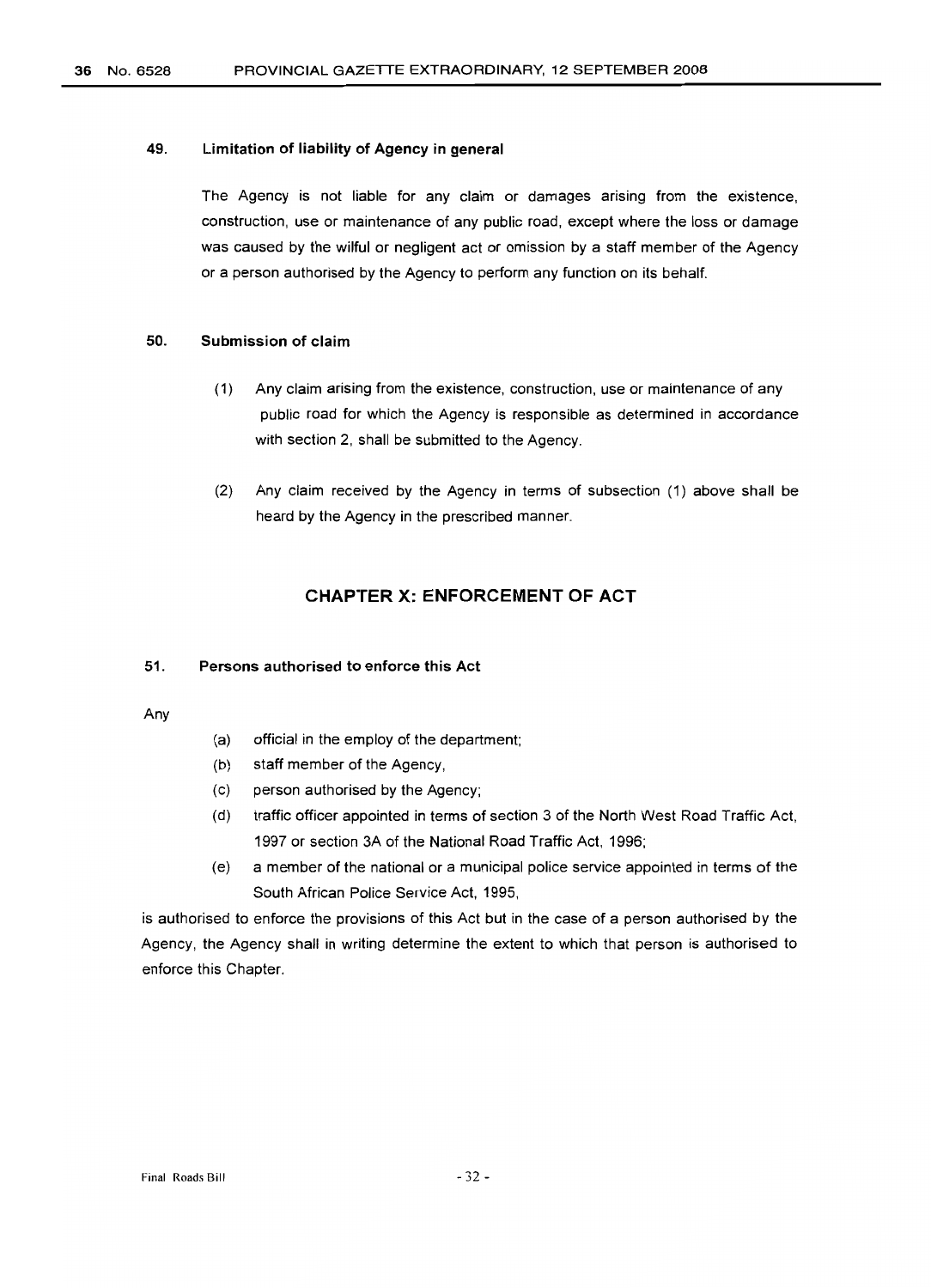#### 49. **Limitation of liability of Agency in general**

The Agency is not liable for any claim or damages arising from the existence, construction, use or maintenance of any public road, except where the loss or damage was caused by the wilful or negligent act or omission by a staff member of the Agency or a person authorised by the Agency to perform any function on its behalf.

#### 50. **Submission of claim**

- (1) Any claim arising from the existence, construction, use or maintenance of any public road for which the Agency is responsible as determined in accordance with section 2, shall be submitted to the Agency.
- (2) Any claim received by the Agency in terms of subsection (1) above shall be heard by the Agency in the prescribed manner.

#### **CHAPTER X: ENFORCEMENT OF ACT**

#### 51. **Persons authorised to enforce this Act**

Any

- (a) official in the employ of the department;
- (b) staff member of the Agency,
- (c) person authorised by the Agency;
- (d) traffic officer appointed in terms of section 3 of the North West Road Traffic Act, 1997 or section 3A of the National Road Traffic Act, 1996;
- (e) a member of the national or a municipal police service appointed in terms of the South African Police Service Act, 1995,

is authorised to enforce the provisions of this Act but in the case of a person authorised by the Agency, the Agency shall in writing determine the extent to which that person is authorised to enforce this Chapter.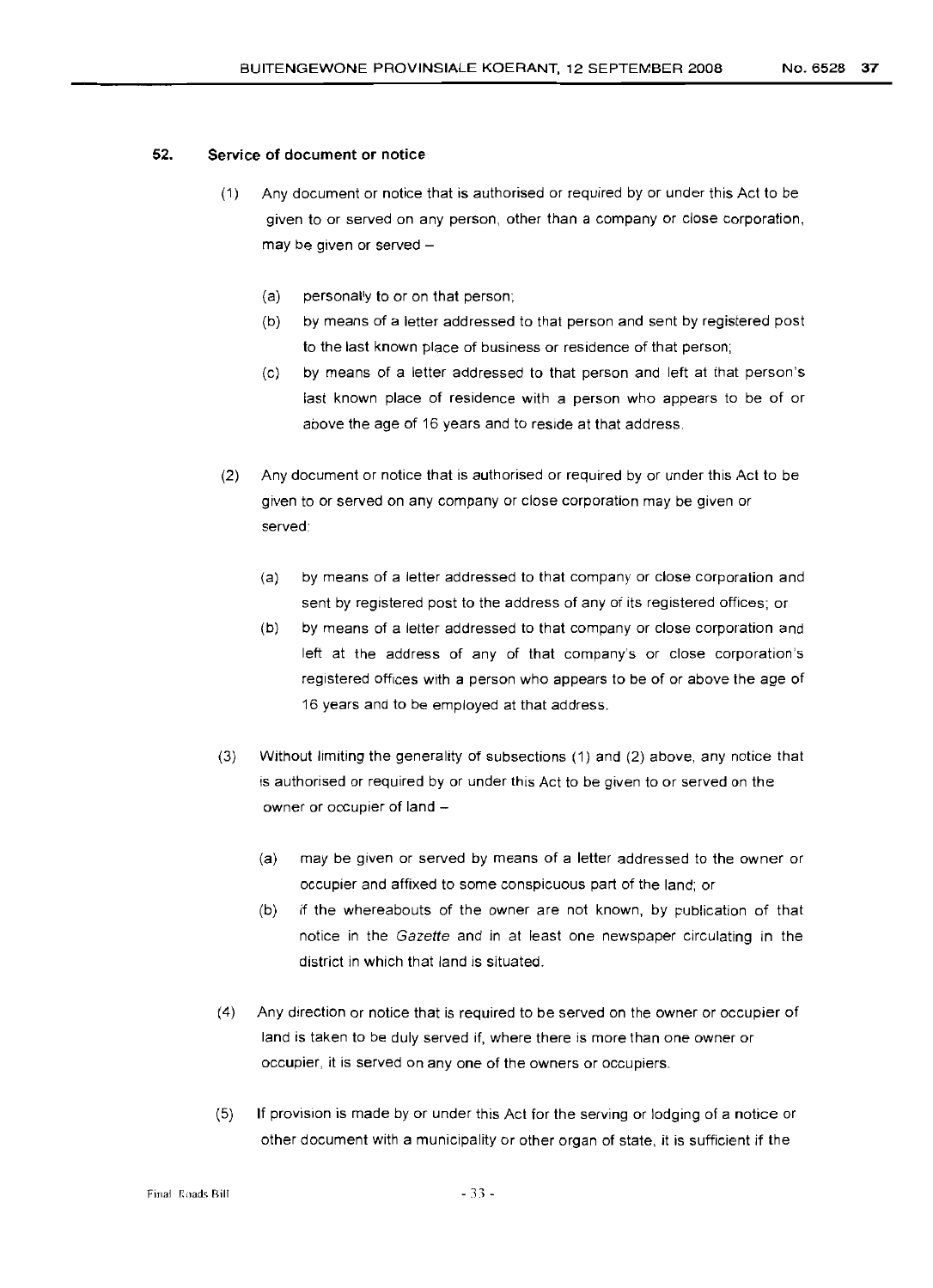#### 52. **Service of document or notice**

- (1) Any document or notice that is authorised or required by or under this Act to be given to or served on any person, other than a company or close corporation, may be given or served  $-$ 
	- (a) personally to or on that person;
	- (b) by means of a letter addressed to that person and sent by registered post to the last known place of business or residence of that person;
	- (c) by means of a letter addressed to that person and left at that person's last known place of residence with a person who appears to be of or above the age of 16 years and to reside at that address.
- (2) Any document or notice that is authorised or required by or under this Act to be given to or served on any company or close corporation may be given or served:
	- (a) by means of a letter addressed to that company or close corporation and sent by registered post to the address of any of its registered offices; or
	- (b) by means of a letter addressed to that company or close corporation and left at the address of any of that company's or close corporation's registered offices with a person who appears to be of or above the age of 16 years and to be employed at that address.
- (3) Without limiting the generality of subsections (1) and (2) above, any notice that is authorised or required by or under this Act to be given to or served on the owner or occupier of land -
	- (a) may be given or served by means of a letter addressed to the owner or occupier and affixed to some conspicuous part of the land; or
	- (b) if the whereabouts of the owner are not known, by publication of that notice in the Gazette and in at least one newspaper circulating in the district in which that land is situated.
- (4) Any direction or notice that is required to be served on the owner or occupier of land is taken to be duly served if, where there is more than one owner or occupier, it is served on anyone of the owners or occupiers.
- (5) If provision is made by or under this Act for the serving or lodging of a notice or other document with a municipality or other organ of state, it is sufficient if the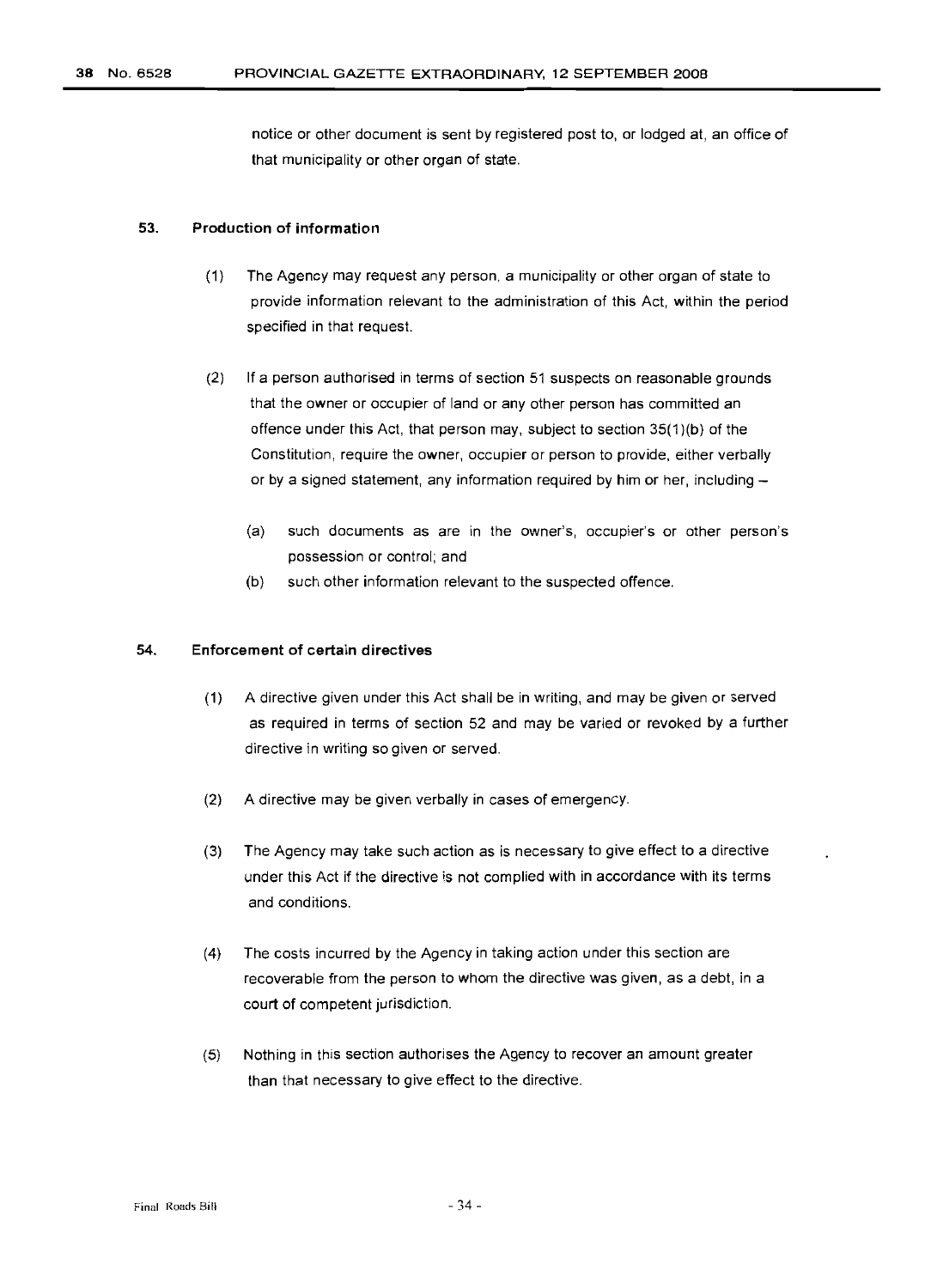notice or other document is sent by registered post to, or lodged at, an office of that municipality or other organ of state.

#### 53. Production of information

- (1) The Agency may request any person, a municipality or other organ of state to provide information relevant to the administration of this Act, within the period specified in that request.
- (2) If a person authorised in terms of section 51 suspects on reasonable grounds that the owner or occupier of land or any other person has committed an offence under this Act, that person may, subject to section 35(1)(b) of the Constitution, require the owner, occupier or person to provide, either verbally or by a signed statement, any information required by him or her, including  $-$ 
	- (a) such documents as are in the owner's, occupier's or other person's possession or control; and
	- (b) such other information relevant to the suspected offence.

## 54. Enforcement of certain directives

- (1) A directive given under this Act shall be in writing, and may be given or served as required in terms of section 52 and may be varied or revoked by a further directive in writing so given or served.
- (2) A directive may be given verbally in cases of emergency.
- (3) The Agency may take such action as is necessary to give effect to a directive under this Act if the directive is not complied with in accordance with its terms and conditions.
- (4) The costs incurred by the Agency in taking action under this section are recoverable from the person to whom the directive was given, as a debt, in a court of competent jurisdiction.
- (5) Nothing in this section authorises the Agency to recover an amount greater than that necessary to give effect to the directive.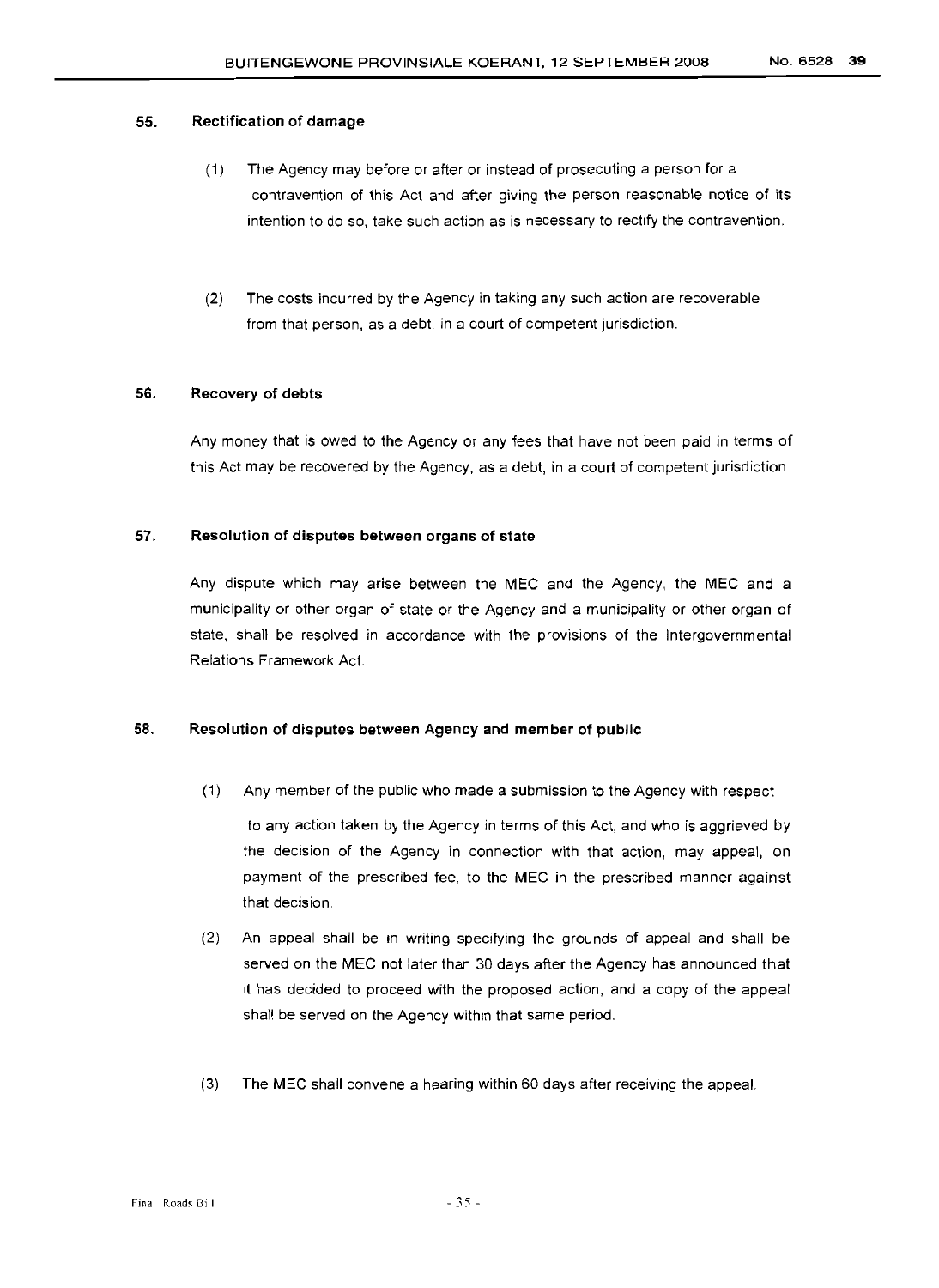#### 55. Rectification of damage

- (1) The Agency may before or after or instead of prosecuting a person for a contravention of this Act and after giving the person reasonable notice of its intention to do so, take such action as is necessary to rectify the contravention.
- (2) The costs incurred by the Agency in taking any such action are recoverable from that person, as a debt, in a court of competent jurisdiction.

# 56. Recovery of debts

Any money that is owed to the Agency or any fees that have not been paid in terms of this Act may be recovered by the Agency, as a debt, in a court of competent jurisdiction.

#### 57. Resolution of disputes between organs of state

Any dispute which may arise between the MEC and the Agency, the MEC and a municipality or other organ of state or the Agency and a municipality or other organ of state, shall be resolved in accordance with the provisions of the Intergovernmental Relations Framework Act.

# 58. Resolution of disputes between Agency and member of public

(1) Any member of the public who made a submission to the Agency with respect

to any action taken by the Agency in terms of this Act, and who is aggrieved by the decision of the Agency in connection with that action, may appeal, on payment of the prescribed fee, to the MEC in the prescribed manner against that decision.

- (2) An appeal shall be in writing specifying the grounds of appeal and shall be served on the MEC not later than 30 days after the Agency has announced that it has decided to proceed with the proposed action, and a copy of the appeal shall be served on the Agency within that same period.
- (3) The MEC shall convene a hearing within 60 days after receiving the appeal.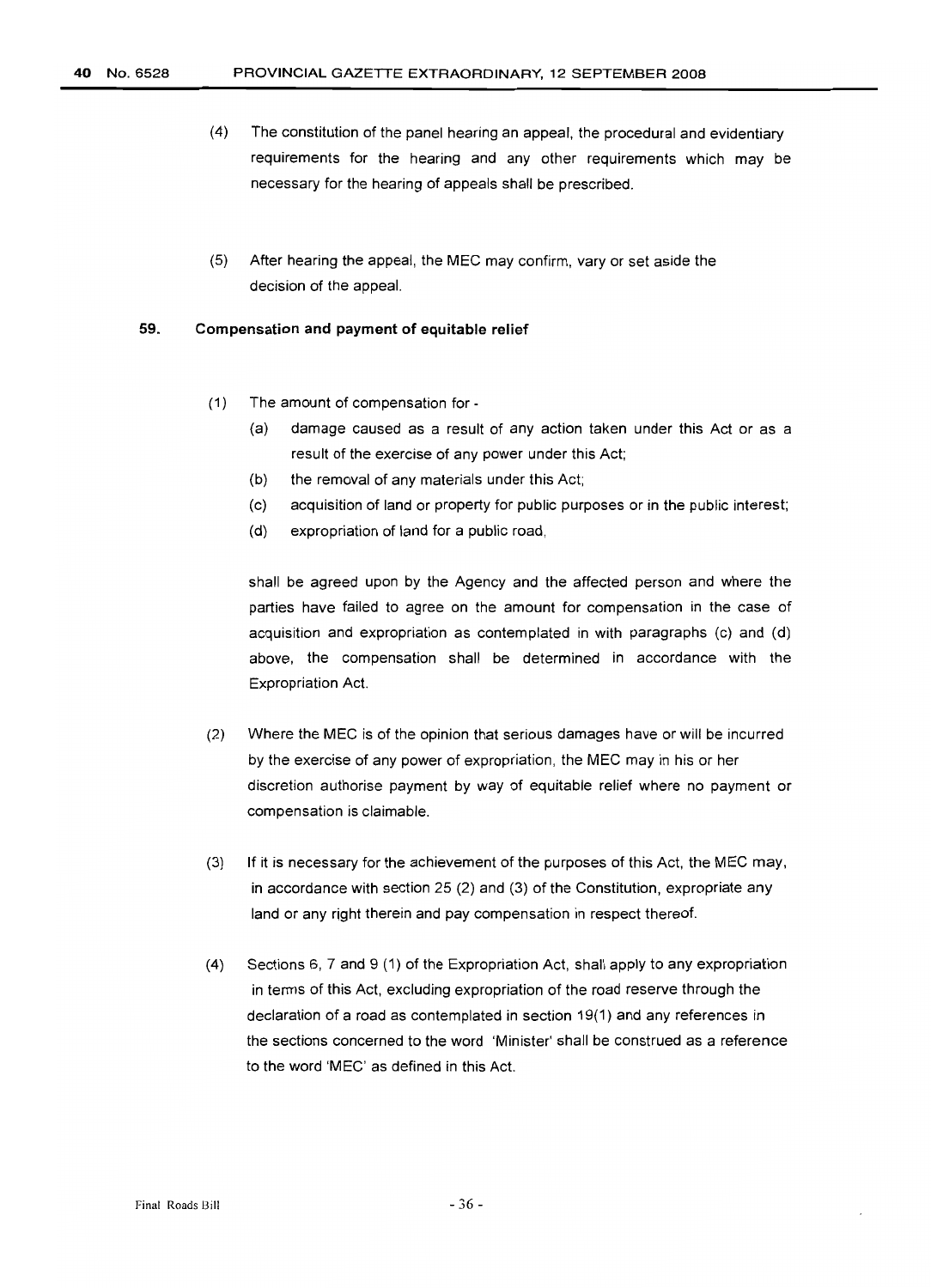- (4) The constitution of the panel hearing an appeal, the procedural and evidentiary requirements for the hearing and any other requirements which may be necessary for the hearing of appeals shall be prescribed.
- (5) After hearing the appeal, the MEC may confirm, vary or set aside the decision of the appeal.

#### 59. **Compensation and payment of equitable relief**

- (1) The amount of compensation for-
	- (a) damage caused as a result of any action taken under this Act or as a result of the exercise of any power under this Act;
	- (b) the removal of any materials under this Act;
	- (c) acquisition of land or property for public purposes or in the public interest;
	- (d) expropriation of land for a public road,

shall be agreed upon by the Agency and the affected person and where the parties have failed to agree on the amount for compensation in the case of acquisition and expropriation as contemplated in with paragraphs (c) and (d) above, the compensation shall be determined in accordance with the Expropriation Act.

- (2) Where the MEC is of the opinion that serious damages have or will be incurred by the exercise of any power of expropriation, the MEC may in his or her discretion authorise payment by way of equitable relief where no payment or compensation is claimable.
- (3) If it is necessary for the achievement of the purposes of this Act, the MEC may, in accordance with section 25 (2) and (3) of the Constitution, expropriate any land or any right therein and pay compensation in respect thereof.
- (4) Sections 6,7 and 9 (1) of the Expropriation Act, shall apply to any expropriation in terms of this Act, excluding expropriation of the road reserve through the declaration of a road as contemplated in section 19(1) and any references in the sections concerned to the word 'Minister' shall be construed as a reference to the word 'MEC' as defined in this Act.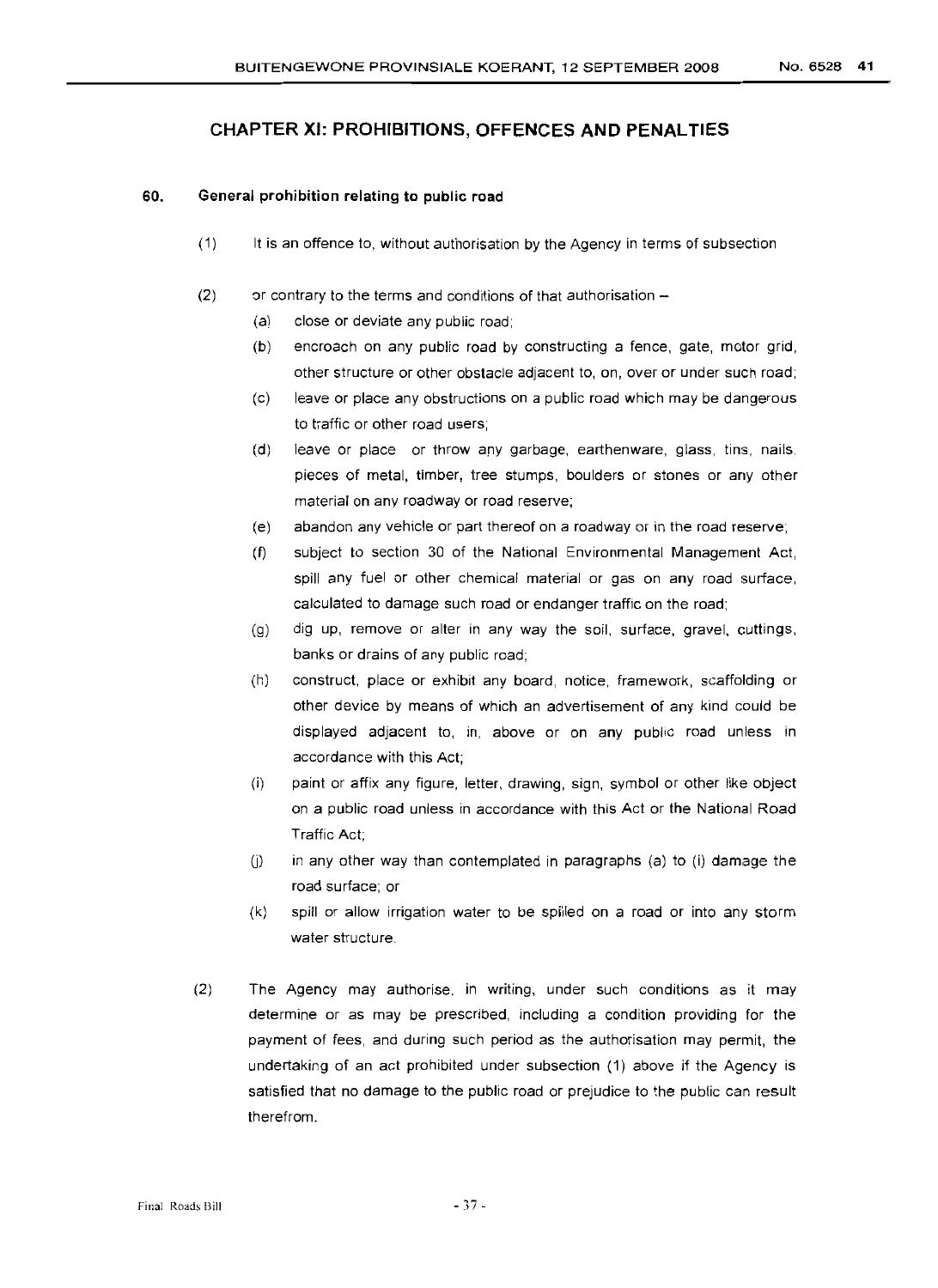# **CHAPTER XI: PROHIBITIONS, OFFENCES AND PENALTIES**

# 60. **General prohibition relating to public road**

- (1) It is an offence to, without authorisation by the Agency in terms of subsection
- (2) or contrary to the terms and conditions of that authorisation -
	- (a) close or deviate any public road;
	- (b) encroach on any public road by constructing a fence, gate, motor grid, other structure or other obstacle adjacent to, on, over or under such road;
	- (c) leave or place any obstructions on a public road which may be dangerous to traffic or other road users;
	- (d) leave or place or throw any garbage, earthenware, glass, tins, nails, pieces of metal, timber, tree stumps, boulders or stones or any other material on any roadway or road reserve;
	- (e) abandon any vehicle or part thereof on a roadway or in the road reserve;
	- (f) subject to section 30 of the National Environmental Management Act, spill any fuel or other chemical material or gas on any road surface, calculated to damage such road or endanger traffic on the road;
	- (g) dig up, remove or alter in any way the soil, surface, gravel, cuttings, banks or drains of any public road;
	- (h) construct, place or exhibit any board, notice, framework, scaffolding or other device by means of which an advertisement of any kind could be displayed adjacent to, in, above or on any public road unless in accordance with this Act;
	- (i) paint or affix any figure, letter, drawing, sign, symbol or other like object on a public road unless in accordance with this Act or the National Road Traffic Act;
	- $(i)$  in any other way than contemplated in paragraphs  $(a)$  to  $(i)$  damage the road surface; or
	- (k) spill or allow irrigation water to be spilled on a road or into any storm water structure.
- (2) The Agency may authorise, in writing, under such conditions as it may determine or as may be prescribed, including a condition providing for the payment of fees, and during such period as the authorisation may permit, the undertaking of an act prohibited under subsection (1) above if the Agency is satisfied that no damage to the public road or prejudice to the public can result therefrom.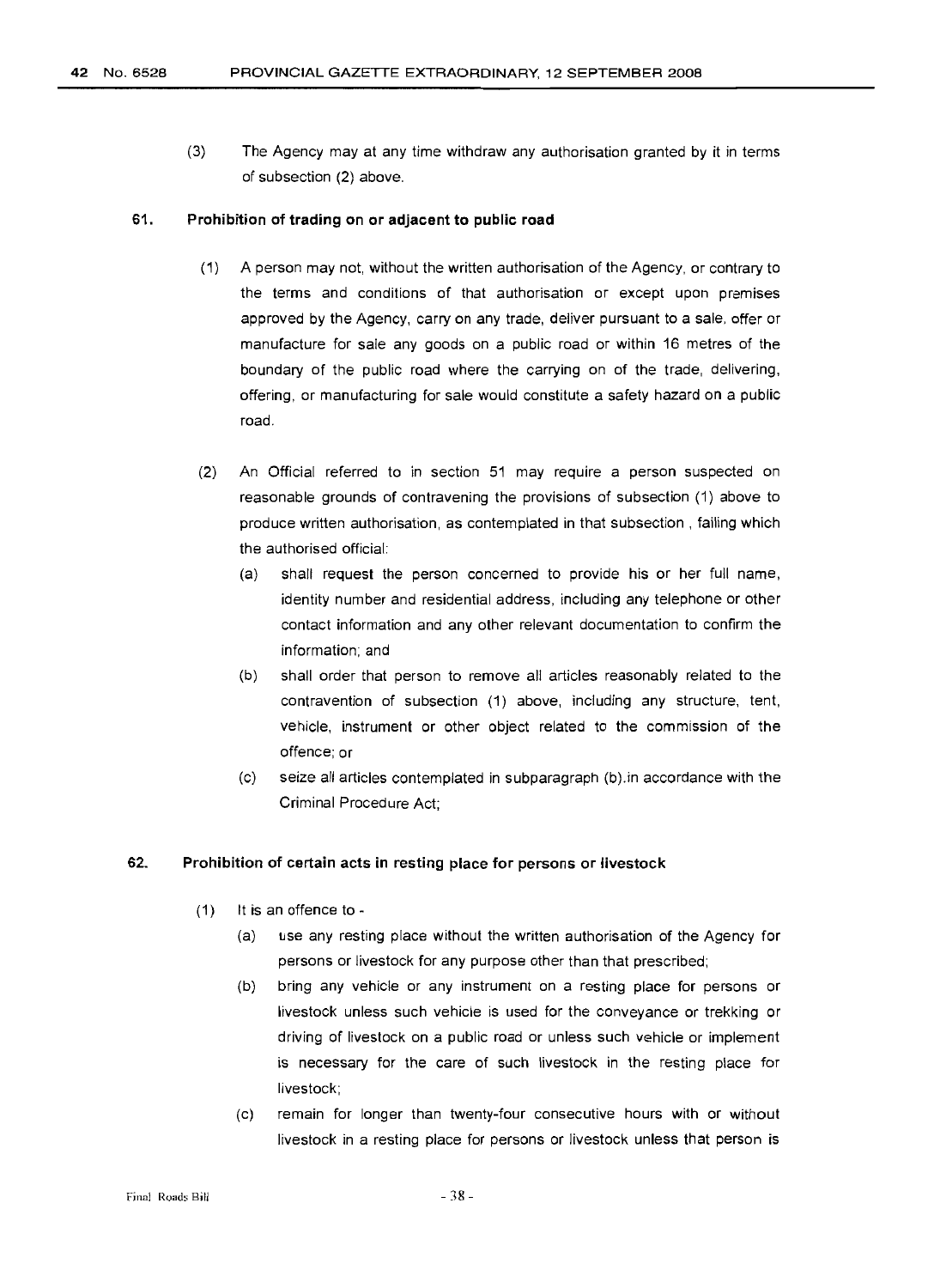(3) The Agency may at any time withdraw any authorisation granted by it in terms of subsection (2) above.

#### 61. Prohibition of trading on or adjacent to public road

- (1) A person may not, without the written authorisation of the Agency, or contrary to the terms and conditions of that authorisation or except upon premises approved by the Agency, carry on any trade, deliver pursuant to a sale, offer or manufacture for sale any goods on a public road or within 16 metres of the boundary of the public road where the carrying on of the trade, delivering, offering, or manufacturing for sale would constitute a safety hazard on a public road.
- (2) An Official referred to in section 51 may require a person suspected on reasonable grounds of contravening the provisions of subsection (1) above to produce written authorisation, as contemplated in that subsection, failing which the authorised official:
	- (a) shall request the person concerned to provide his or her full name, identity number and residential address, including any telephone or other contact information and any other relevant documentation to confirm the information; and
	- (b) shall order that person to remove all articles reasonably related to the contravention of subsection (1) above, including any structure, tent, vehicle, instrument or other object related to the commission of the offence; or
	- (c) seize all articles contemplated in subparagraph (b).in accordance with the Criminal Procedure Act;

#### 62. Prohibition of certain acts in resting place for persons or livestock

- (1) It is an offence to
	- (a) use any resting place without the written authorisation of the Agency for persons or livestock for any purpose other than that prescribed;
	- (b) bring any vehicle or any instrument on a resting place for persons or livestock unless such vehicle is used for the conveyance or trekking or driving of livestock on a public road or unless such vehicle or implement is necessary for the care of such livestock in the resting place for livestock;
	- (c) remain for longer than twenty-four consecutive hours with or without livestock in a resting place for persons or livestock unless that person is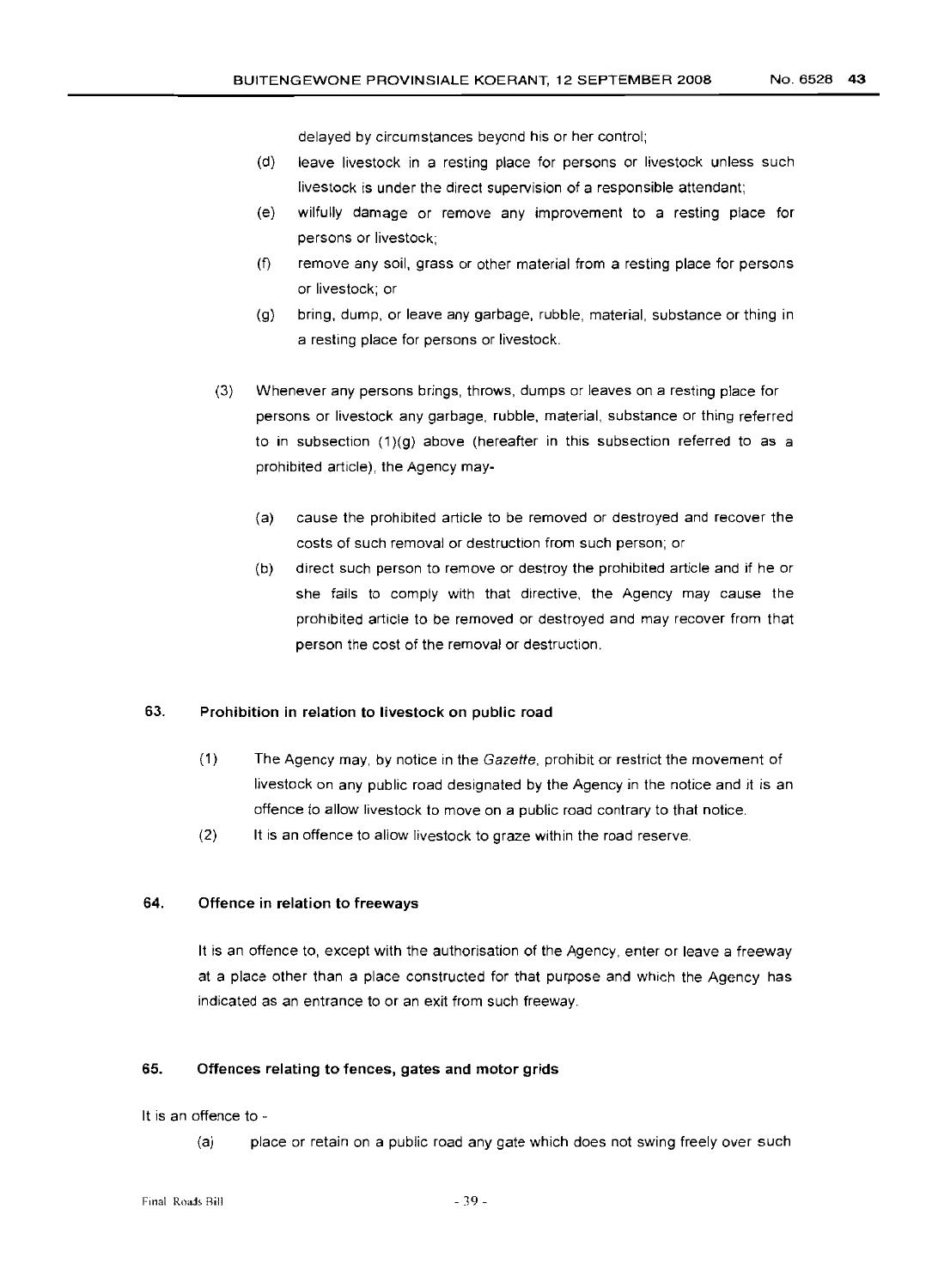delayed by circumstances beyond his or her control;

- (d) leave livestock in a resting place for persons or livestock unless such livestock is under the direct supervision of a responsible attendant;
- (e) wilfully damage or remove any improvement to a resting place for persons or livestock;
- (f) remove any soil, grass or other material from a resting place for persons or livestock; or
- (g) bring, dump, or leave any garbage, rubble, material, substance or thing in a resting place for persons or livestock.
- (3) Whenever any persons brings, throws, dumps or leaves on a resting place for persons or livestock any garbage, rubble, material, substance or thing referred to in subsection (1)(g) above (hereafter in this subsection referred to as a prohibited article), the Agency may-
	- (a) cause the prohibited article to be removed or destroyed and recover the costs of such removal or destruction from such person; or
	- (b) direct such person to remove or destroy the prohibited article and if he or she fails to comply with that directive, the Agency may cause the prohibited article to be removed or destroyed and may recover from that person the cost of the removal or destruction.

# 63. Prohibition in relation to livestock on public road

- (1) The Agency may, by notice in the Gazette, prohibit or restrict the movement of livestock on any public road designated by the Agency in the notice and it is an offence to allow livestock to move on a public road contrary to that notice.
- (2) It is an offence to allow livestock to graze within the road reserve.

#### 64. Offence in relation to freeways

It is an offence to, except with the authorisation of the Agency, enter or leave a freeway at a place other than a place constructed for that purpose and which the Agency has indicated as an entrance to or an exit from such freeway.

# 65. Offences relating to fences, gates and motor grids

#### It is an offence to -

(a) place or retain on a public road any gate which does not swing freely over such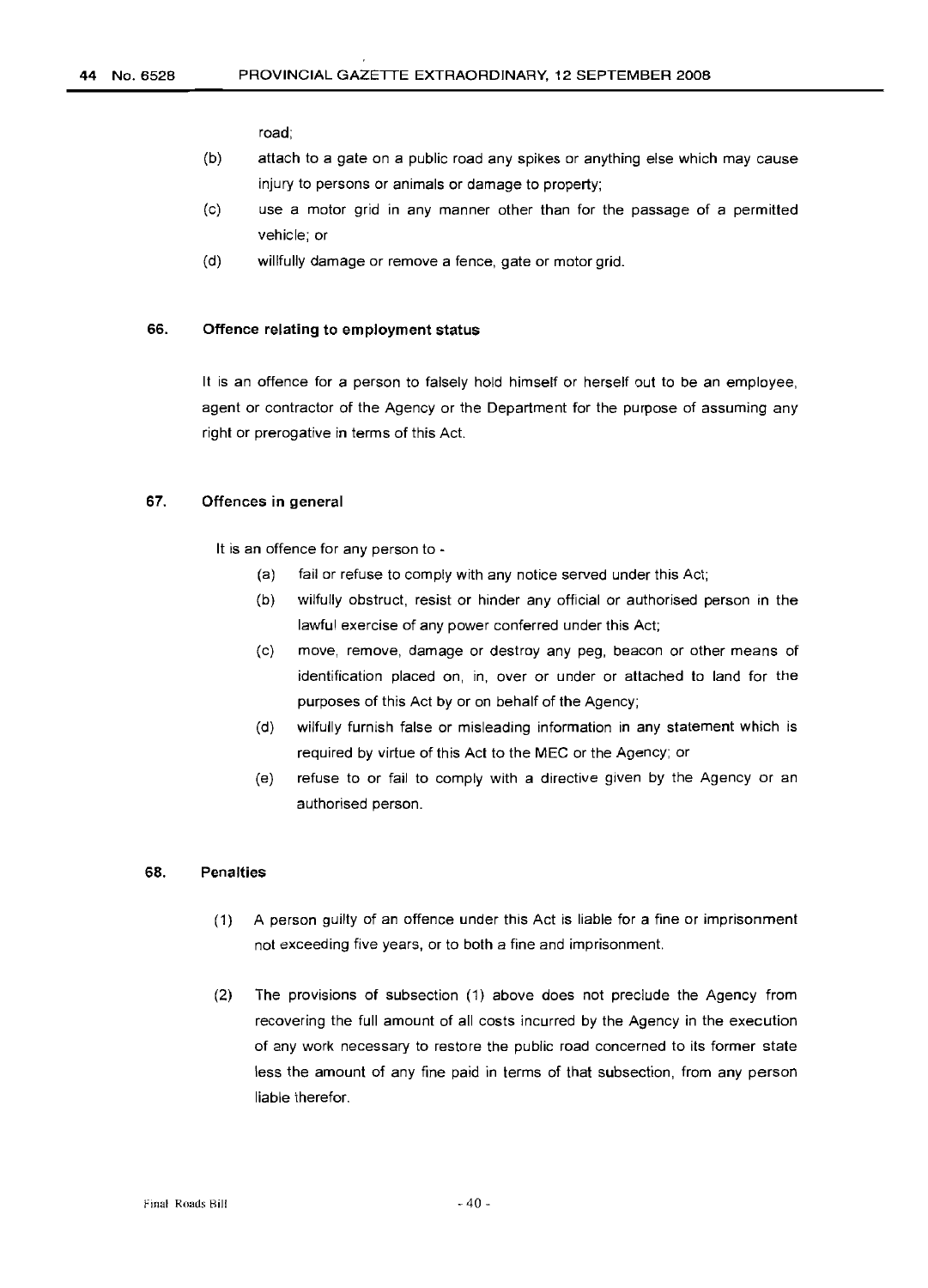road;

- (b) attach to a gate on a public road any spikes or anything else which may cause injury to persons or animals or damage to property;
- (c) use a motor grid in any manner other than for the passage of a permitted vehicle; or
- (d) willfully damage or remove a fence, gate or motor grid.

#### 66. Offence relating to employment status

It is an offence for a person to falsely hold himself or herself out to be an employee, agent or contractor of the Agency or the Department for the purpose of assuming any right or prerogative in terms of this Act.

# 67. Offences in general

It is an offence for any person to -

- (a) fail or refuse to comply with any notice served under this Act;
- (b) wilfully obstruct, resist or hinder any official or authorised person in the lawful exercise of any power conferred under this Act;
- (c) move, remove, damage or destroy any peg, beacon or other means of identification placed on, in, over or under or attached to land for the purposes of this Act by or on behalf of the Agency;
- (d) wilfully furnish false or misleading information in any statement which is required by virtue of this Act to the MEC or the Agency; or
- (e) refuse to or fail to comply with a directive given by the Agency or an authorised person.

#### 68. Penalties

- (1) A person guilty of an offence under this Act is liable for a fine or imprisonment not exceeding five years, or to both a fine and imprisonment.
- (2) The provisions of subsection (1) above does not preclude the Agency from recovering the full amount of all costs incurred by the Agency in the execution of any work necessary to restore the public road concerned to its former state less the amount of any fine paid in terms of that subsection, from any person liable therefor.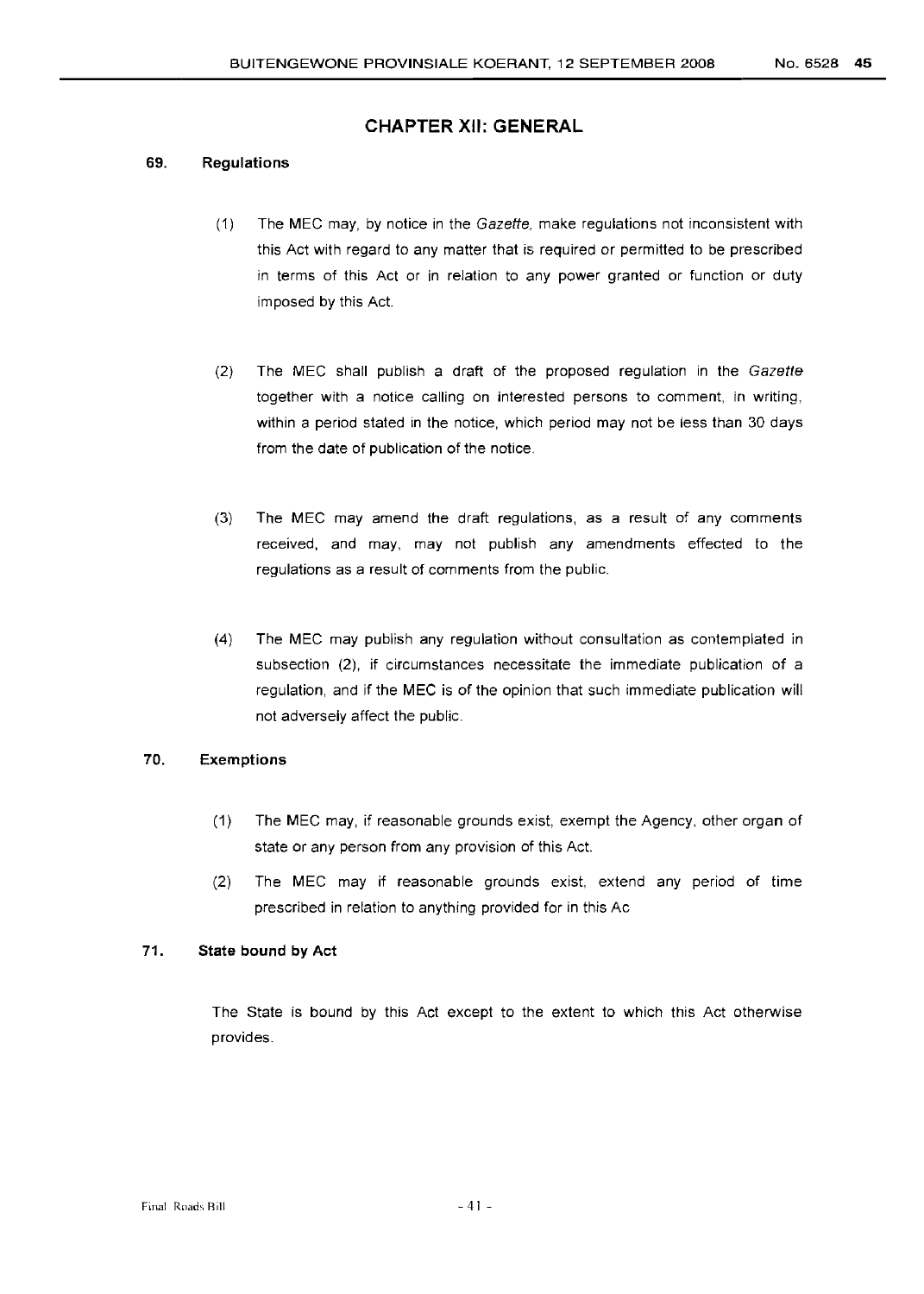# **CHAPTER XII: GENERAL**

#### 69. Regulations

- (1) The MEC may, by notice in the Gazette, make regulations not inconsistent with this Act with regard to any matter that is required or permitted to be prescribed in terms of this Act or in relation to any power granted or function or duty imposed by this Act.
- (2) The MEC shall publish a draft of the proposed regulation in the Gazette together with a notice calling on interested persons to comment, in writing, within a period stated in the notice, which period may not be less than 30 days from the date of publication of the notice.
- (3) The MEC may amend the draft regulations, as a result of any comments received, and may, may not publish any amendments effected to the regulations as a result of comments from the public.
- (4) The MEC may publish any regulation without consultation as contemplated in subsection (2), if circumstances necessitate the immediate publication of a regulation, and if the MEC is of the opinion that such immediate publication will not adversely affect the public.

# 70. Exemptions

- (1) The MEC may, if reasonable grounds exist, exempt the Agency, other organ of state or any person from any provision of this Act.
- (2) The MEC may if reasonable grounds exist, extend any period of time prescribed in relation to anything provided for in this Ac

## 71. State bound by Act

The State is bound by this Act except to the extent to which this Act otherwise provides.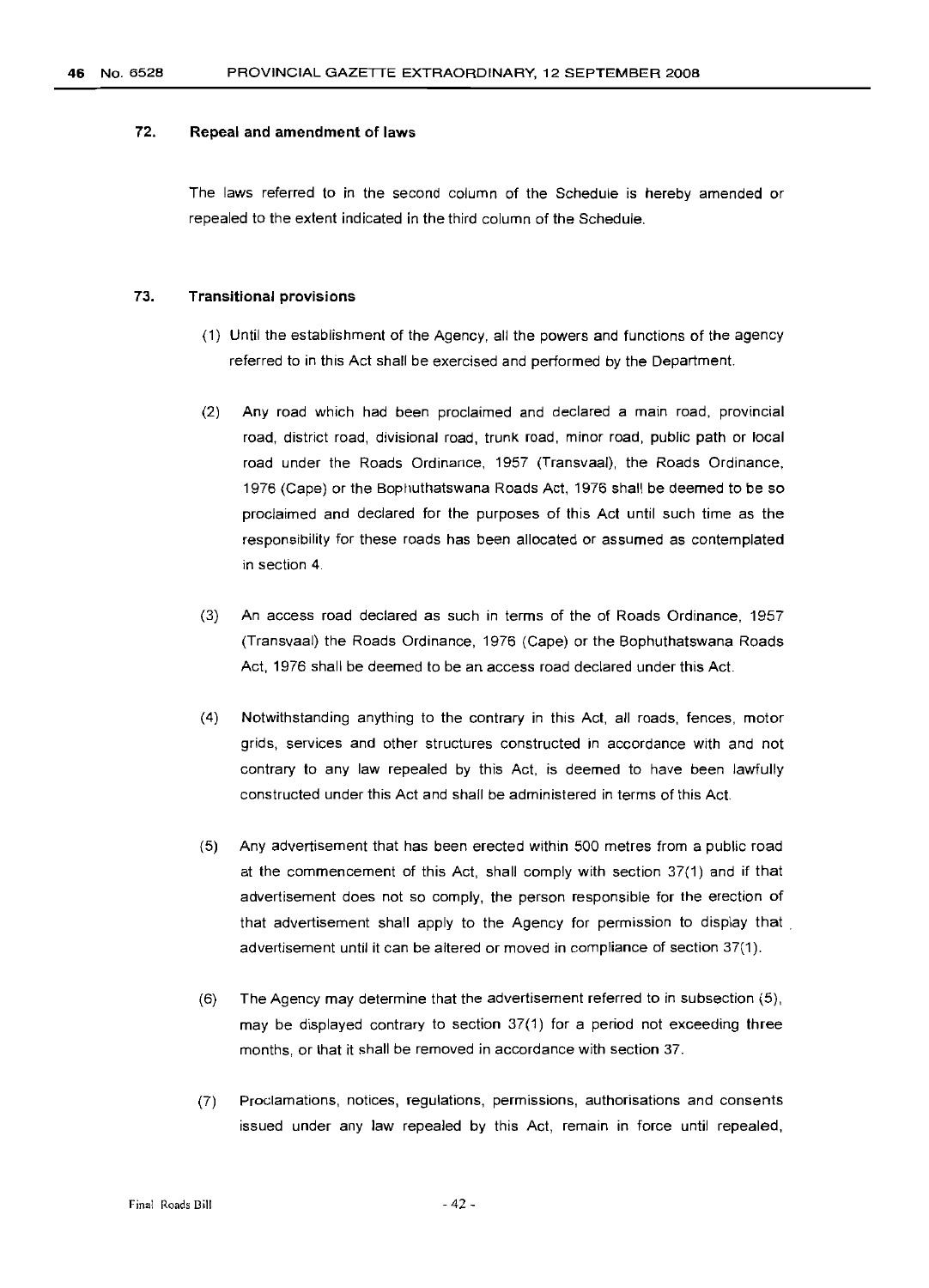#### 72. **Repeal and amendment of laws**

The laws referred to in the second column of the Schedule is hereby amended or repealed to the extent indicated in the third column of the Schedule.

#### 73. **Transitional provisions**

- (1) Until the establishment of the Agency, all the powers and functions of the agency referred to in this Act shall be exercised and performed by the Department.
- (2) Any road which had been proclaimed and declared a main road, provincial road, district road, divisional road, trunk road, minor road, public path or local road under the Roads Ordinance, 1957 (Transvaal), the Roads Ordinance, 1976 (Cape) or the Bophuthatswana Roads Act, 1976 shall be deemed to be so proclaimed and declared for the purposes of this Act until such time as the responsibility for these roads has been allocated or assumed as contemplated in section 4.
- (3) An access road declared as such in terms of the of Roads Ordinance, 1957 (Transvaal) the Roads Ordinance, 1976 (Cape) or the Bophuthatswana Roads Act, 1976 shall be deemed to be an access road declared under this Act.
- (4) Notwithstanding anything to the contrary in this Act, all roads, fences, motor grids, services and other structures constructed in accordance with and not contrary to any law repealed by this Act, is deemed to have been lawfully constructed under this Act and shall be administered in terms of this Act.
- (5) Any advertisement that has been erected within 500 metres from a public road at the commencement of this Act, shall comply with section 37(1) and if that advertisement does not so comply, the person responsible for the erection of that advertisement shall apply to the Agency for permission to display that . advertisement until it can be altered or moved in compliance of section 37(1).
- (6) The Agency may determine that the advertisement referred to in subsection (5), may be displayed contrary to section 37(1) for a period not exceeding three months, or that it shall be removed in accordance with section 37.
- (7) Proclamations, notices, regulations, permissions, authorisations and consents issued under any law repealed by this Act, remain in force until repealed,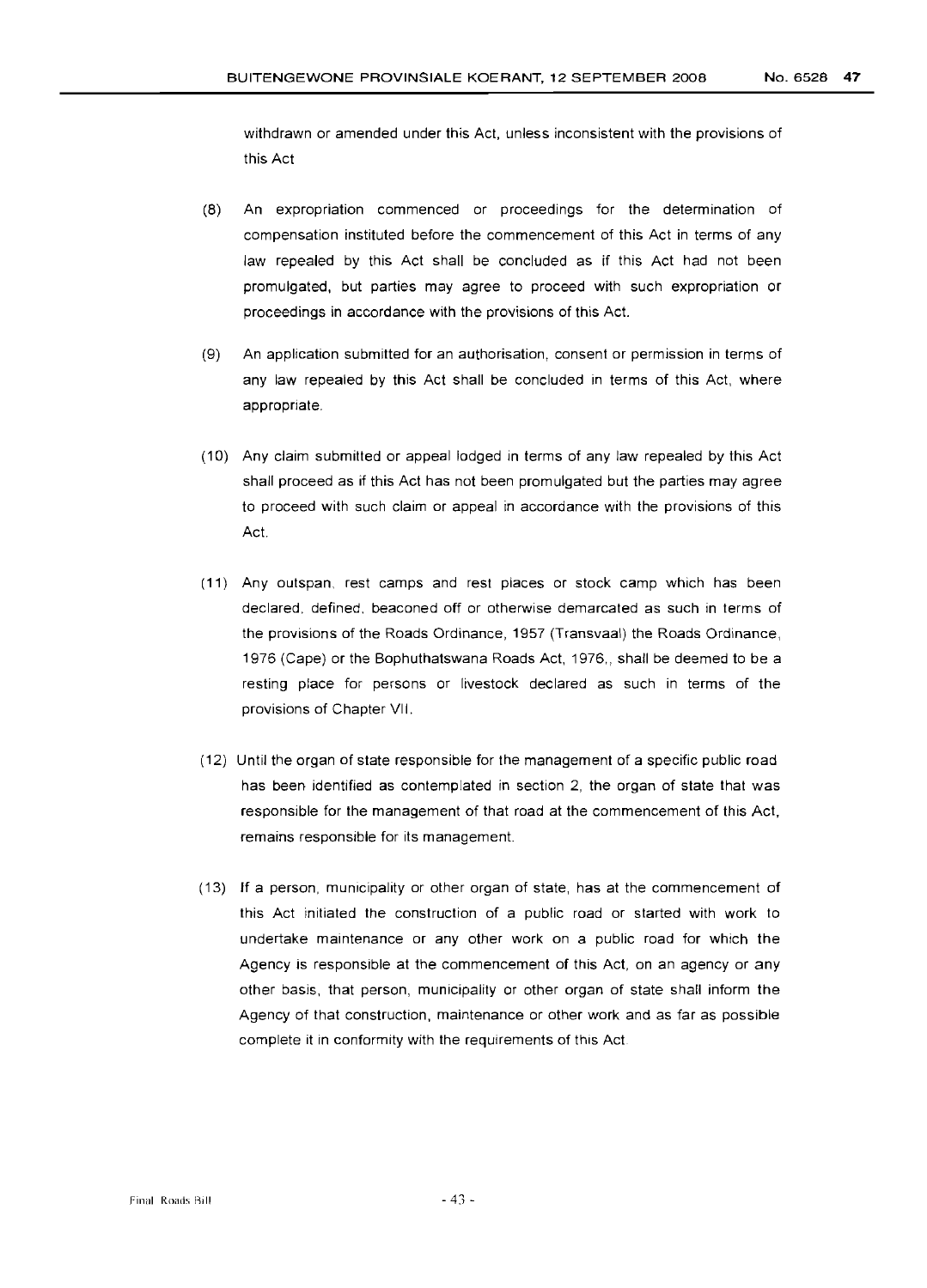withdrawn or amended under this Act, unless inconsistent with the provisions of this Act

- (8) An expropriation commenced or proceedings for the determination of compensation instituted before the commencement of this Act in terms of any law repealed by this Act shall be concluded as if this Act had not been promulgated, but parties may agree to proceed with such expropriation or proceedings in accordance with the provisions of this Act.
- (9) An application submitted for an authorisation, consent or permission in terms of any law repealed by this Act shall be concluded in terms of this Act, where appropriate.
- (10) Any claim submitted or appeal lodged in terms of any law repealed by this Act shall proceed as if this Act has not been promulgated but the parties may agree to proceed with such claim or appeal in accordance with the provisions of this Act.
- (11) Any outspan, rest camps and rest places or stock camp which has been declared, defined, beaconed off or otherwise demarcated as such in terms of the provisions of the Roads Ordinance, 1957 (Transvaal) the Roads Ordinance, 1976 (Cape) or the Bophuthatswana Roads Act, 1976,, shall be deemed to be a resting place for persons or livestock declared as such in terms of the provisions of Chapter VII.
- (12) Until the organ of state responsible for the management of a specific public road has been identified as contemplated in section 2, the organ of state that was responsible for the management of that road at the commencement of this Act, remains responsible for its management.
- (13) If a person, municipality or other organ of state, has at the commencement of this Act initiated the construction of a public road or started with work to undertake maintenance or any other work on a public road for which the Agency is responsible at the commencement of this Act, on an agency or any other basis, that person, municipality or other organ of state shall inform the Agency of that construction, maintenance or other work and as far as possible complete it in conformity with the requirements of this Act.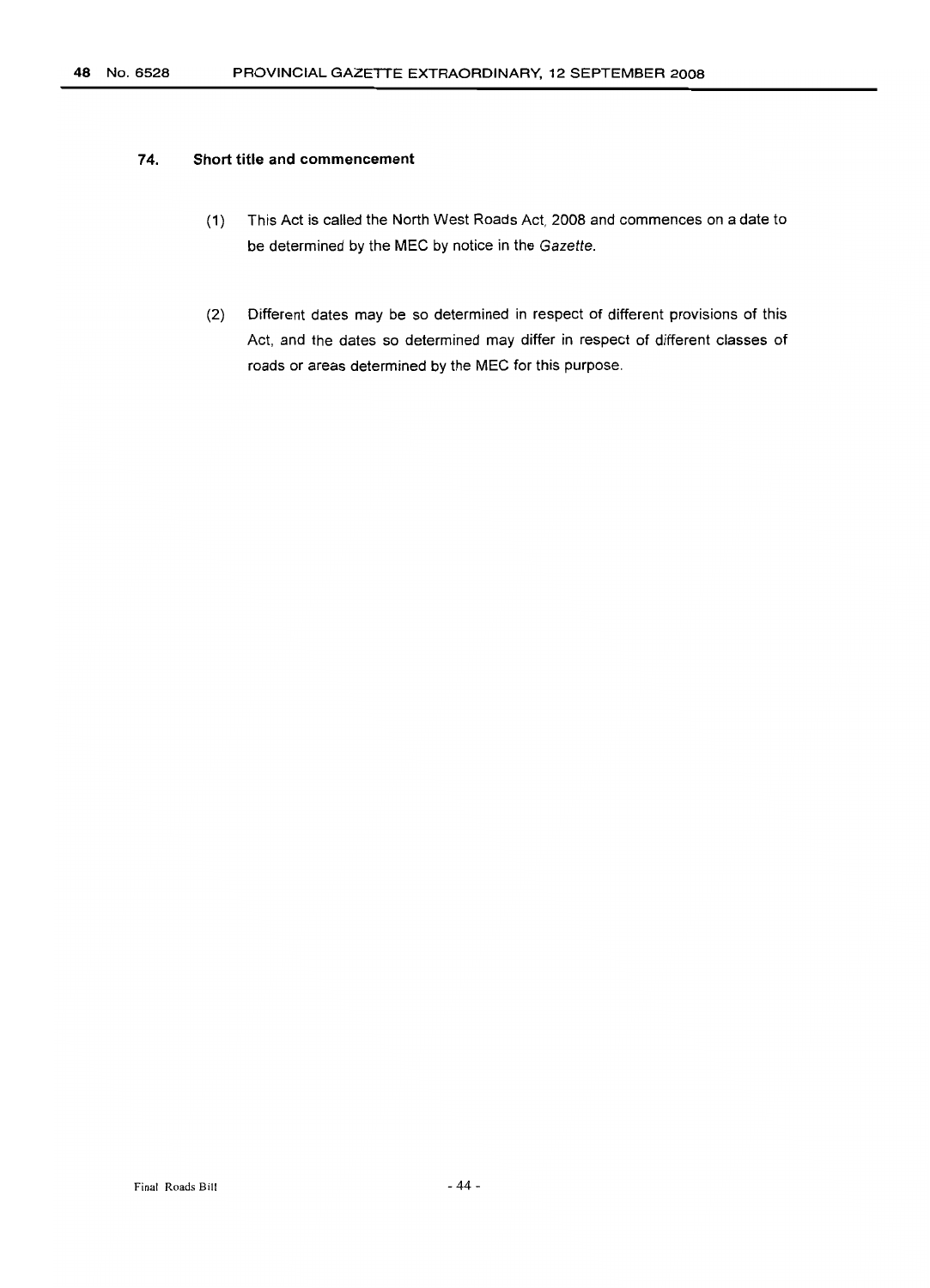#### **74. Short title and commencement**

- (1) This Act is called the North West Roads Act, 2008 and commences on a date to be determined by the MEC by notice in the Gazette.
- (2) Different dates may be so determined in respect of different provisions of this Act, and the dates so determined may differ in respect of different classes of roads or areas determined by the MEC for this purpose.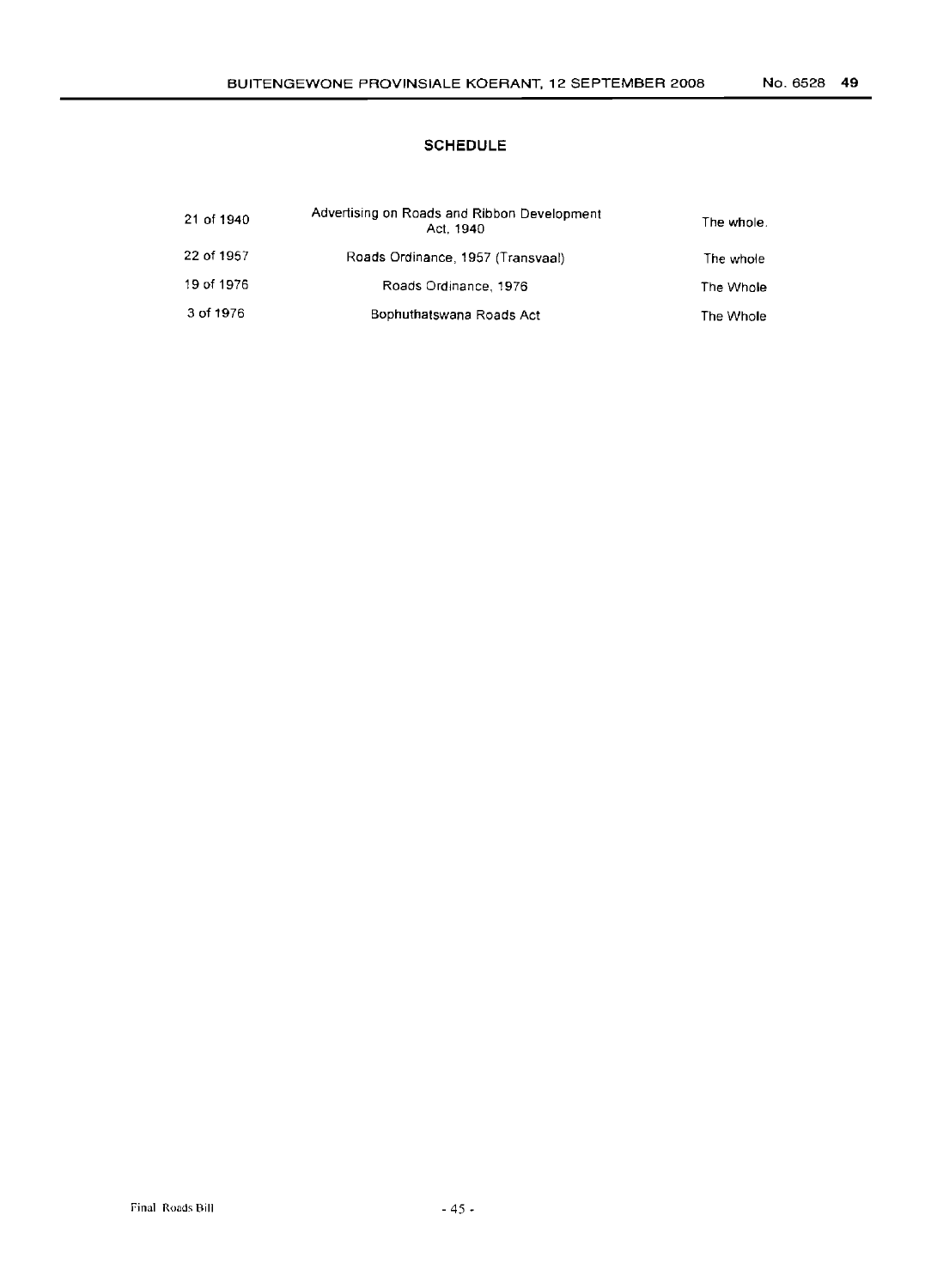# **SCHEDULE**

| 21 of 1940 | Advertising on Roads and Ribbon Development<br>Act. 1940 | The whole. |
|------------|----------------------------------------------------------|------------|
| 22 of 1957 | Roads Ordinance, 1957 (Transvaal)                        | The whole  |
| 19 of 1976 | Roads Ordinance, 1976                                    | The Whole  |
| 3 of 1976  | Bophuthatswana Roads Act                                 | The Whole  |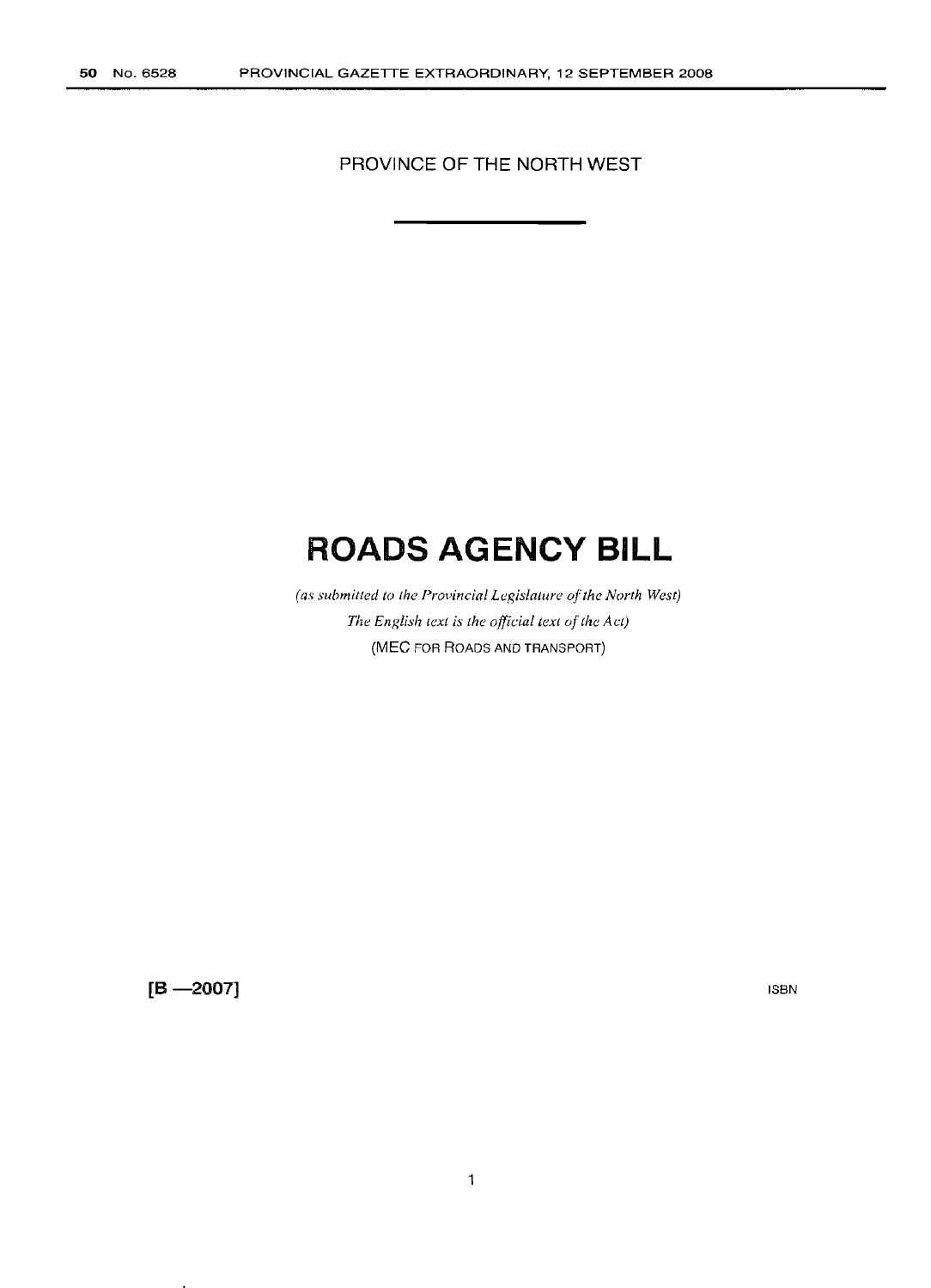PROVINCE OF THE NORTH WEST

# **ROADS AGENCY BILL**

*(as submitted to the Provincial Legislature of the North West) The English text is the official text of the Act*) (MEC FOR ROADS AND TRANSPORT)

 $[B - 2007]$ 

ISBN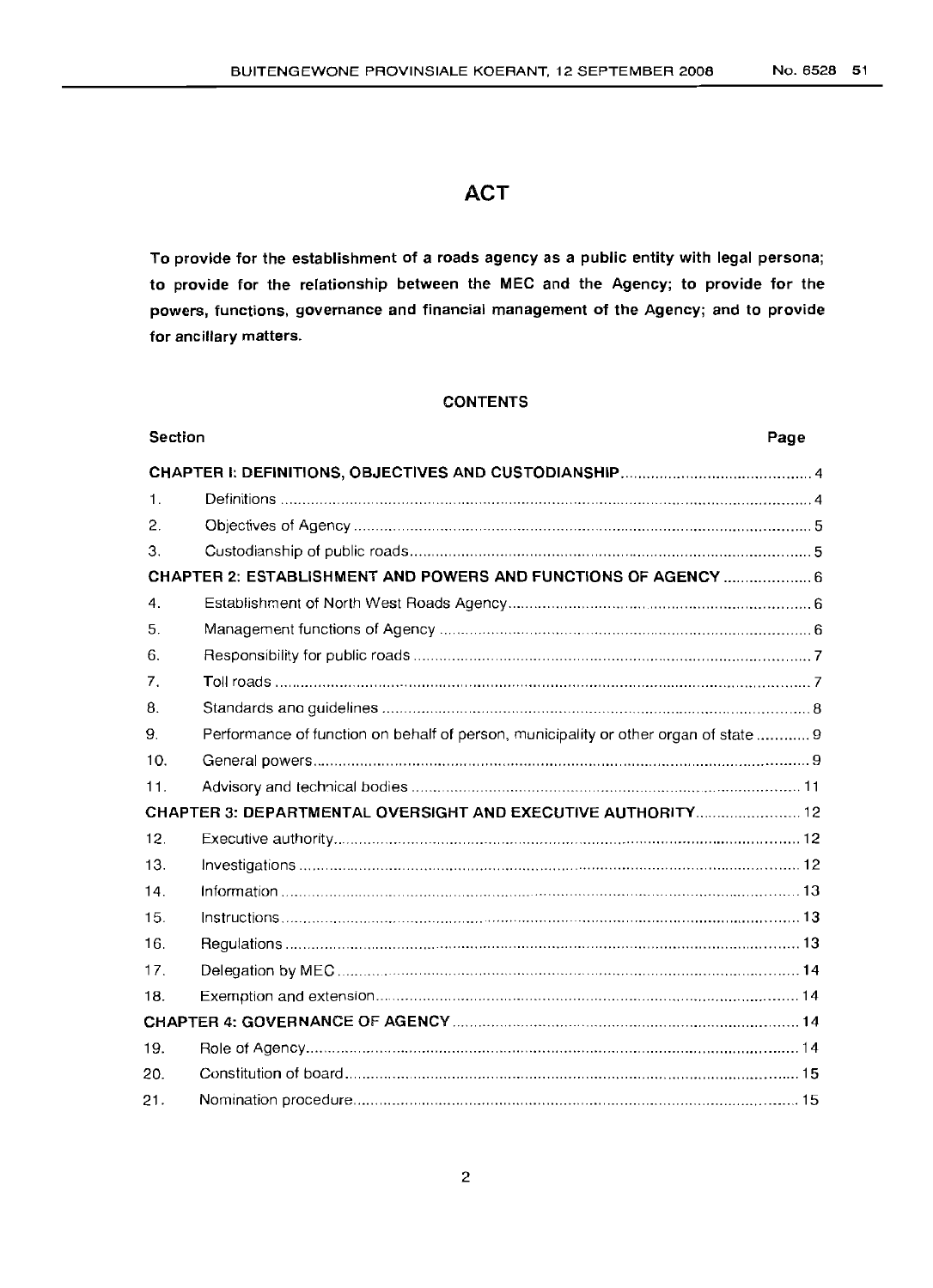# **ACT**

To provide for the establishment of a roads agency as a public entity with legal persona; to provide for the relationship between the MEC and the Agency; to provide for the powers, functions, governance and financial management of the Agency; and to provide for ancillary matters.

# CONTENTS

| <b>Section</b> |                                                                                      | Page |
|----------------|--------------------------------------------------------------------------------------|------|
|                |                                                                                      |      |
| $\mathbf{1}$ . |                                                                                      |      |
| 2.             |                                                                                      |      |
| 3.             |                                                                                      |      |
|                | CHAPTER 2: ESTABLISHMENT AND POWERS AND FUNCTIONS OF AGENCY  6                       |      |
| $\mathbf{4}$ . |                                                                                      |      |
| 5.             |                                                                                      |      |
| 6.             |                                                                                      |      |
| 7.             |                                                                                      |      |
| 8.             |                                                                                      |      |
| 9.             | Performance of function on behalf of person, municipality or other organ of state  9 |      |
| 10.            |                                                                                      |      |
| 11.            |                                                                                      |      |
|                | CHAPTER 3: DEPARTMENTAL OVERSIGHT AND EXECUTIVE AUTHORITY 12                         |      |
| 12.            |                                                                                      |      |
| 13.            |                                                                                      |      |
| 14.            |                                                                                      |      |
| 15.            |                                                                                      |      |
| 16.            |                                                                                      |      |
| 17.            |                                                                                      |      |
| 18.            |                                                                                      |      |
|                |                                                                                      |      |
| 19.            |                                                                                      |      |
| 20.            |                                                                                      |      |
| 21.            |                                                                                      |      |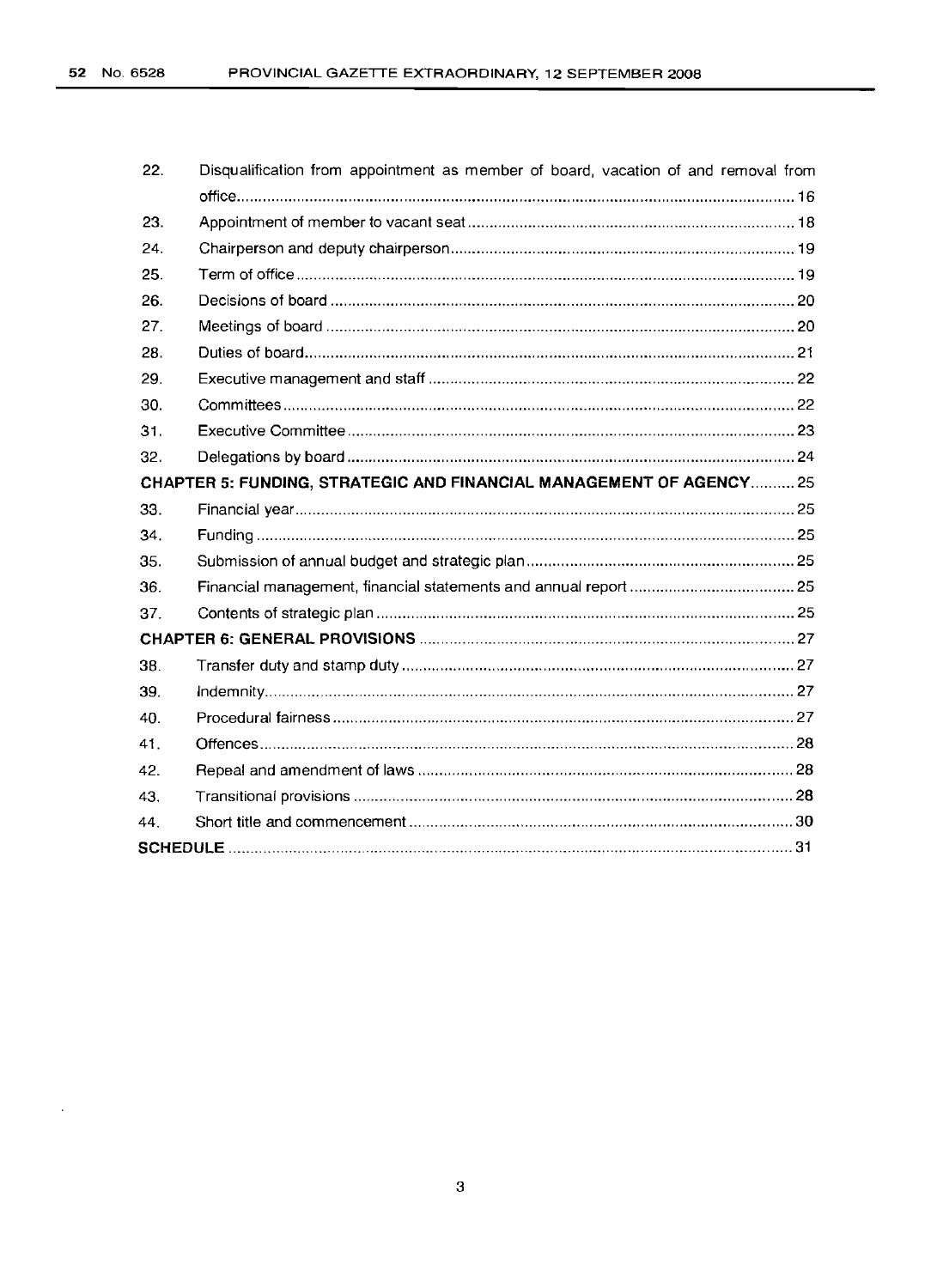| 22. | Disqualification from appointment as member of board, vacation of and removal from |  |
|-----|------------------------------------------------------------------------------------|--|
|     |                                                                                    |  |
| 23. |                                                                                    |  |
| 24. |                                                                                    |  |
| 25. |                                                                                    |  |
| 26. |                                                                                    |  |
| 27. |                                                                                    |  |
| 28. |                                                                                    |  |
| 29. |                                                                                    |  |
| 30. |                                                                                    |  |
| 31. |                                                                                    |  |
| 32. |                                                                                    |  |
|     | CHAPTER 5: FUNDING, STRATEGIC AND FINANCIAL MANAGEMENT OF AGENCY 25                |  |
| 33. |                                                                                    |  |
| 34. |                                                                                    |  |
| 35. |                                                                                    |  |
| 36. |                                                                                    |  |
| 37. |                                                                                    |  |
|     |                                                                                    |  |
| 38. |                                                                                    |  |
| 39. |                                                                                    |  |
| 40. |                                                                                    |  |
| 41. |                                                                                    |  |
| 42. |                                                                                    |  |
| 43. |                                                                                    |  |
| 44  |                                                                                    |  |
|     |                                                                                    |  |

 $\ddot{\phantom{a}}$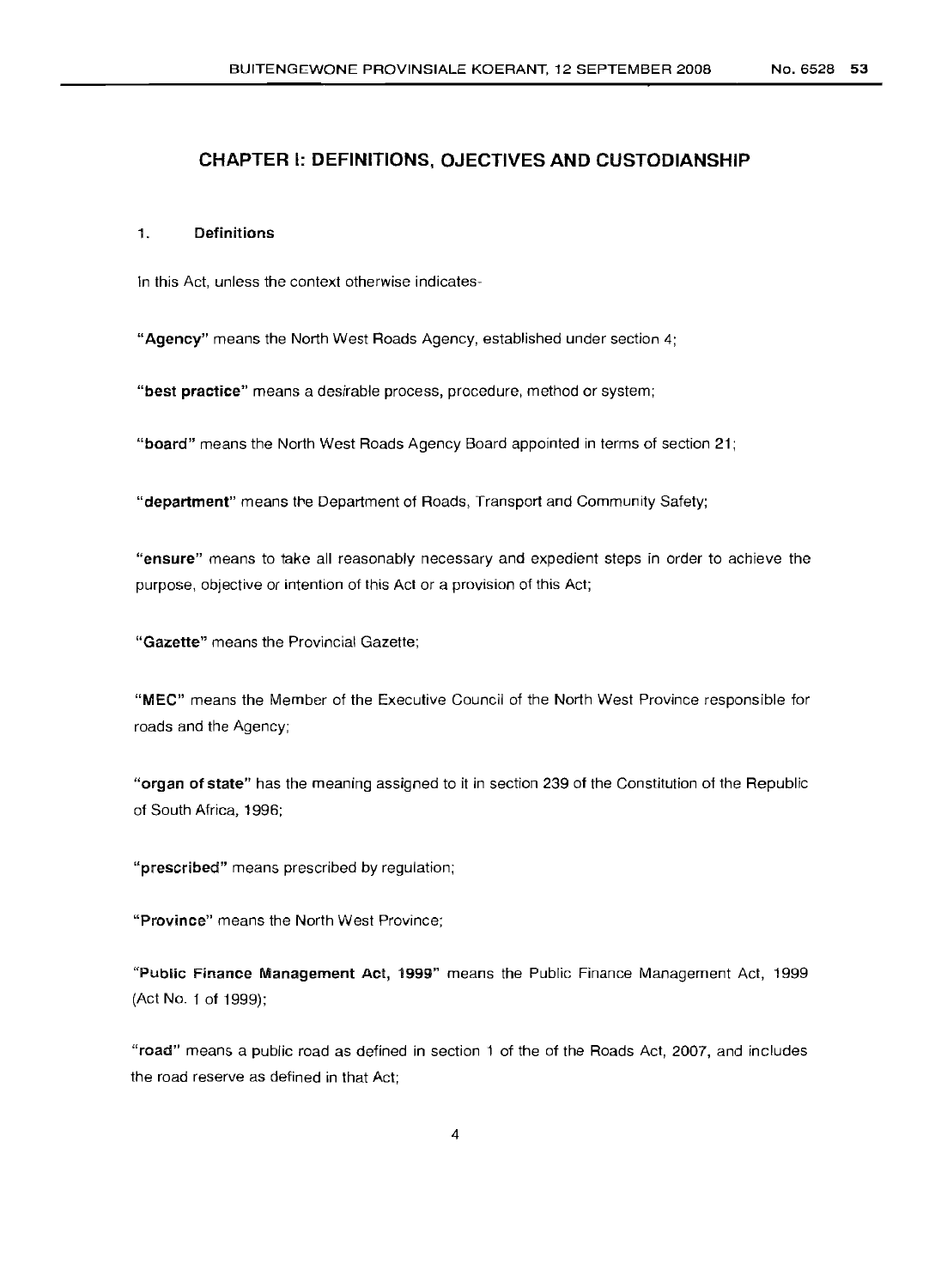# **CHAPTER I: DEFINITIONS, OJECTIVES AND CUSTODIANSHIP**

#### 1. Definitions

In this Act, unless the context otherwise indicates-

"Agency" means the North West Roads Agency, established under section 4;

"best practice" means a desirable process, procedure, method or system;

"board" means the North West Roads Agency Board appointed in terms of section 21;

"department" means the Department of Roads, Transport and Community Safety;

"ensure" means to take all reasonably necessary and expedient steps in order to achieve the purpose, objective or intention of this Act or a provision of this Act;

"Gazette" means the Provincial Gazette;

"MEC" means the Member of the Executive Council of the North West Province responsible for roads and the Agency;

"organ of state" has the meaning assigned to it in section 239 of the Constitution of the Republic of South Africa, 1996;

"prescribed" means prescribed by regulation;

"Province" means the North West Province;

"Public Finance Management Act, 1999" means the Public Finance Management Act, 1999 (Act No. 1 of 1999);

"road" means a public road as defined in section 1 of the of the Roads Act, 2007, and includes the road reserve as defined in that Act;

4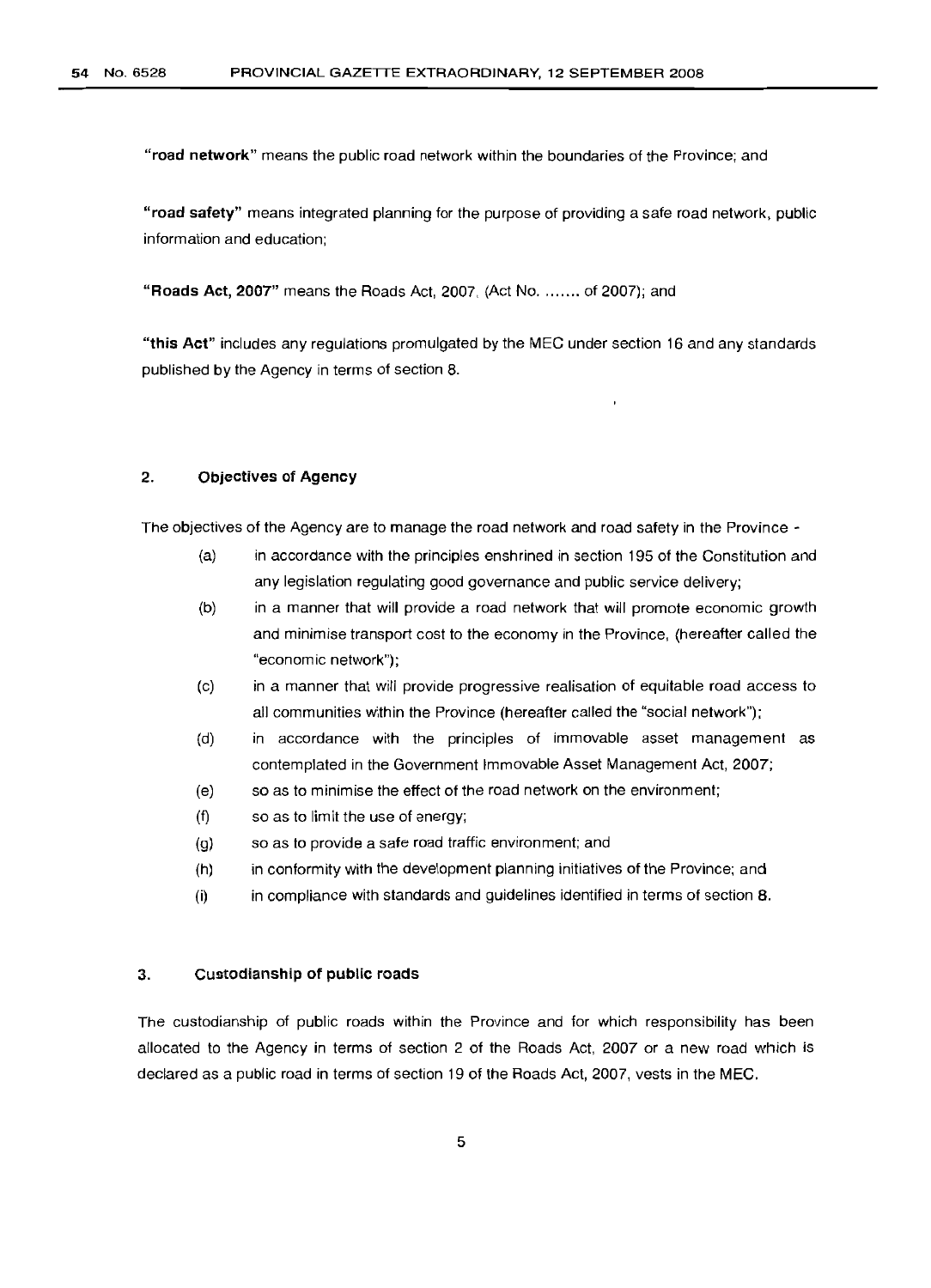"road network" means the public road network within the boundaries of the Province; and

"road safety" means integrated planning for the purpose of providing a safe road network, public information and education;

"Roads Act, 2007" means the Roads Act, 2007, (Act No. ....... of 2007); and

"this Act" includes any regulations promulgated by the MEC under section 16 and any standards published by the Agency in terms of section 8.

#### 2. Objectives of Agency

The objectives of the Agency are to manage the road network and road safety in the Province -

- (a) in accordance with the principles enshrined in section 195 of the Constitution and any legislation regulating good governance and public service delivery;
- (b) in a manner that will provide a road network that will promote economic growth and minimise transport cost to the economy in the Province, (hereafter called the "economic network");
- (c) in a manner that will provide progressive realisation of equitable road access to all communities within the Province (hereafter called the "social network");
- (d) in accordance with the principles of immovable asset management as contemplated in the Government Immovable Asset Management Act, 2007;
- (e) so as to minimise the effect of the road network on the environment;
- (f) so as to limit the use of energy;
- (g) so as to provide a safe road traffic environment; and
- (h) in conformity with the development planning initiatives of the Province; and
- (i) in compliance with standards and guidelines identified in terms of section 8.

#### 3. Custodianship of public roads

The custodianship of public roads within the Province and for which responsibility has been allocated to the Agency in terms of section 2 of the Roads Act, 2007 or a new road which is declared as a public road in terms of section 19 of the Roads Act, 2007, vests in the MEC.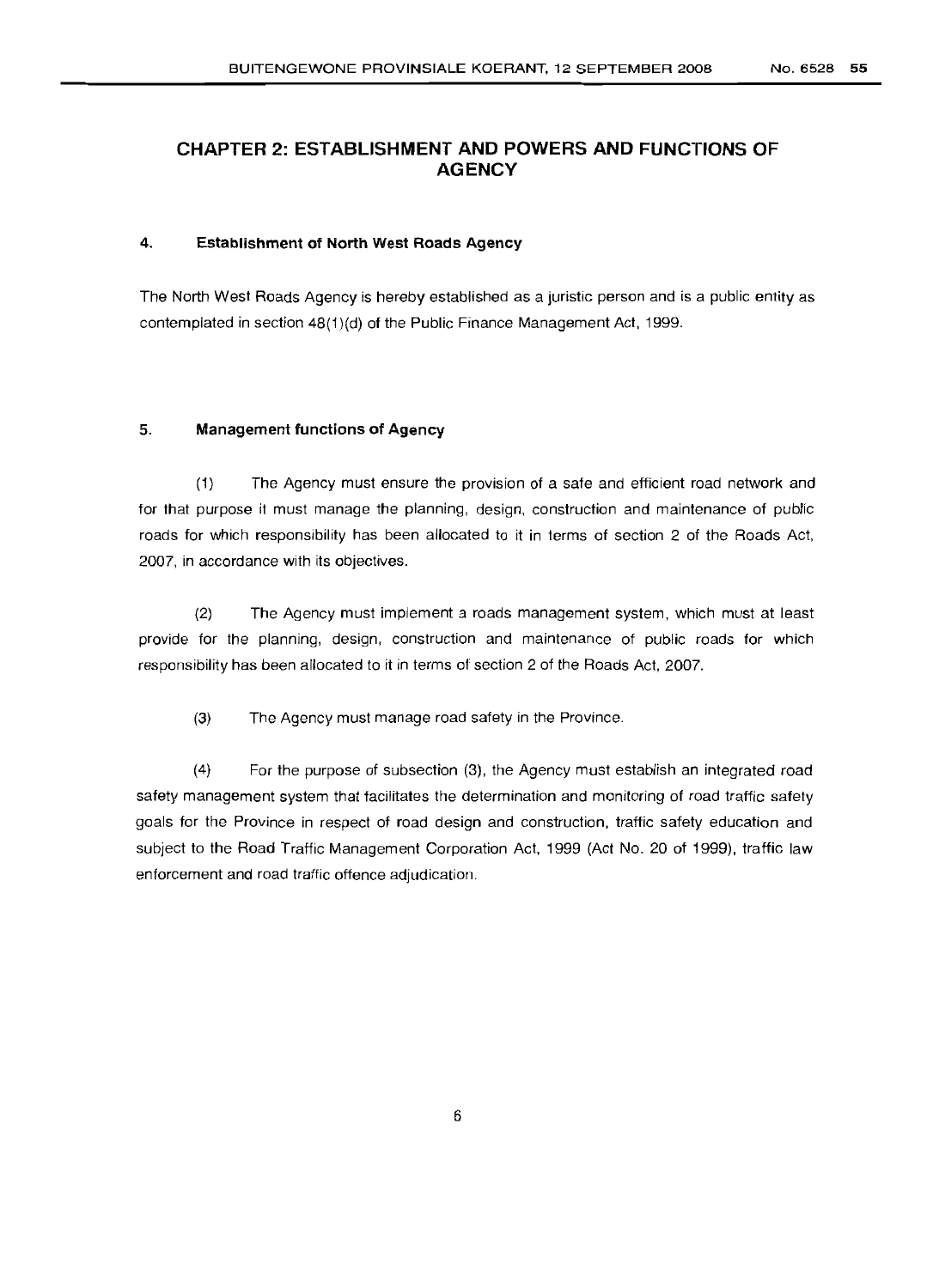# **CHAPTER 2: ESTABLISHMENT AND POWERS AND FUNCTIONS OF AGENCY**

#### 4. Establishment of North West Roads Agency

The North West Roads Agency is hereby established as a juristic person and is a public entity as contemplated in section 48(1)(d) of the Public Finance Management Act, 1999.

#### 5. Management functions of Agency

(1) The Agency must ensure the provision of a safe and efficient road network and for that purpose it must manage the planning, design, construction and maintenance of public roads for which responsibility has been allocated to it in terms of section 2 of the Roads Act, 2007, in accordance with its objectives.

(2) The Agency must implement a roads management system, which must at least provide for the planning, design, construction and maintenance of public roads for which responsibility has been allocated to it in terms of section 2 of the Roads Act, 2007.

(3) The Agency must manage road safety in the Province.

(4) For the purpose of subsection (3), the Agency must establish an integrated road safety management system that facilitates the determination and monitoring of road traffic safety goals for the Province in respect of road design and construction, traffic safety education and subject to the Road Traffic Management Corporation Act, 1999 (Act No. 20 of 1999), traffic law enforcement and road traffic offence adjudication.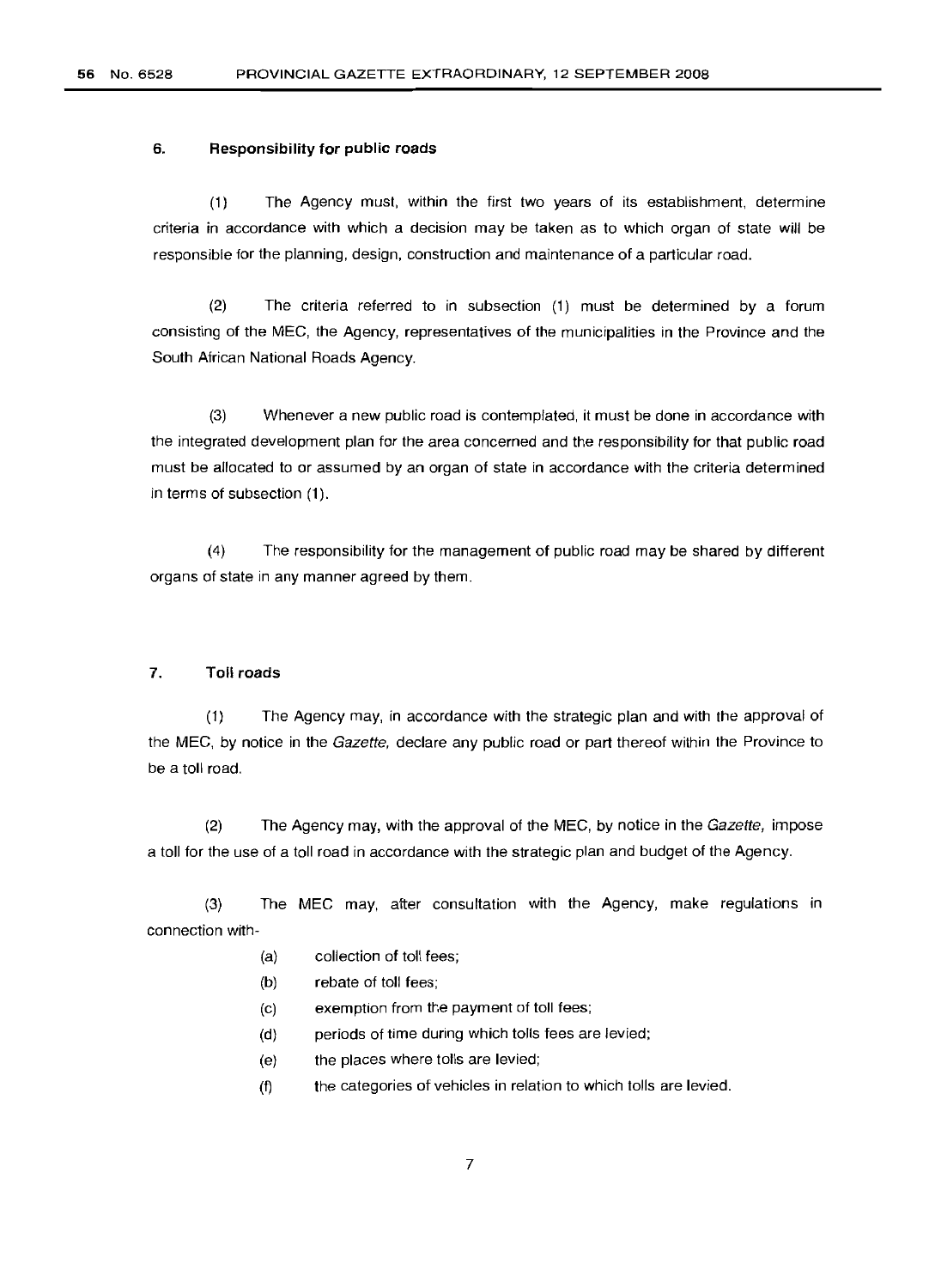#### 6. **Responsibility for public roads**

(1) The Agency must, within the first two years of its establishment, determine criteria in accordance with which a decision may be taken as to which organ of state will be responsible for the planning, design, construction and maintenance of a particular road.

(2) The criteria referred to in subsection (1) must be determined by a forum consisting of the MEG, the Agency, representatives of the municipalities in the Province and the South African National Roads Agency.

(3) Whenever a new public road is contemplated, it must be done in accordance with the integrated development plan for the area concerned and the responsibility for that public road must be allocated to or assumed by an organ of state in accordance with the criteria determined in terms of subsection (1).

(4) The responsibility for the management of public road may be shared by different organs of state in any manner agreed by them.

#### 7. **Toll roads**

(1) The Agency may, in accordance with the strategic plan and with the approval of the MEG, by notice in the Gazette, declare any public road or part thereof within the Province to be a toll road.

(2) The Agency may, with the approval of the MEC, by notice in the  $Gazette$ , impose a toll for the use of a toll road in accordance with the strategic plan and budget of the Agency.

(3) The MEG may, after consultation with the Agency, make regulations in connection with-

- (a) collection of toll fees;
- (b) rebate of toll fees;
- (c) exemption from the payment of toll fees;
- (d) periods of time during which tolls fees are levied;
- (e) the places where tolls are levied;
- (f) the categories of vehicles in relation to which tolls are levied.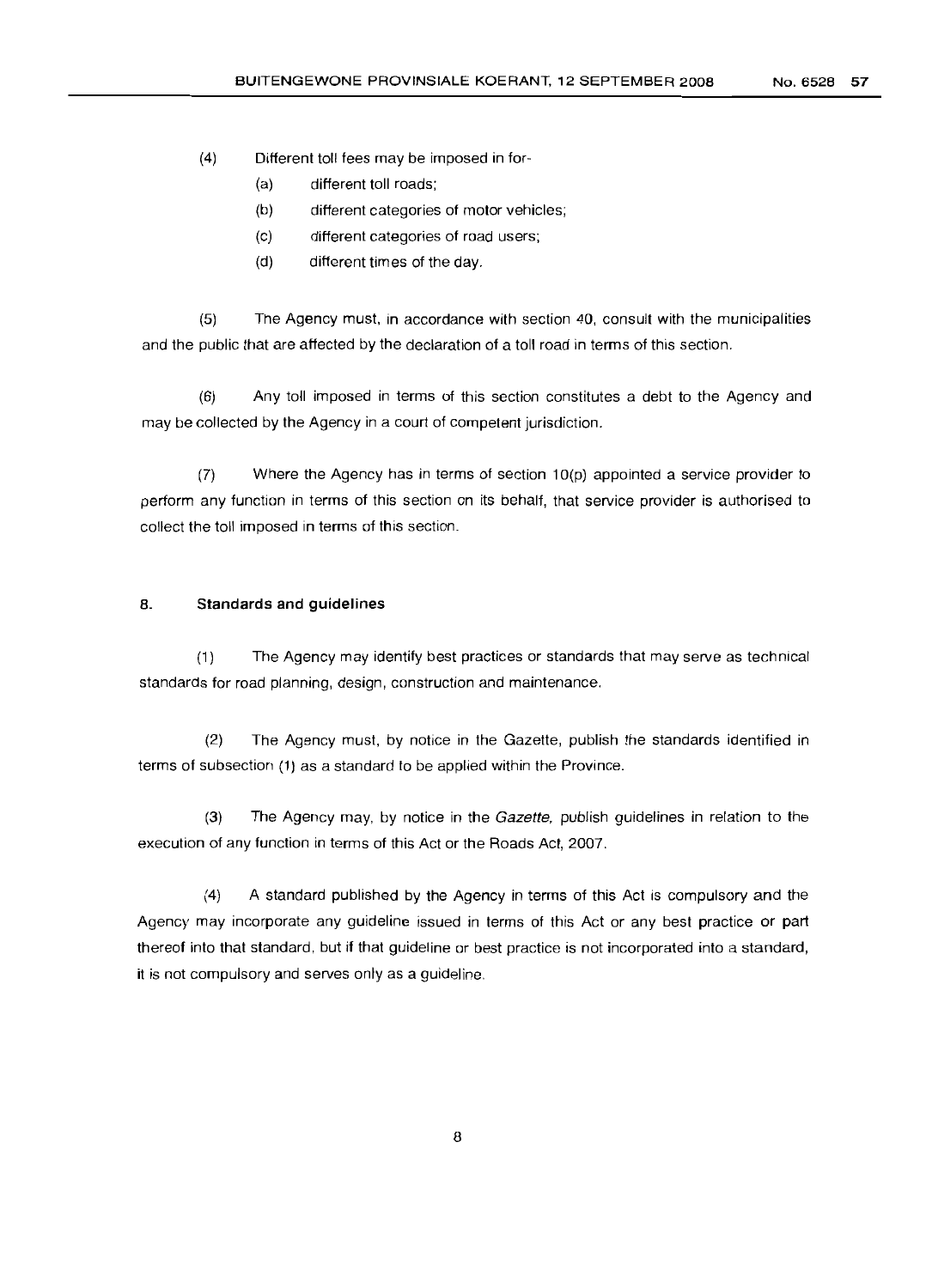(4) Different toll fees may be imposed in for-

- (a) different toll roads;
- (b) different categories of motor vehicles;
- (c) different categories of road users;
- (d) different times of the day.

(5) The Agency must, in accordance with section 40, consult with the municipalities and the public that are affected by the declaration of a toll road in terms of this section.

(6) Any toll imposed in terms of this section constitutes a debt to the Agency and may be collected by the Agency in a court of competent jurisdiction.

(7) Where the Agency has in terms of section 10(p) appointed a service provider to perform any function in terms of this section on its behalf, that service provider is authorised to collect the toll imposed in terms of this section.

#### 8. **Standards and guidelines**

(1) The Agency may identify best practices or standards that may serve as technical standards for road planning, design, construction and maintenance.

(2) The Agency must, by notice in the Gazette, publish the standards identified in terms of subsection (1) as a standard to be applied within the Province.

(3) The Agency may, by notice in the Gazette, publish guidelines in relation to the execution of any function in terms of this Act or the Roads Act, 2007.

(4) A standard published by the Agency in terms of this Act is compulsory and the Agency may incorporate any guideline issued in terms of this Act or any best practice or part thereof into that standard, but if that guideline or best practice is not incorporated into a standard, it is not compulsory and serves only as a guideline.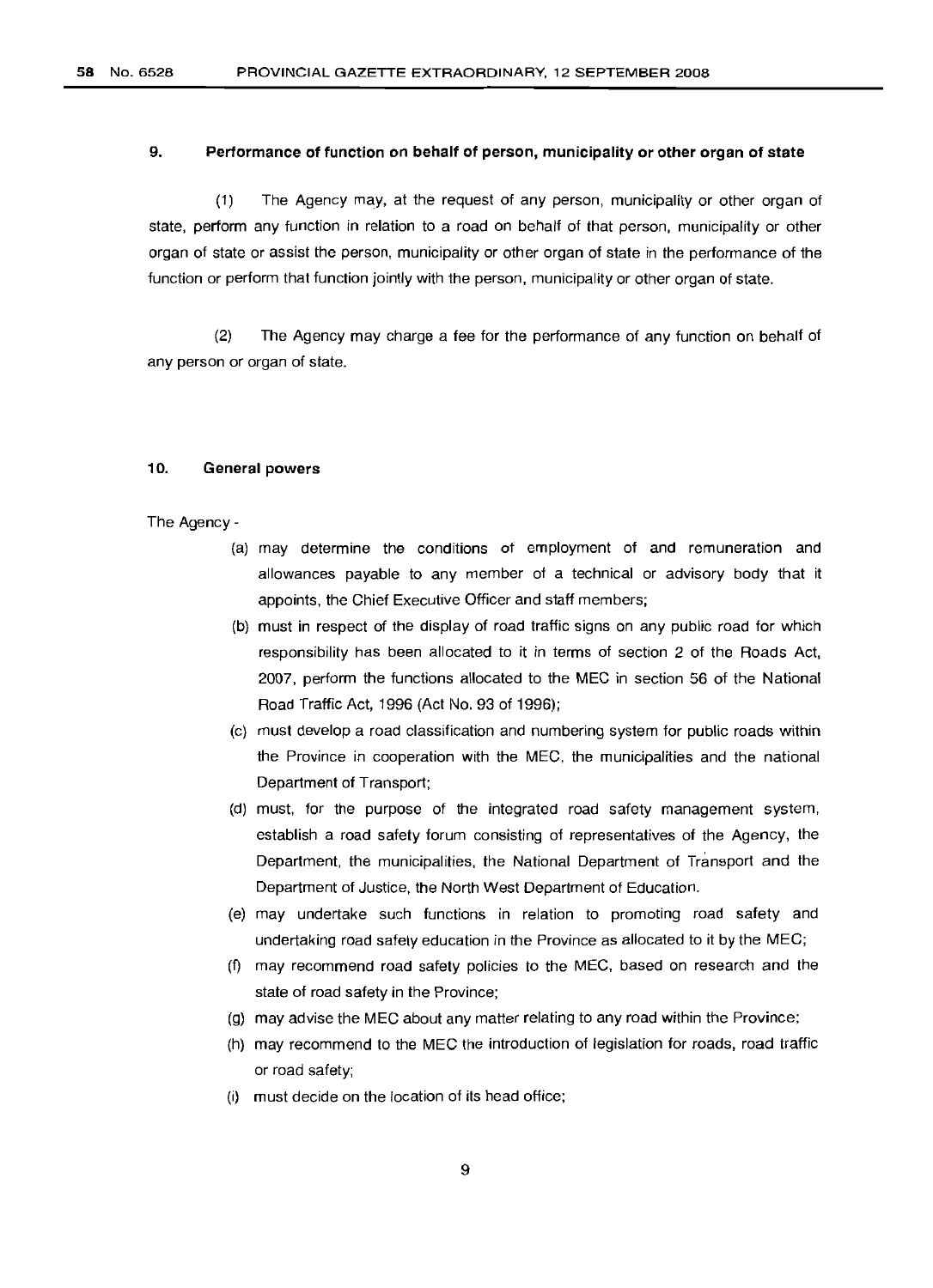#### 9. **Performance of function on behalf of person, municipality or other organ of state**

(1) The Agency may, at the request of any person, municipality or other organ of state, perform any function in relation to a road on behalf of that person, municipality or other organ of state or assist the person, municipality or other organ of state in the performance of the function or perform that function jointly with the person, municipality or other organ of state.

(2) The Agency may charge a fee for the performance of any function on behalf of any person or organ of state.

#### 10. **General powers**

The Agency-

- (a) may determine the conditions of employment of and remuneration and allowances payable to any member of a technical or advisory body that it appoints, the Ghief Executive Officer and staff members;
- (b) must in respect of the display of road traffic signs on any public road for which responsibility has been allocated to it in terms of section 2 of the Roads Act, 2007, perform the functions allocated to the MEG in section 56 of the National Road Traffic Act, 1996 (Act No. 93 of 1996);
- (c) must develop a road classification and numbering system for public roads within the Province in cooperation with the MEG, the municipalities and the national Department of Transport;
- (d) must, for the purpose of the integrated road safety management system, establish a road safety forum consisting of representatives of the Agency, the Department, the municipalities, the National Department of Transport and the Department of Justice, the North West Department of Education.
- (e) may undertake such functions in relation to promoting road safety and undertaking road safety education in the Province as allocated to it by the MEG;
- (f) may recommend road safety policies to the MEG, based on research and the state of road safety in the Province;
- (g) may advise the MEG about any matter relating to any road within the Province;
- (h) may recommend to the MEG the introduction of legislation for roads, road traffic or road safety;
- (i) must decide on the location of its head office;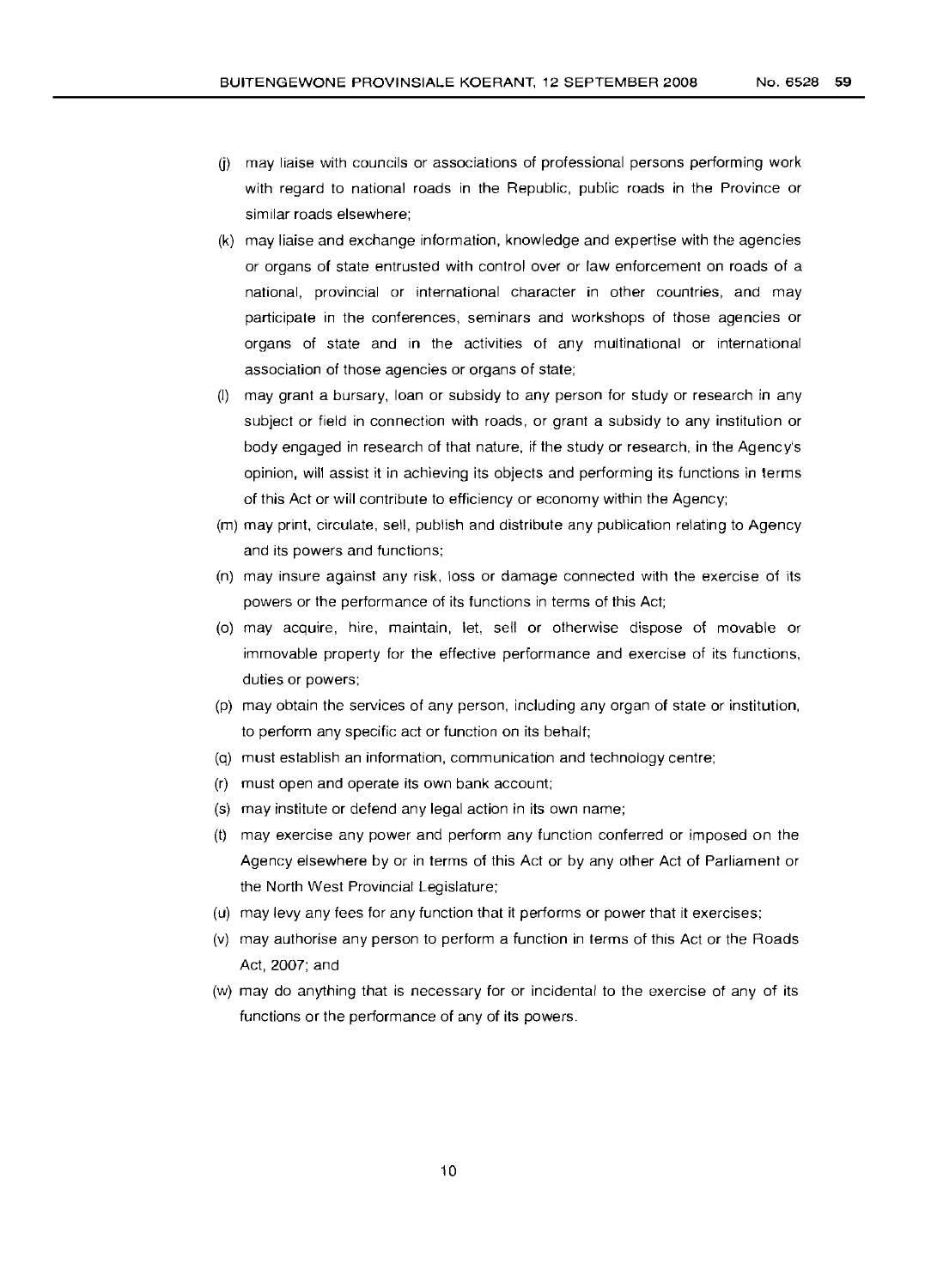- U) may liaise with councils or associations of professional persons performing work with regard to national roads in the Republic, public roads in the Province or similar roads elsewhere;
- (k) may liaise and exchange information, knowledge and expertise with the agencies or organs of state entrusted with control over or law enforcement on roads of a national, provincial or international character in other countries, and may participate in the conferences, seminars and workshops of those agencies or organs of state and in the activities of any multinational or international association of those agencies or organs of state;
- (I) may grant a bursary, loan or subsidy to any person for study or research in any subject or field in connection with roads, or grant a subsidy to any institution or body engaged in research of that nature, if the study or research, in the Agency's opinion, will assist it in achieving its objects and performing its functions in terms of this Act or will contribute to efticiency or economy within the Agency;
- (m) may print, circulate, sell, publish and distribute any publication relating to Agency and its powers and functions;
- (n) may insure against any risk, loss or damage connected with the exercise of its powers or the performance of its functions in terms of this Act;
- (0) may acquire, hire, maintain, let, sell or otherwise dispose of movable or immovable property for the effective performance and exercise of its functions, duties or powers;
- (p) may obtain the services of any person, including any organ of state or institution, to perform any specific act or function on its behalf;
- (q) must establish an information, communication and technology centre;
- (r) must open and operate its own bank account;
- (s) may institute or defend any legal action in its own name;
- (t) may exercise any power and perform any function conferred or imposed on the Agency elsewhere by or in terms of this Act or by any other Act of Parliament or the North West Provincial Legislature;
- (u) may levy any fees for any function that it performs or power that it exercises;
- (v) may authorise any person to perform a function in terms of this Act or the Roads Act, 2007; and
- (w) may do anything that is necessary for or incidental to the exercise of any of its functions or the performance of any of its powers.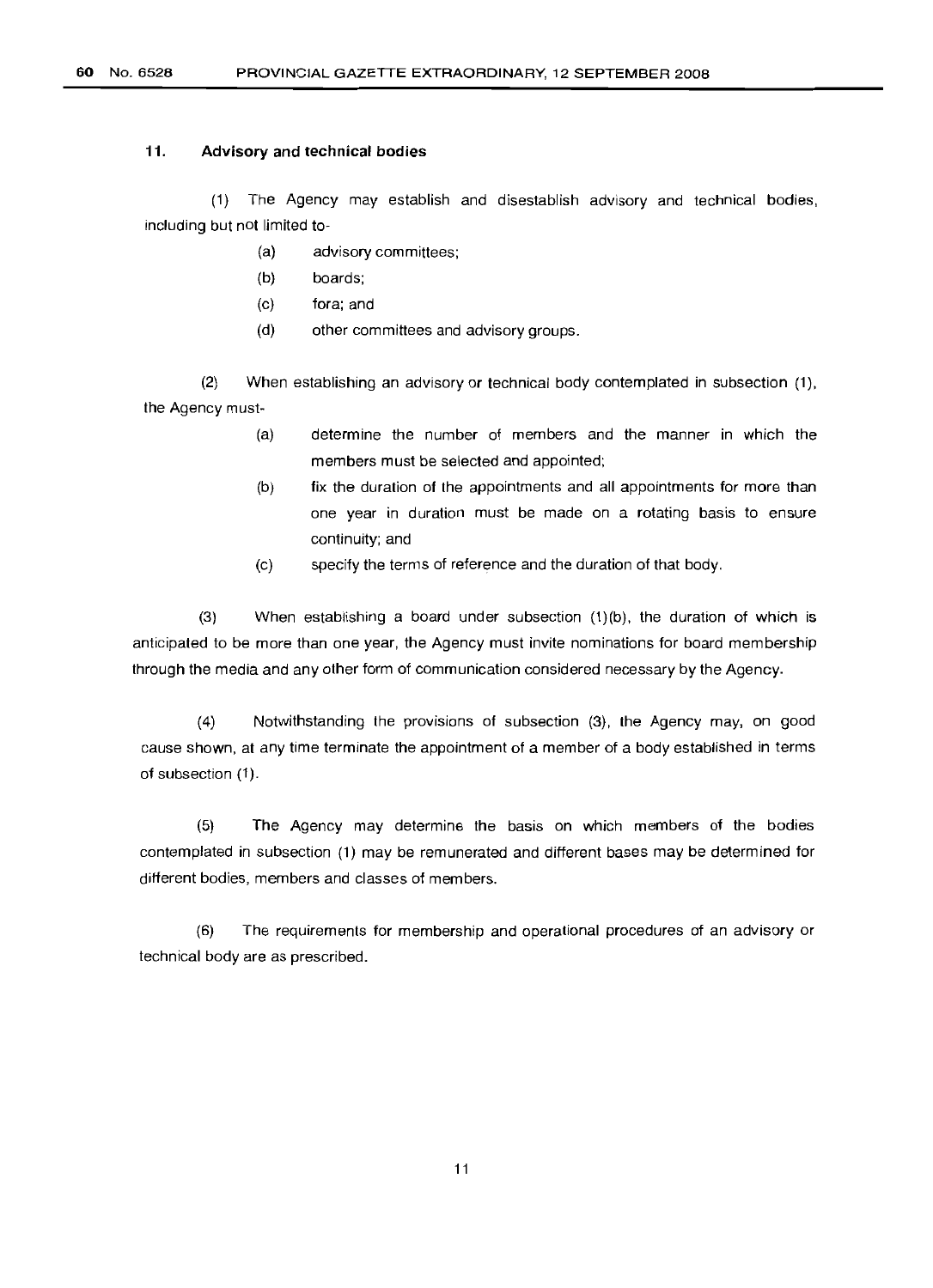**60** No. 6528 PROVINCIAL GAZETTE EXTRAORDINARY, 12 SEPTEMBER 2008

#### **11. Advisory and technical bodies**

(1) The Agency may establish and disestablish advisory and technical bodies, including but not limited to-

- (a) advisory committees;
- (b) boards;
- (c) fora; and
- (d) other committees and advisory groups.

(2) When establishing an advisory or technical body contemplated in subsection (1), the Agency must-

- determine the number of members and the manner in which the members must be selected and appointed; (a)
- fix the duration of the appointments and all appointments for more than one year in duration must be made on a rotating basis to ensure continuity; and (b)
- specify the terms of reference and the duration of that body. (c)

(3) When establishing a board under subsection (1)(b), the duration of which is anticipated to be more than one year, the Agency must invite nominations for board membership through the media and any other form of communication considered necessary by the Agency.

(4) Notwithstanding the provisions of subsection (3), the Agency may, on good cause shown, at any time terminate the appointment of a member of a body established in terms of subsection (1).

(5) The Agency may determine the basis on which members of the bodies contemplated in subsection (1) may be remunerated and different bases may be determined for different bodies, members and classes of members.

(6) The requirements for membership and operational procedures of an advisory or technical body are as prescribed.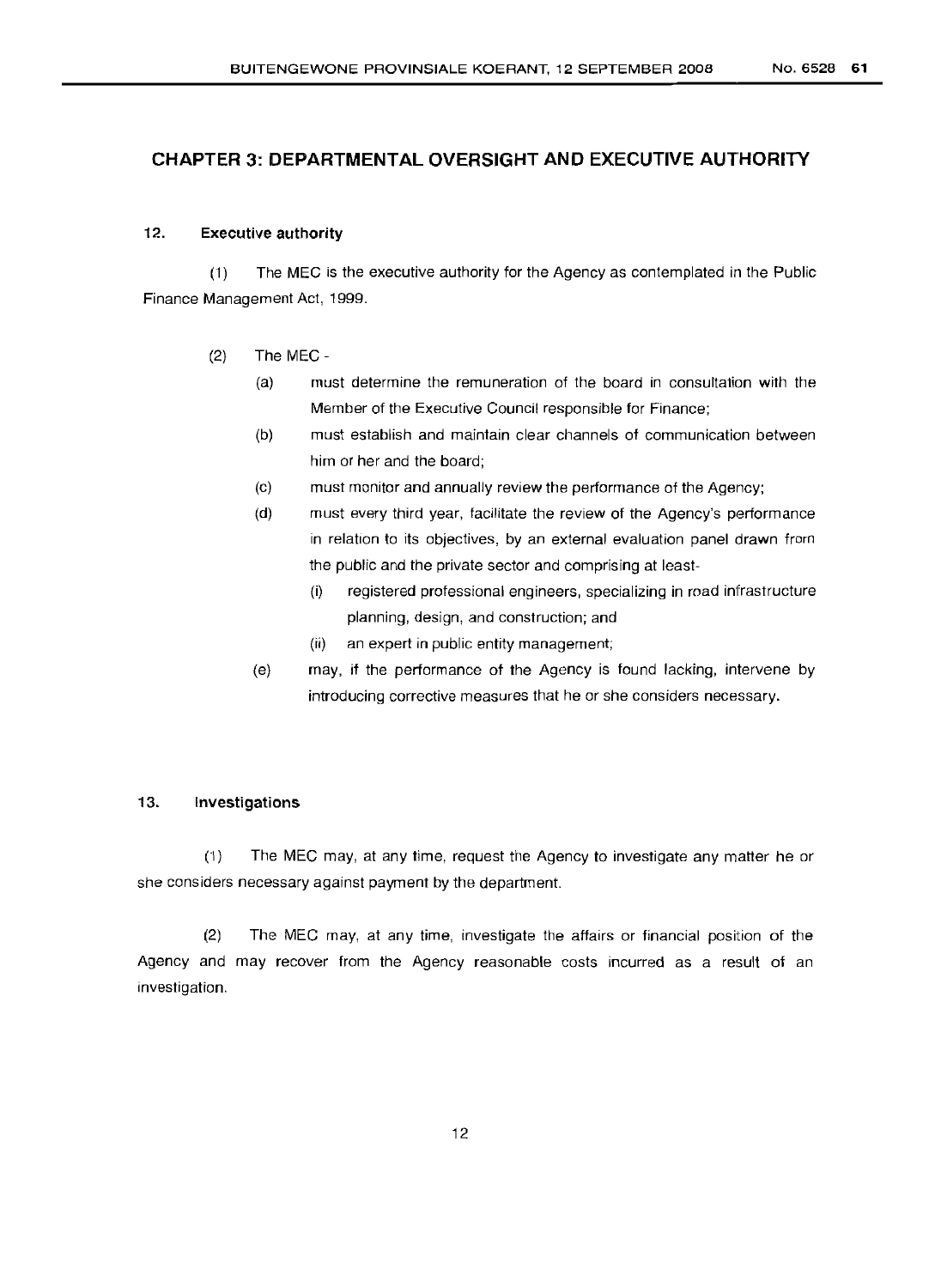# **CHAPTER 3: DEPARTMENTAL OVERSIGHT AND EXECUTIVE AUTHORITY**

#### 12. Executive authority

(1) The MEC is the executive authority for the Agency as contemplated in the Public Finance Management Act, 1999.

#### (2) The MEC -

- (a) must determine the remuneration of the board in consultation with the Member of the Executive Council responsible for Finance;
- (b) must establish and maintain clear channels of communication between him or her and the board;
- (c) must monitor and annually review the performance of the Agency;
- (d) must every third year, facilitate the review of the Agency's performance in relation to its objectives, by an external evaluation panel drawn from the public and the private sector and comprising at least-
	- (i) registered professional engineers, specializing in road infrastructure planning, design, and construction; and
	- (ii) an expert in public entity management;
- (e) may, if the performance of the Agency is found lacking, intervene by introducing corrective measures that he or she considers necessary.

#### 13. Investigations

(1) The MEC may, at any time, request the Agency to investigate any matter he or she considers necessary against payment by the department.

(2) The MEC may, at any time, investigate the affairs or financial position of the Agency and may recover from the Agency reasonable costs incurred as a result of an investigation.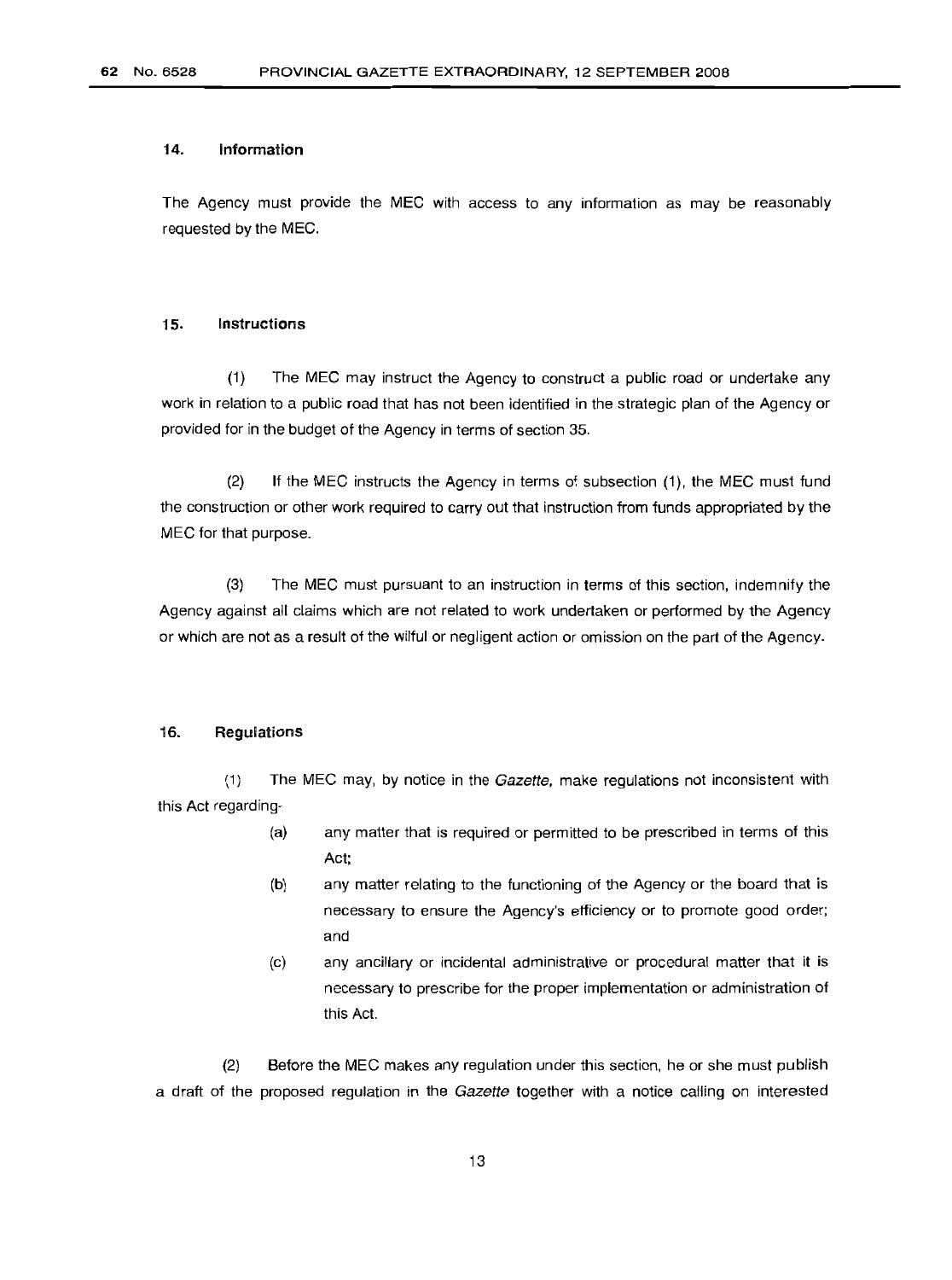#### 14. Information

The Agency must provide the MEG with access to any information as may be reasonably requested by the MEG.

#### 15. Instructions

(1) The MEG may instruct the Agency to construct a public road or undertake any work in relation to a public road that has not been identified in the strategic plan of the Agency or provided for in the budget of the Agency in terms of section 35.

(2) If the MEG instructs the Agency in terms of subsection (1), the MEG must fund the construction or other work required to carry out that instruction from funds appropriated by the MEG for that purpose.

(3) The MEG must pursuant to an instruction in terms of this section, indemnify the Agency against all claims which are not related to work undertaken or performed by the Agency or which are not as a result of the wilful or negligent action or omission on the part of the Agency.

#### 16. Regulations

(1) The MEC may, by notice in the Gazette, make regulations not inconsistent with this Act regarding-

- any matter that is required or permitted to be prescribed in terms of this Act; (a)
- any matter relating to the functioning of the Agency or the board that is necessary to ensure the Agency's efficiency or to promote good order; and (b)
- (c) any ancillary or incidental administrative or procedural matter that it is necessary to prescribe for the proper implementation or administration of this Act.

(2) Before the MEG makes any regulation under this section, he or she must publish a draft of the proposed regulation in the Gazette together with a notice calling on interested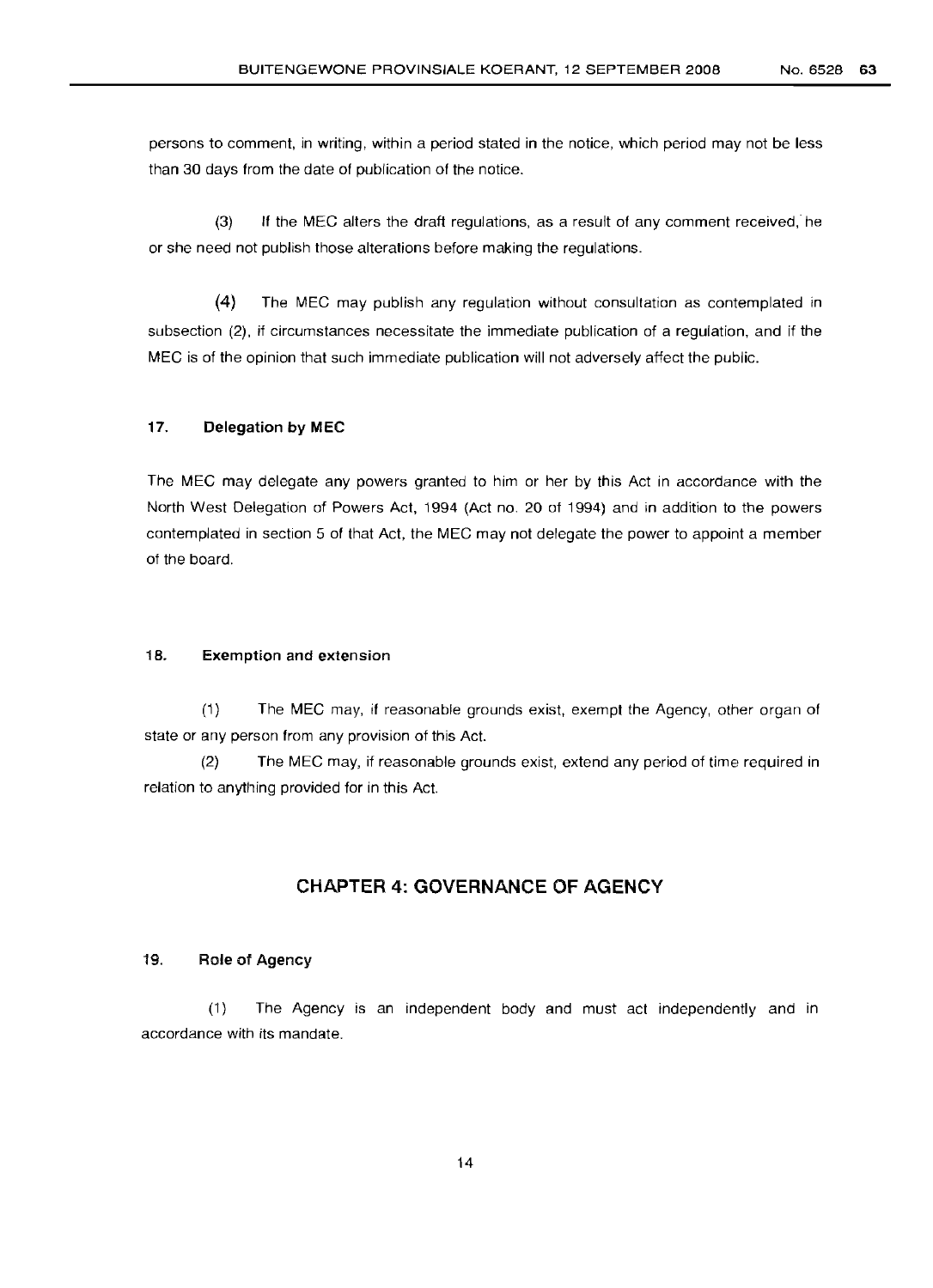persons to comment, in writing, within a period stated in the notice, which period may not be less than 30 days from the date of publication of the notice.

(3) If the MEG alters the draft regulations, as a result of any comment received, he or she need not publish those alterations before making the regulations.

(4) The MEG may publish any regulation without consultation as contemplated in subsection (2), if circumstances necessitate the immediate publication of a regulation, and if the MEG is of the opinion that such immediate publication will not adversely affect the public.

#### 17. Delegation by MEC

The MEG may delegate any powers granted to him or her by this Act in accordance with the North West Delegation of Powers Act, 1994 (Act no. 20 of 1994) and in addition to the powers contemplated in section 5 of that Act, the MEG may not delegate the power to appoint a member of the board.

#### 18. Exemption and extension

(1) The MEG may, if reasonable grounds exist, exempt the Agency, other organ of state or any person from any provision of this Act.

(2) The MEC may, if reasonable grounds exist, extend any period of time required in relation to anything provided for in this Act.

# **CHAPTER 4: GOVERNANCE OF AGENCY**

#### 19. Role of Agency

(1) The Agency is an independent body and must act independently and in accordance with its mandate.

14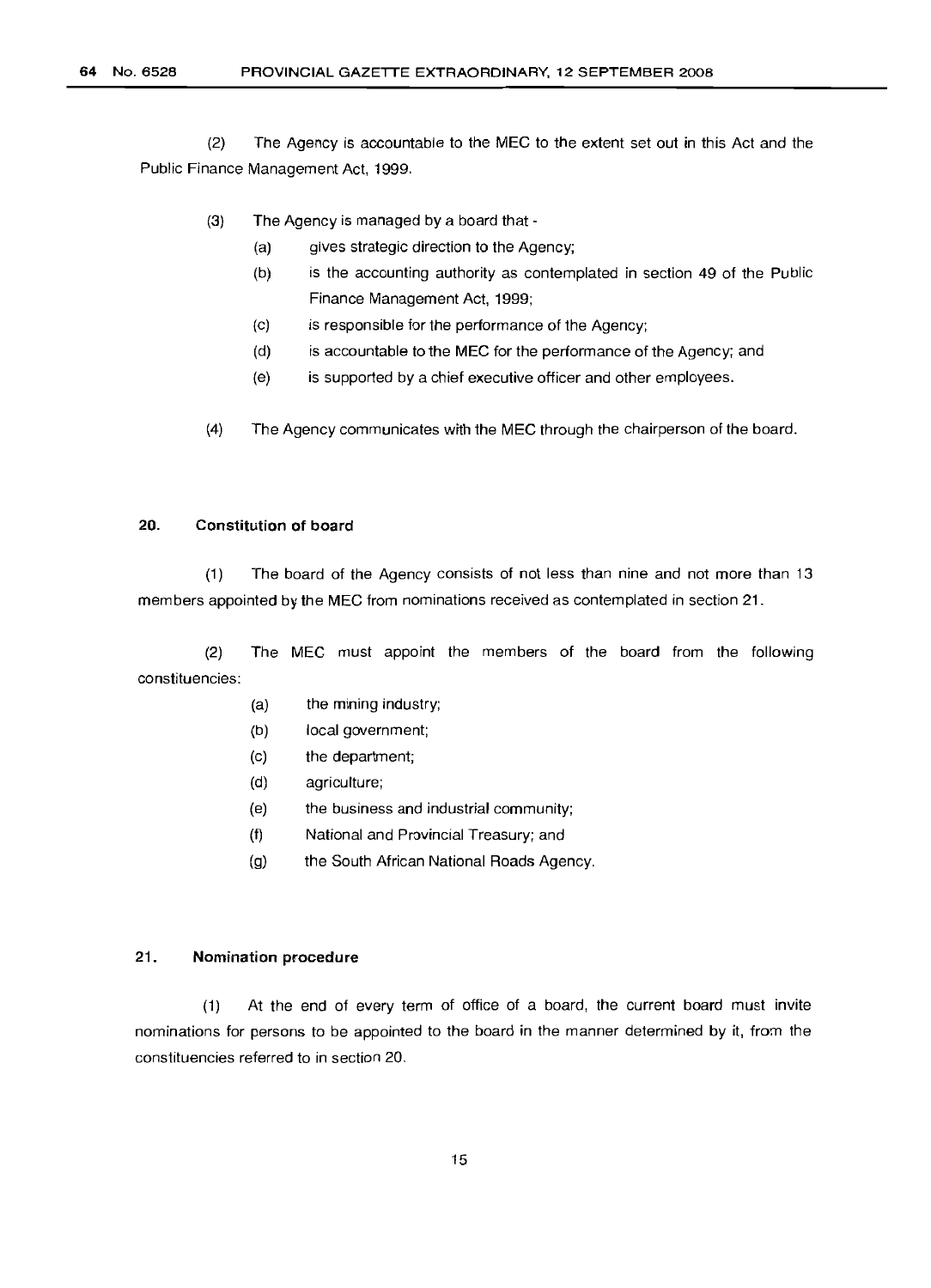(2) The Agency is accountable to the MEG to the extent set out in this Act and the Public Finance Management Act, 1999.

- (3) The Agency is managed by a board that
	- (a) gives strategic direction to the Agency;
	- (b) is the accounting authority as contemplated in section 49 of the Public Finance Management Act, 1999;
	- (c) is responsible for the performance of the Agency;
	- (d) is accountable to the MEG for the performance of the Agency; and
	- (e) is supported by a chief executive officer and other employees.
- (4) The Agency communicates with the MEG through the chairperson of the board.

#### 20. Constitution of board

(1) The board of the Agency consists of not less than nine and not more than 13 members appointed by the MEG from nominations received as contemplated in section 21.

(2) The MEG must appoint the members of the board from the following constituencies:

- (a) the mining industry;
- (b) local government;
- (c) the department;
- (d) agriculture;
- (e) the business and industrial community;
- (f) National and Provincial Treasury; and
- (g) the South African National Roads Agency.

#### 21. Nomination procedure

(1) At the end of every term of office of a board, the current board must invite nominations for persons to be appointed to the board in the manner determined by it, from the constituencies referred to in section 20.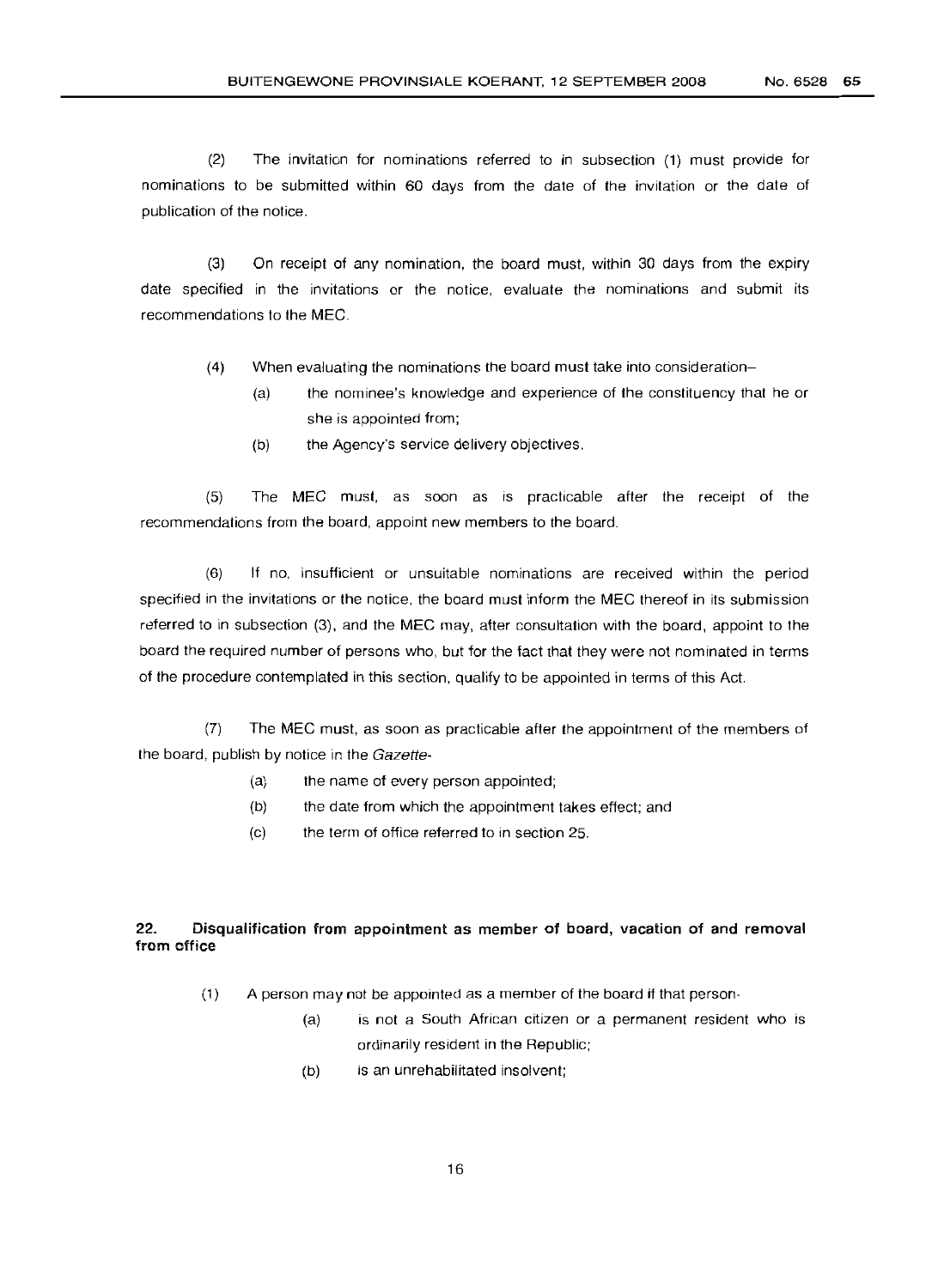(2) The invitation for nominations referred to in subsection (1) must provide for nominations to be submitted within 60 days from the date of the invitation or the date of publication of the notice.

(3) On receipt of any nomination, the board must, within 30 days from the expiry date specified in the invitations or the notice, evaluate the nominations and submit its recommendations to the MEG.

- (4) When evaluating the nominations the board must take into consideration-
	- (a) the nominee's knowledge and experience of the constituency that he or she is appointed from;
	- (b) the Agency's service delivery objectives.

(5) The MEG must, as soon as is practicable after the receipt of the recommendations from the board, appoint new members to the board.

(6) If no, insufficient or unsuitable nominations are received within the period specified in the invitations or the notice, the board must inform the MEG thereof in its submission referred to in subsection (3), and the MEG may, after consultation with the board, appoint to the board the required number of persons who, but for the fact that they were not nominated in terms of the procedure contemplated in this section, qualify to be appointed in terms of this Act.

(7) The MEG must, as soon as practicable after the appointment of the members of the board, publish by notice in the Gazette-

- (a) the name of every person appointed;
- (b) the date from which the appointment takes effect; and
- (c) the term of office referred to in section 25.

# 22. Disqualification from appointment as member of board, vacation of and removal from office

- (1) A person may not be appointed as a member of the board if that person-
	- (a) is not a South African citizen or a permanent resident who is ordinarily resident in the Republic;
	- (b) is an unrehabilitated insolvent;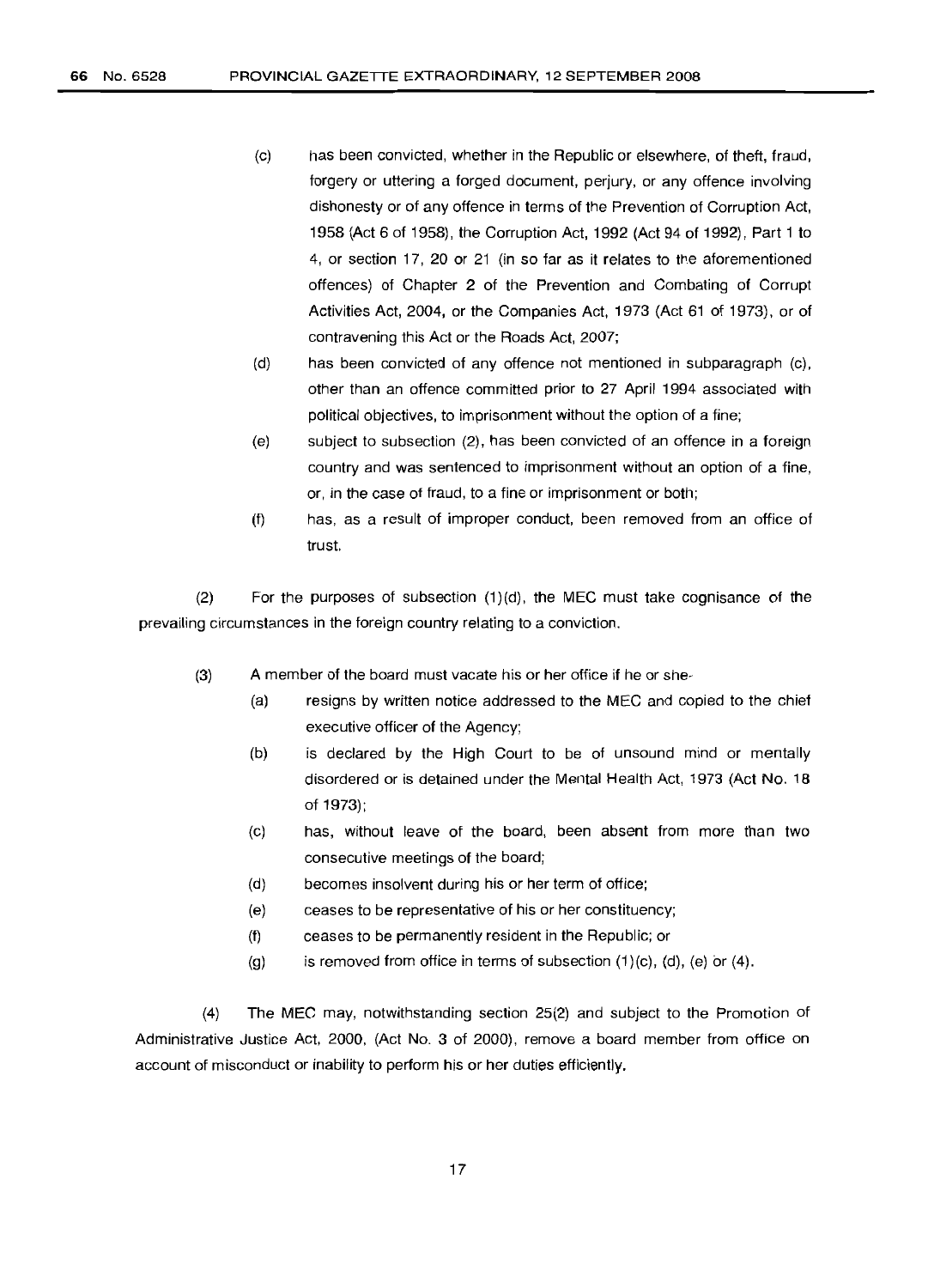- (c) has been convicted, whether in the Republic or elsewhere, of theft, fraud, forgery or uttering a forged document, perjury, or any offence involving dishonesty or of any offence in terms of the Prevention of Corruption Act, 1958 (Act 6 of 1958), the Corruption Act, 1992 (Act 94 of 1992), Part 1 to 4, or section 17, 20 or 21 (in so far as it relates to the aforementioned offences) of Chapter 2 of the Prevention and Combating of Corrupt Activities Act, 2004, or the Companies Act, 1973 (Act 61 of 1973), or of contravening this Act or the Roads Act, 2007;
- (d) has been convicted of any offence not mentioned in subparagraph (c), other than an offence committed prior to 27 April 1994 associated with political objectives, to imprisonment without the option of a fine;
- (e) subject to subsection (2), has been convicted of an offence in a foreign country and was sentenced to imprisonment without an option of a fine, or, in the case of fraud, to a fine or imprisonment or both;
- (f) has, as a result of improper conduct, been removed from an office of trust.

(2) For the purposes of subsection (1)(d), the MEC must take cognisance of the prevailing circumstances in the foreign country relating to a conviction.

- (3) A member of the board must vacate his or her office if he or she-
	- (a) resigns by written notice addressed to the MEC and copied to the chief executive officer of the Agency;
	- (b) is declared by the High Court to be of unsound mind or mentally disordered or is detained under the Mental Health Act, 1973 (Act No. 18 of 1973);
	- (c) has, without leave of the board, been absent from more than two consecutive meetings of the board;
	- (d) becomes insolvent during his or her term of office;
	- (e) ceases to be representative of his or her constituency;
	- (f) ceases to be permanently resident in the Republic; or
	- $(g)$  is removed from office in terms of subsection  $(1)(c)$ ,  $(d)$ ,  $(e)$  or  $(4)$ .

(4) The MEC may, notwithstanding section 25(2) and subject to the Promotion of Administrative Justice Act, 2000, (Act No. 3 of 2000), remove a board member from office on account of misconduct or inability to perform his or her duties efficiently.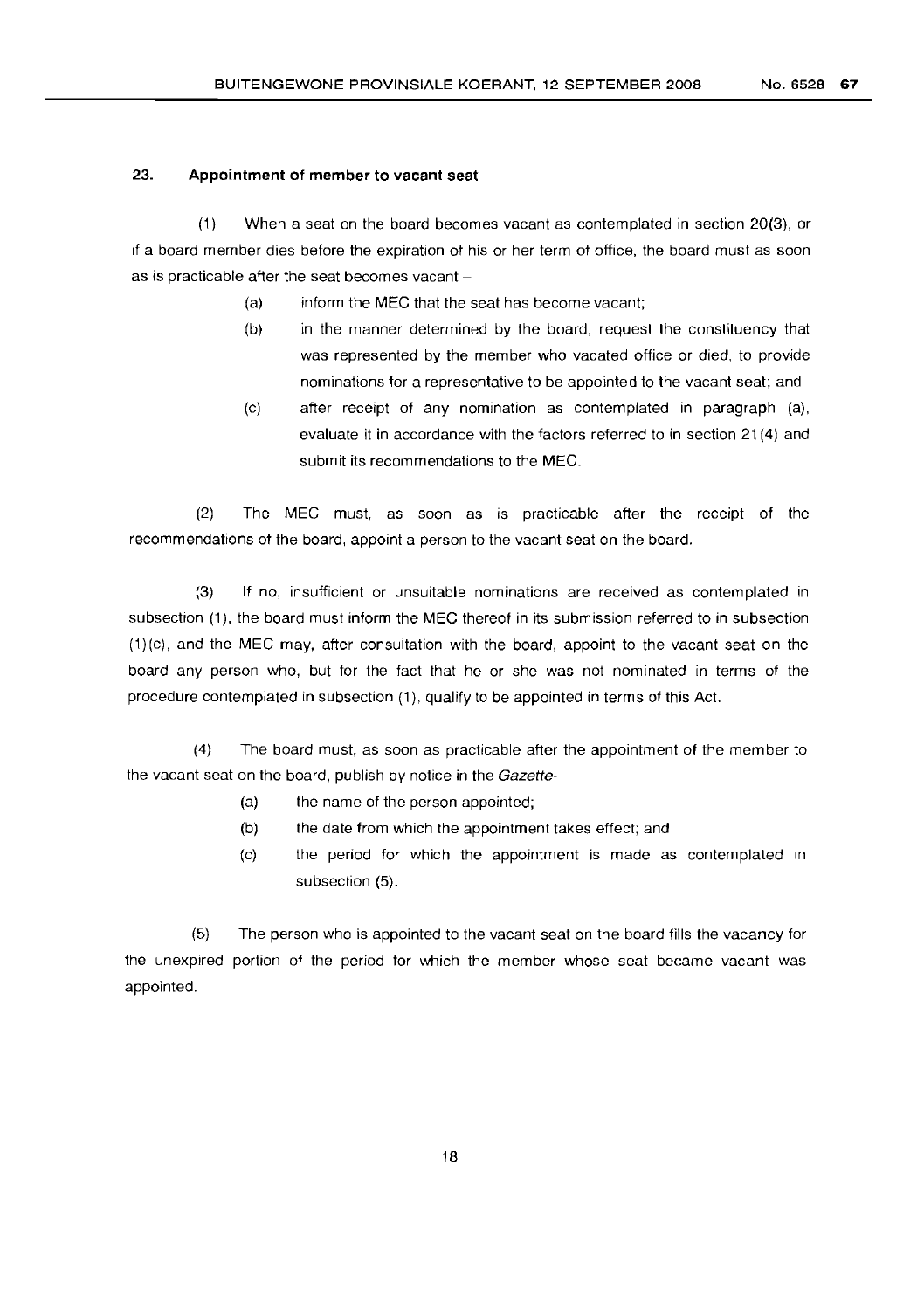#### 23. **Appointment of member to vacant seat**

(1) When a seat on the board becomes vacant as contemplated in section 20(3), or if a board member dies before the expiration of his or her term of office, the board must as soon as is practicable after the seat becomes vacant  $-$ 

- (a) inform the MEG that the seat has become vacant;
- (b) in the manner determined by the board, request the constituency that was represented by the member who vacated office or died, to provide nominations for a representative to be appointed to the vacant seat; and
- (c) after receipt of any nomination as contemplated in paragraph (a), evaluate it in accordance with the factors referred to in section 21 (4) and submit its recommendations to the MEG.

(2) The MEG must, as soon as is practicable after the receipt of the recommendations of the board, appoint a person to the vacant seat on the board.

(3) If no, insufficient or unsuitable nominations are received as contemplated in subsection (1), the board must inform the MEG thereof in its submission referred to in subsection (1)(c). and the MEG may, after consultation with the board, appoint to the vacant seat on the board any person who, but for the fact that he or she was not nominated in terms of the procedure contemplated in subsection (1), qualify to be appointed in terms of this Act.

(4) The board must, as soon as practicable after the appointment of the member to the vacant seat on the board, publish by notice in the Gazette-

- (a) the name of the person appointed;
- (b) the date from which the appointment takes effect; and
- (c) the period for which the appointment is made as contemplated in subsection (5).

(5) The person who is appointed to the vacant seat on the board fills the vacancy for the unexpired portion of the period for which the member whose seat became vacant was appointed.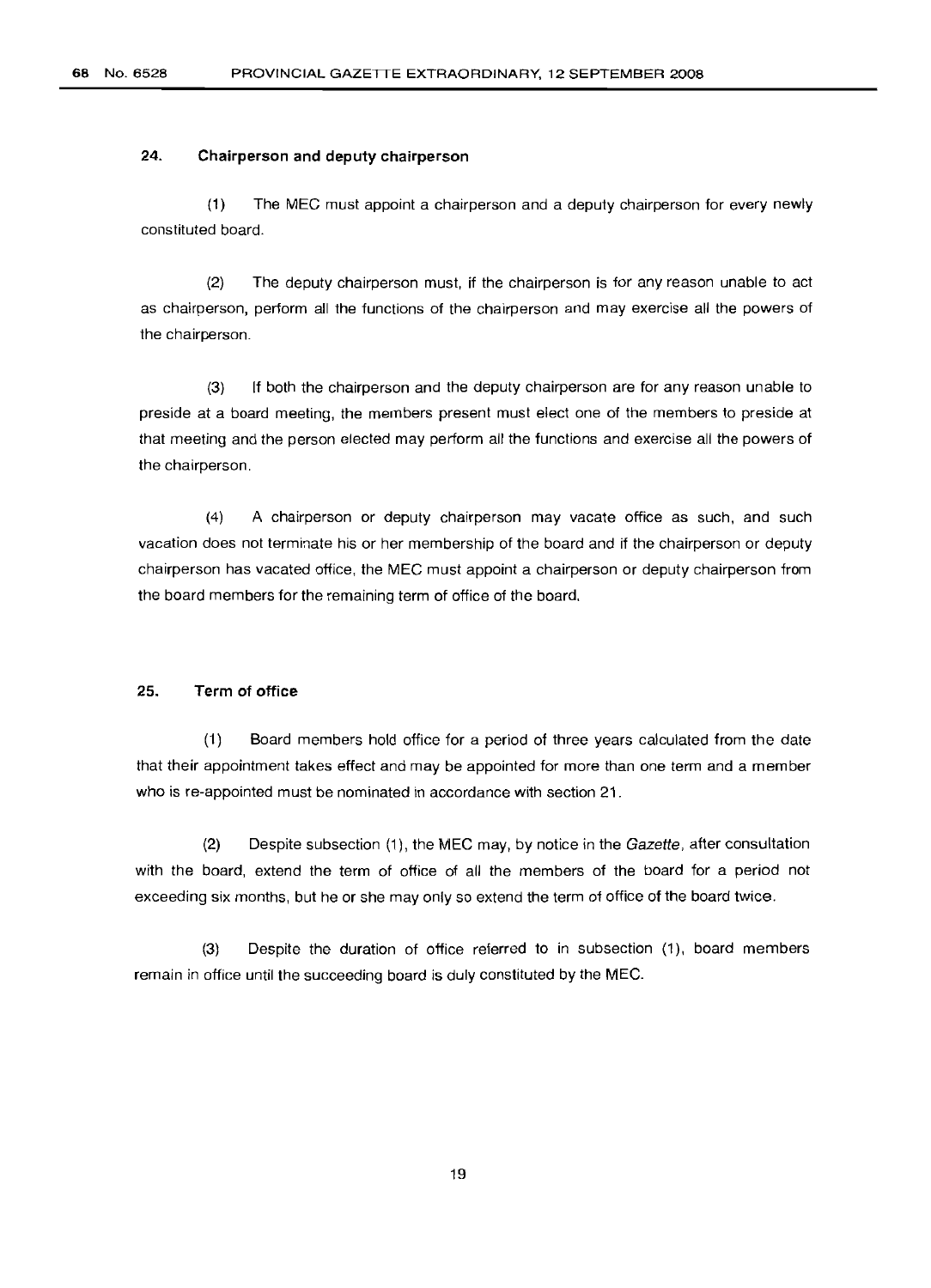#### 24. **Chairperson and deputy chairperson**

(1) The MEG must appoint a chairperson and a deputy chairperson for every newly constituted board.

(2) The deputy chairperson must, if the chairperson is for any reason unable to act as chairperson, perform all the functions of the chairperson and may exercise all the powers of the chairperson.

(3) If both the chairperson and the deputy chairperson are for any reason unable to preside at a board meeting, the members present must elect one of the members to preside at that meeting and the person elected may perform all the functions and exercise all the powers of the chairperson.

(4) A chairperson or deputy chairperson may vacate office as such, and such vacation does not terminate his or her membership of the board and if the chairperson or deputy chairperson has vacated office, the MEG must appoint a chairperson or deputy chairperson from the board members for the remaining term of office of the board.

#### 25. **Term of office**

(1) Board members hold office for a period of three years calculated from the date that their appointment takes effect and may be appointed for more than one term and a member who is re-appointed must be nominated in accordance with section 21.

(2) Despite subsection (1), the MEG may, by notice in the Gazette, after consultation with the board, extend the term of office of all the members of the board for a period not exceeding six months, but he or she may only so extend the term of office of the board twice.

(3) Despite the duration of office referred to in subsection (1), board members remain in office until the succeeding board is duly constituted by the MEG.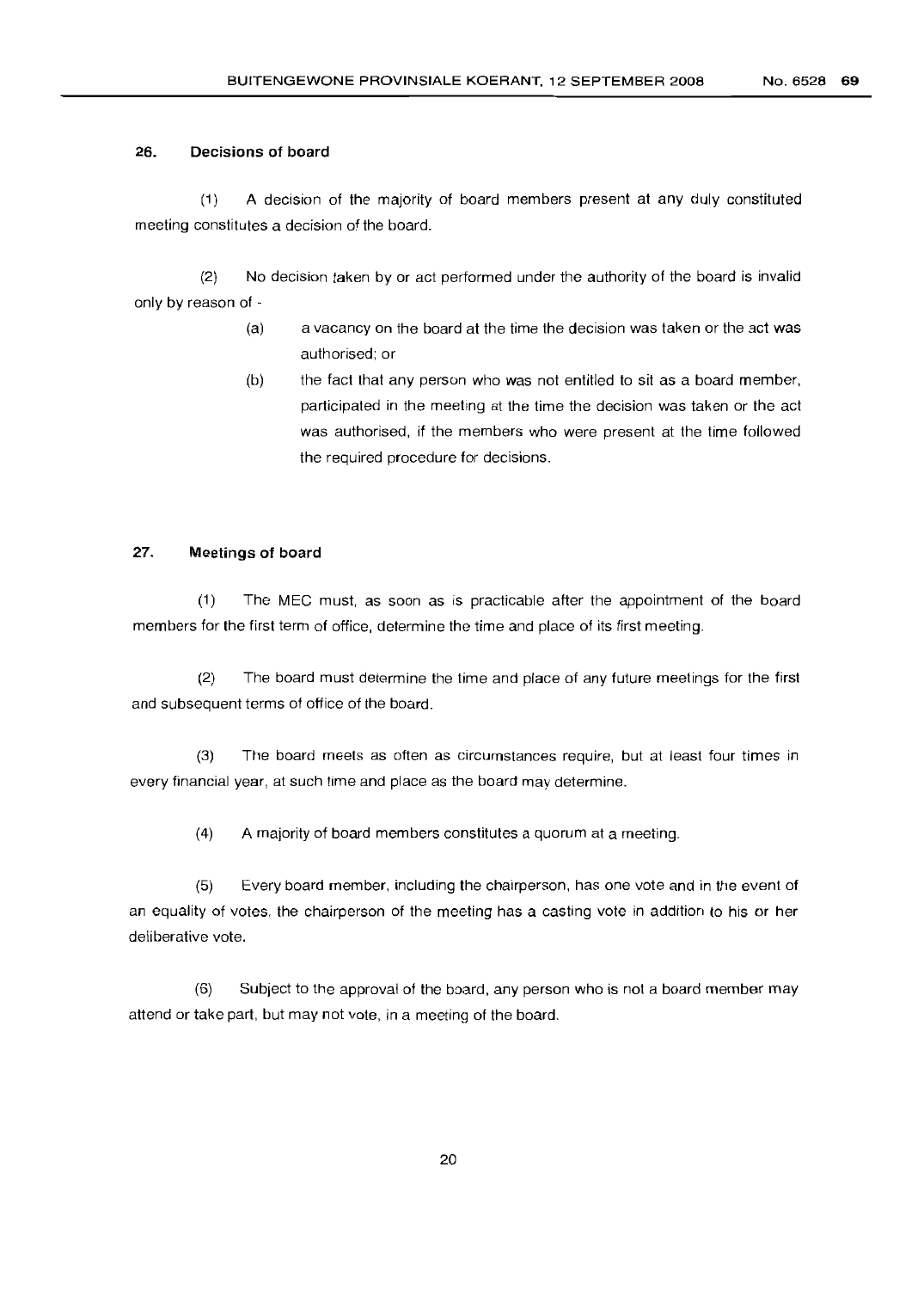#### 26. Decisions of board

(1) A decision of the majority of board members present at any duly constituted meeting constitutes a decision of the board.

(2) No decision taken by or act performed under the authority of the board is invalid only by reason of -

- a vacancy on the board at the time the decision was taken or the act was authorised; or (a)
- the fact that any person who was not entitled to sit as a board member, participated in the meeting at the time the decision was taken or the act was authorised, if the members who were present at the time followed the required procedure for decisions. (b)

#### 27. Meetings of board

(1) The MEC must, as soon as is practicable after the appointment of the board members for the first term of office, determine the time and place of its first meeting.

(2) The board must determine the time and place of any future meetings for the first and subsequent terms of office of the board.

(3) The board meets as often as circumstances require, but at least four times in every financial year, at such time and place as the board may determine.

(4) A majority of board members constitutes a quorum at a meeting.

(5) Every board member, including the chairperson, has one vote and in the event of an equality of votes, the chairperson of the meeting has a casting vote in addition to his or her deliberative vote.

(6) Subject to the approval of the board, any person who is not a board member may attend or take part, but may not vote, in a meeting of the board.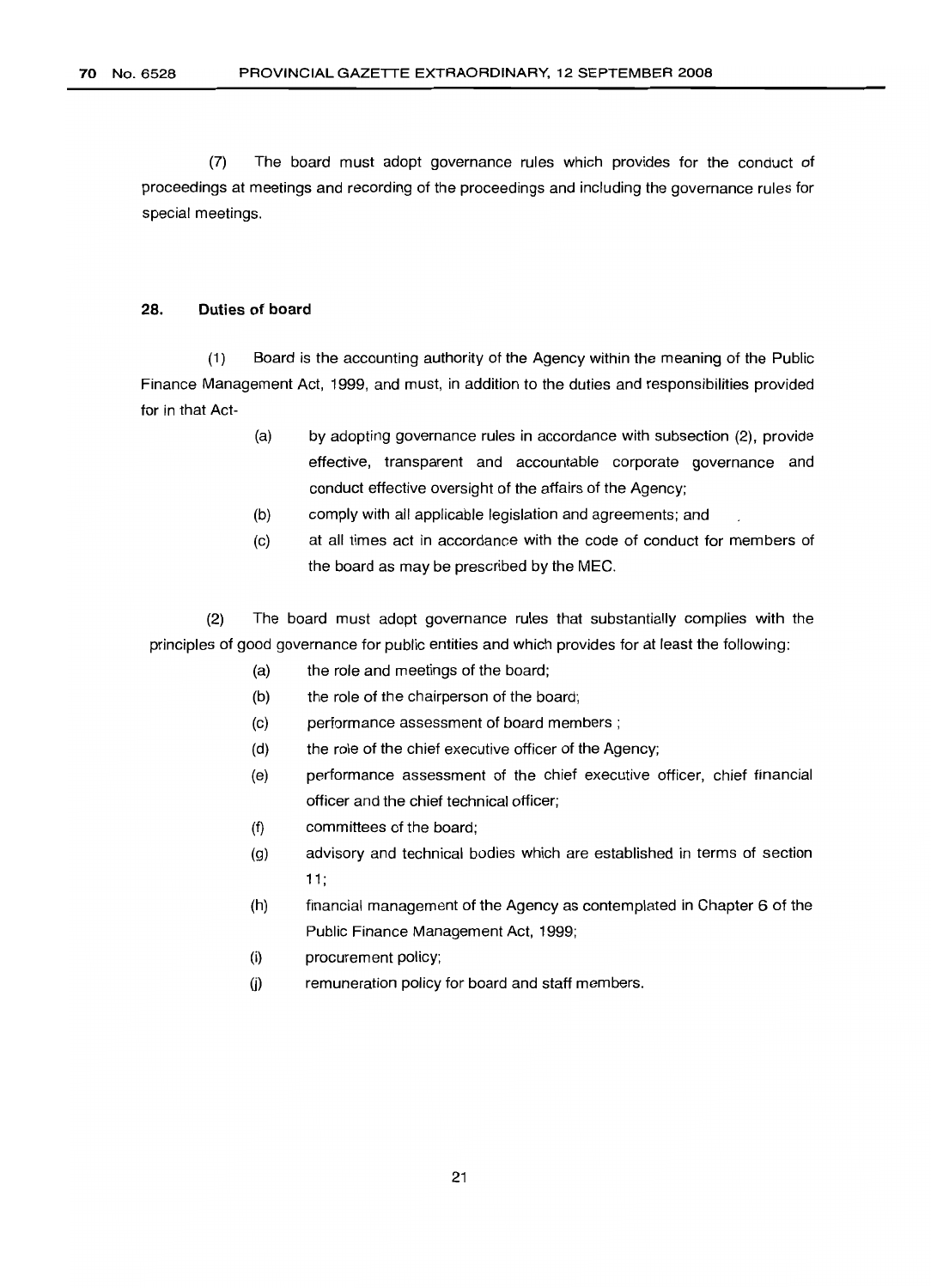(7) The board must adopt governance rules which provides for the conduct of proceedings at meetings and recording of the proceedings and including the governance rules for special meetings.

#### 28. Duties of board

(1) Board is the accounting authority of the Agency within the meaning of the Public Finance Management Act, 1999, and must, in addition to the duties and responsibilities provided for in that Act-

- (a) by adopting governance rules in accordance with subsection (2), provide effective, transparent and accountable corporate governance and conduct effective oversight of the affairs of the Agency;
- (b) comply with all applicable legislation and agreements; and
- (c) at all times act in accordance with the code of conduct for members of the board as may be prescribed by the MEC.

(2) The board must adopt governance rules that substantially complies with the principles of good governance for public entities and which provides for at least the following:

- (a) the role and meetings of the board;
- (b) the role of the chairperson of the board;
- (c) performance assessment of board members;
- (d) the role of the chief executive officer of the Agency;
- (e) performance assessment of the chief executive officer, chief financial officer and the chief technical officer;
- (f) committees of the board;
- (g) advisory and technical bodies which are established in terms of section 11;
- (h) financial management of the Agency as contemplated in Chapter 6 of the Public Finance Management Act, 1999;
- (i) procurement policy;
- 0) remuneration policy for board and staff members.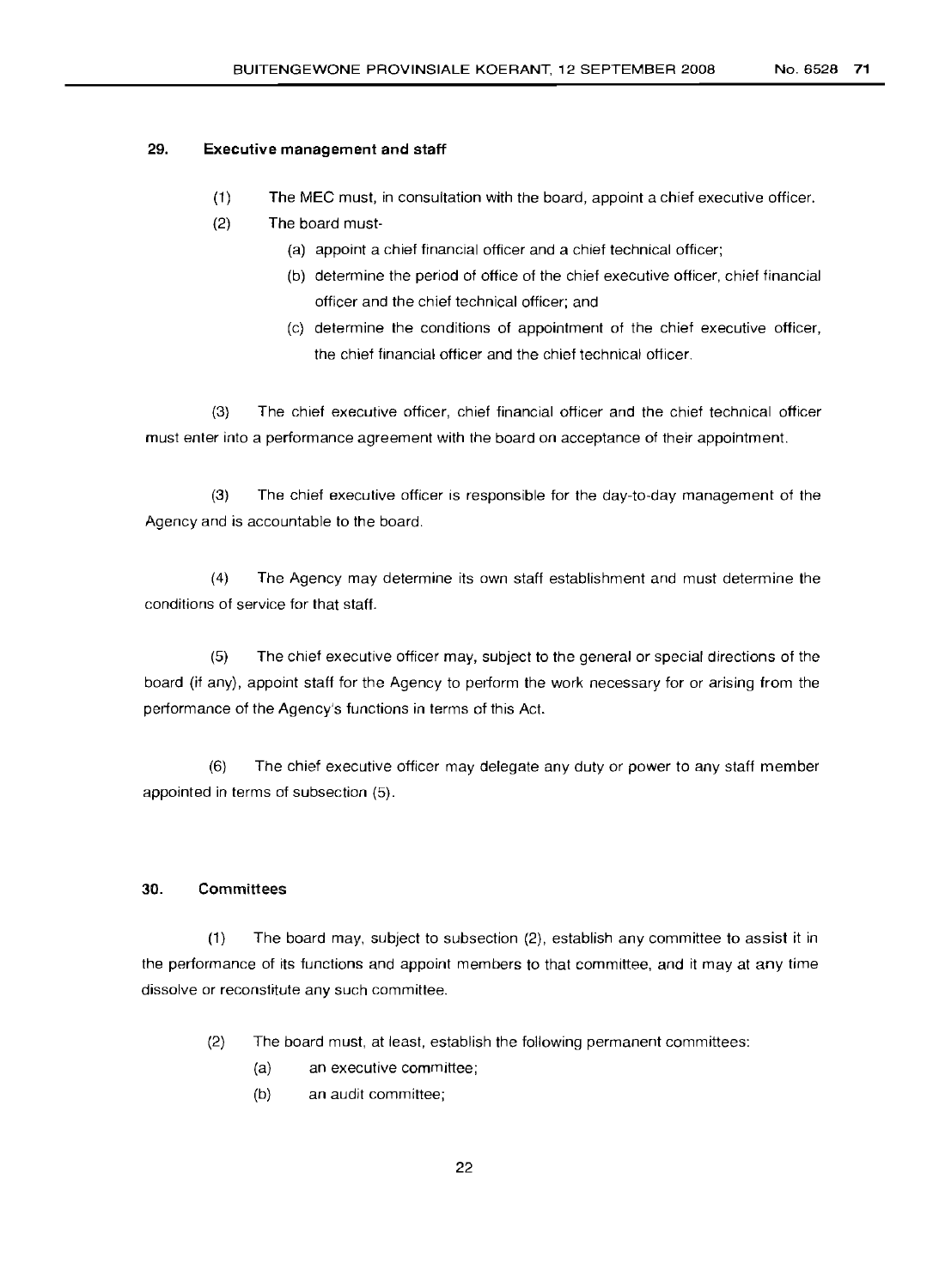#### 29. **Executive management and staff**

- (1) The MEC must, in consultation with the board, appoint a chief executive officer.
- (2) The board must-
	- (a) appoint a chief financial officer and a chief technical officer;
	- (b) determine the period of office of the chief executive officer, chief financial officer and the chief technical officer; and
	- (c) determine the conditions of appointment of the chief executive officer, the chief financial officer and the chief technical officer.

(3) The chief executive officer, chief financial officer and the chief technical officer must enter into a performance agreement with the board on acceptance of their appointment.

(3) The chief executive officer is responsible for the day-to-day management of the Agency and is accountable to the board.

(4) The Agency may determine its own staff establishment and must determine the conditions of service for that staff.

(5) The chief executive officer may, subject to the general or special directions of the board (if any), appoint staff for the Agency to perform the work necessary for or arising from the performance of the Agency's functions in terms of this Act.

(6) The chief executive officer may delegate any duty or power to any staff member appointed in terms of subsection (5).

## 30. Committees

(1) The board may, subject to subsection (2), establish any committee to assist it in the performance of its functions and appoint members to that committee, and it may at any time dissolve or reconstitute any such committee.

- (2) The board must, at least, establish the following permanent committees:
	- (a) an executive committee;
	- (b) an audit committee;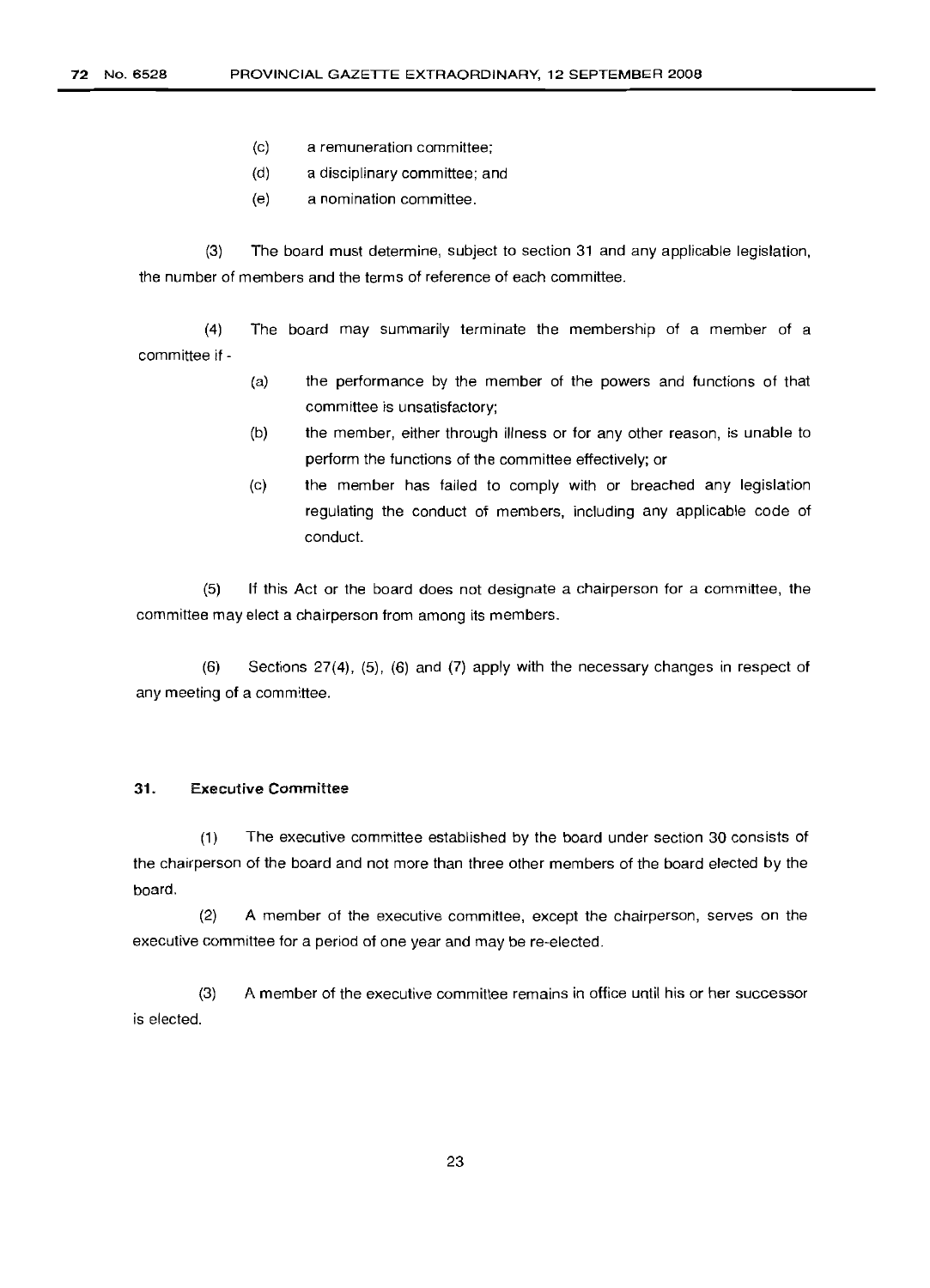- (c) a remuneration committee;
- (d) a disciplinary committee; and
- (e) a nomination committee.

(3) The board must determine, subject to section 31 and any applicable legislation, the number of members and the terms of reference of each committee.

(4) The board may summarily terminate the membership of a member of a committee if-

- (a) the performance by the member of the powers and functions of that committee is unsatisfactory;
- (b) the member, either through illness or for any other reason, is unable to perform the functions of the committee effectively; or
- (c) the member has failed to comply with or breached any legislation regulating the conduct of members, including any applicable code of conduct.

(5) If this Act or the board does not designate a chairperson for a committee, the committee may elect a chairperson from among its members.

(6) Sections 27(4). (5). (6) and (7) apply with the necessary changes in respect of any meeting of a committee.

#### 31. Executive Committee

(1) The executive committee established by the board under section 30 consists of the chairperson of the board and not more than three other members of the board elected by the board.

(2) A member of the executive committee, except the chairperson, serves on the executive committee for a period of one year and may be re-elected.

(3) A member of the executive committee remains in office until his or her successor is elected.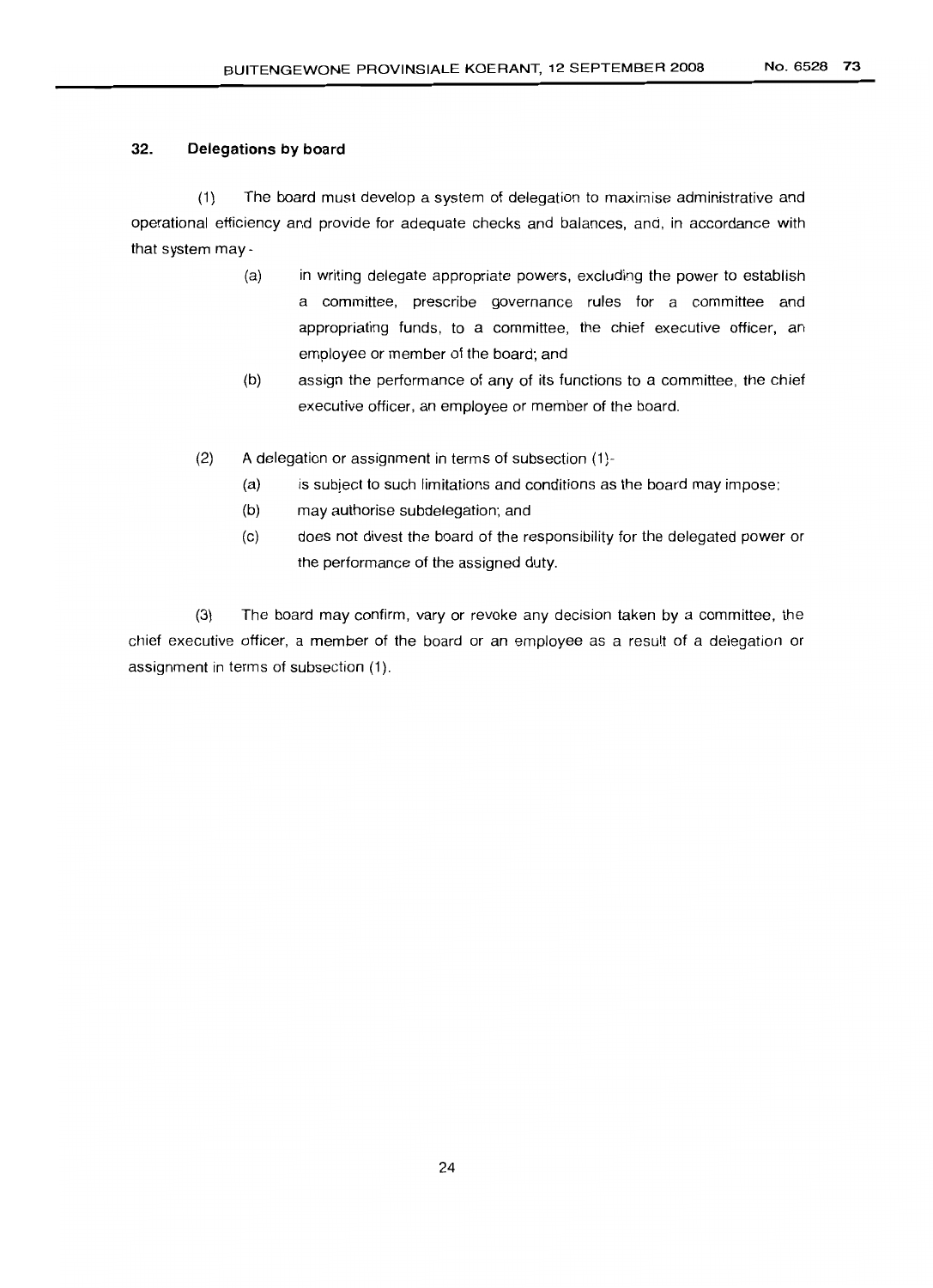## 32. **Delegations by board**

(1) The board must develop a system of delegation to maximise administrative and operational efficiency and provide for adequate checks and balances, and, in accordance with that system may -

- in writing delegate appropriate powers, excluding the power to establish a committee, prescribe governance rules for a committee and appropriating funds, to a committee, the chief executive officer, an employee or member of the board; and (a)
- assign the performance of any of its functions to a committee, the chief executive officer, an employee or member of the board. (b)
- (2) A delegation or assignment in terms of subsection (1)-
	- (a) is subject to such limitations and conditions as the board may impose;
	- (b) may authorise subdelegation; and
	- (c) does not divest the board of the responsibility for the delegated power or the performance of the assigned duty.

(3) The board may confirm, vary or revoke any decision taken by a committee, the chief executive officer, a member of the board or an employee as a result of a delegation or assignment in terms of subsection (1).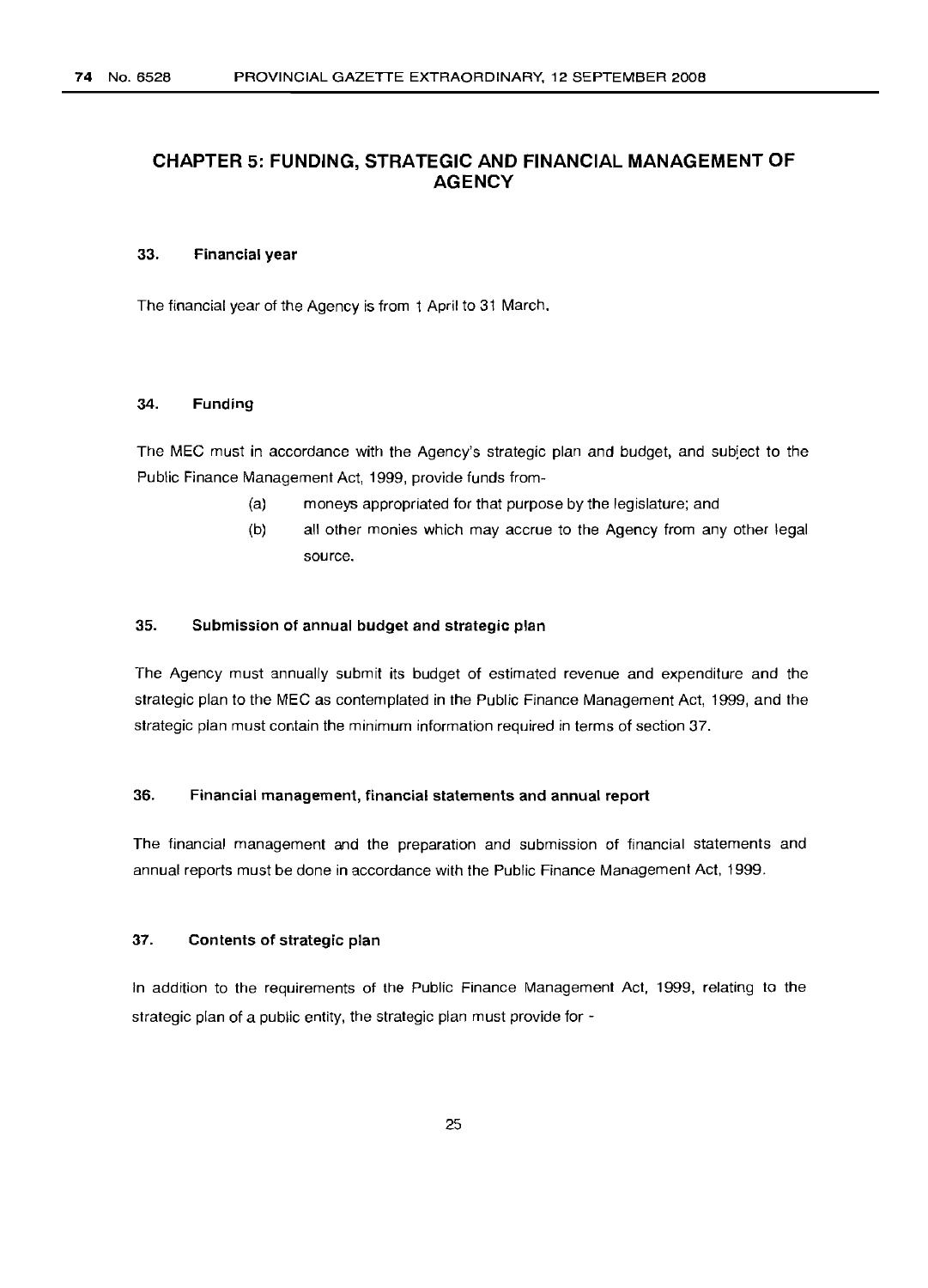# **CHAPTER 5: FUNDING, STRATEGIC AND FINANCIAL MANAGEMENT OF AGENCY**

#### 33. Financial year

The financial year of the Agency is from 1 April to 31 March.

#### 34. Funding

The MEC must in accordance with the Agency's strategic plan and budget, and subject to the Public Finance Management Act, 1999, provide funds from-

- (a) moneys appropriated for that purpose by the legislature; and
- (b) all other monies which may accrue to the Agency from any other legal source.

## 35. Submission of annual budget and strategic plan

The Agency must annually submit its budget of estimated revenue and expenditure and the strategic plan to the MEC as contemplated in the Public Finance Management Act, 1999, and the strategic plan must contain the minimum information required in terms of section 37.

#### 36. Financial management, financial statements and annual report

The financial management and the preparation and submission of financial statements and annual reports must be done in accordance with the Public Finance Management Act, 1999.

#### 37. Contents of strategic plan

In addition to the requirements of the Public Finance Management Act, 1999, relating to the strategic plan of a public entity, the strategic plan must provide for -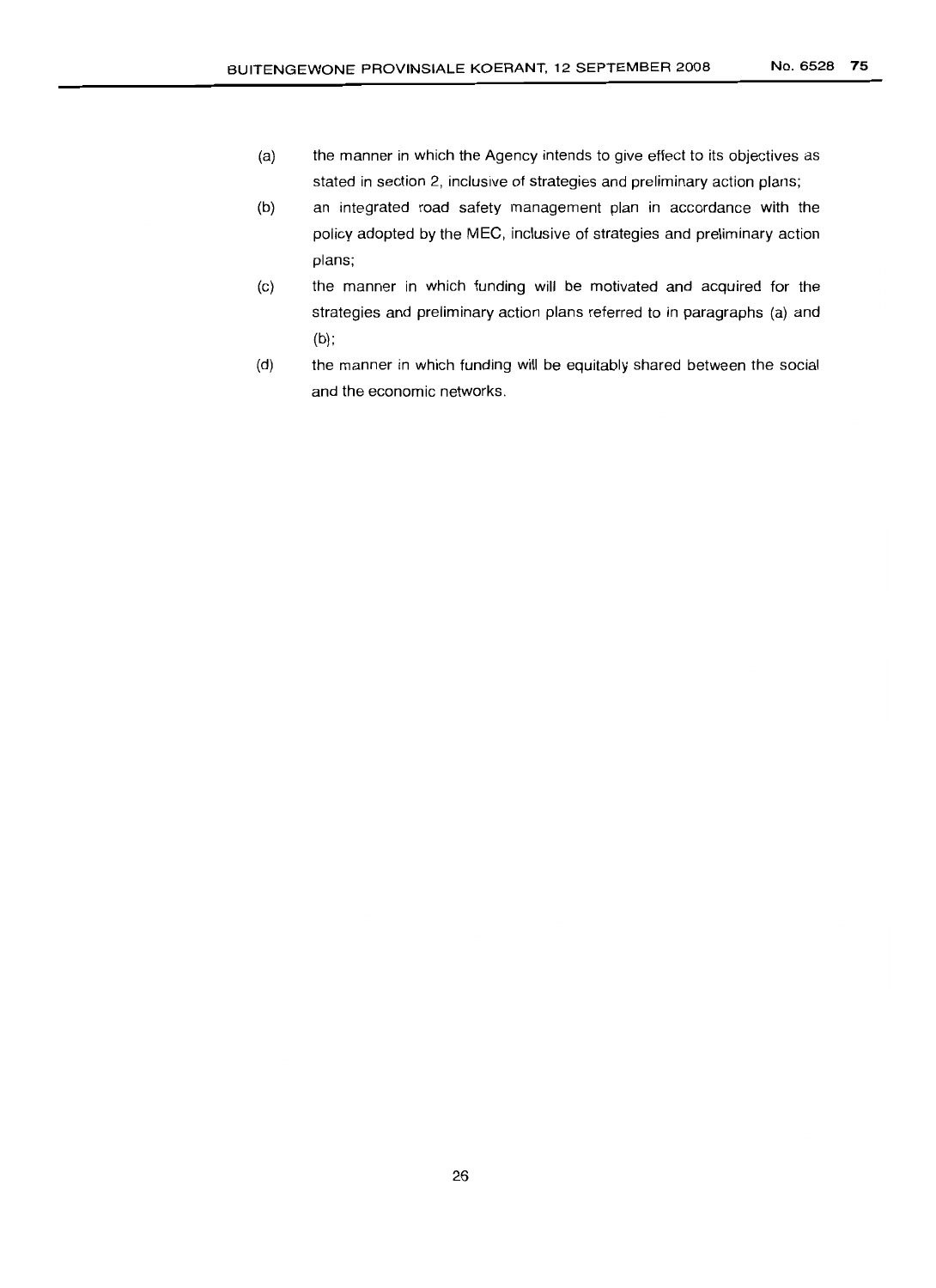- (a) the manner in which the Agency intends to give effect to its objectives as stated in section 2, inclusive of strategies and preliminary action plans;
- (b) an integrated road safety management plan in accordance with the policy adopted by the MEC, inclusive of strategies and preliminary action plans;
- (c) the manner in which funding will be motivated and acquired for the strategies and preliminary action plans referred to in paragraphs (a) and  $(b)$ ;
- (d) the manner in which funding will be equitably shared between the social and the economic networks.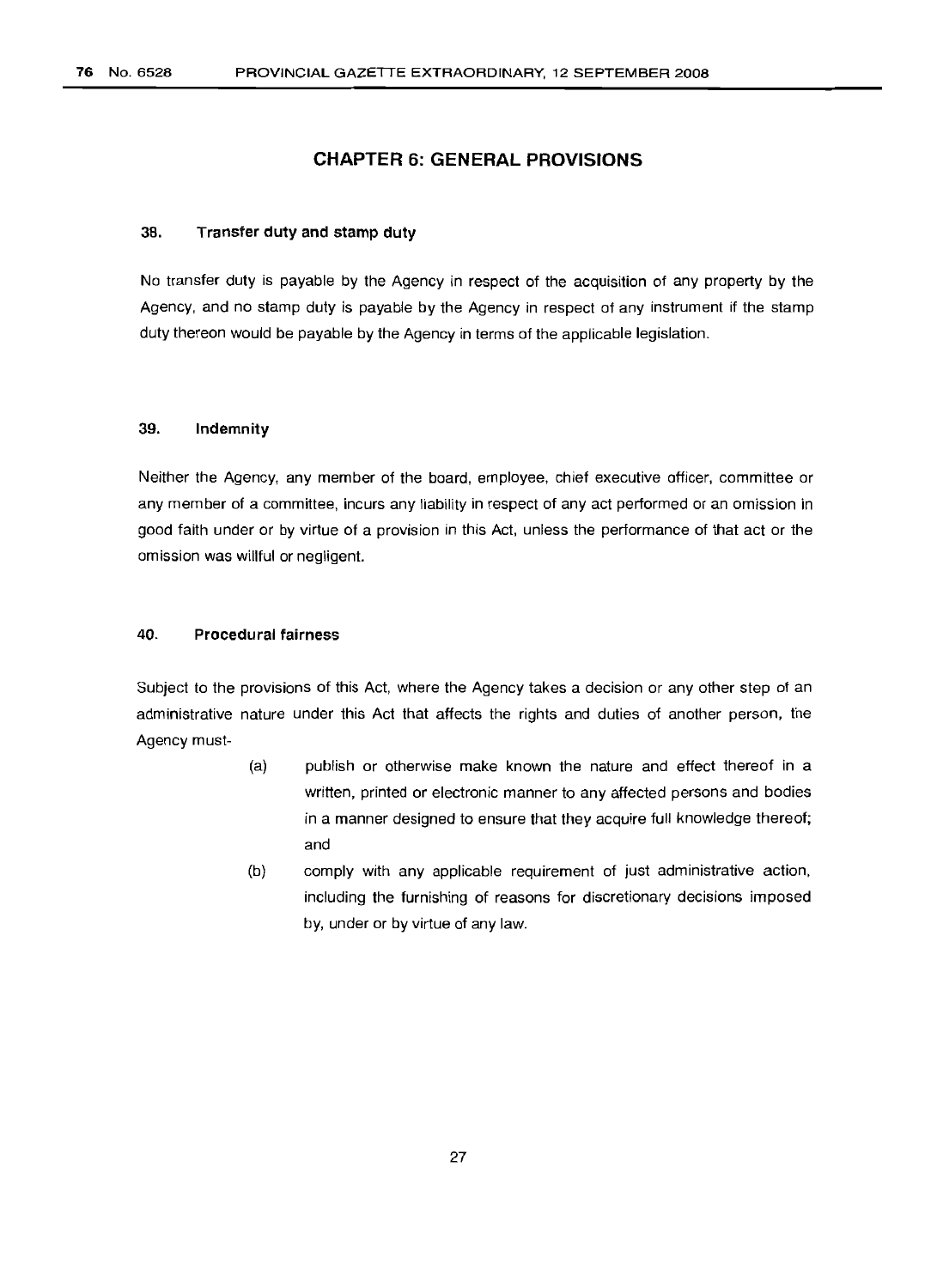# **CHAPTER 6: GENERAL PROVISIONS**

#### 38. **Transfer duty and stamp duty**

No transfer duty is payable by the Agency in respect of the acquisition of any property by the Agency, and no stamp duty is payable by the Agency in respect of any instrument if the stamp duty thereon would be payable by the Agency in terms of the applicable legislation.

## 39. **Indemnity**

Neither the Agency, any member of the board, employee, chief executive officer, committee or any member of a committee, incurs any liability in respect of any act performed or an omission in good faith under or by virtue of a provision in this Act, unless the performance of that act or the omission was willful or negligent.

### 40. **Procedural** fairness

Subject to the provisions of this Act, where the Agency takes a decision or any other step of an administrative nature under this Act that affects the rights and duties of another person, the Agency must-

- (a) publish or otherwise make known the nature and effect thereof in a written, printed or electronic manner to any affected persons and bodies in a manner designed to ensure that they acquire full knowledge thereof; and
- (b) comply with any applicable requirement of just administrative action, including the furnishing of reasons for discretionary decisions imposed by, under or by virtue of any law.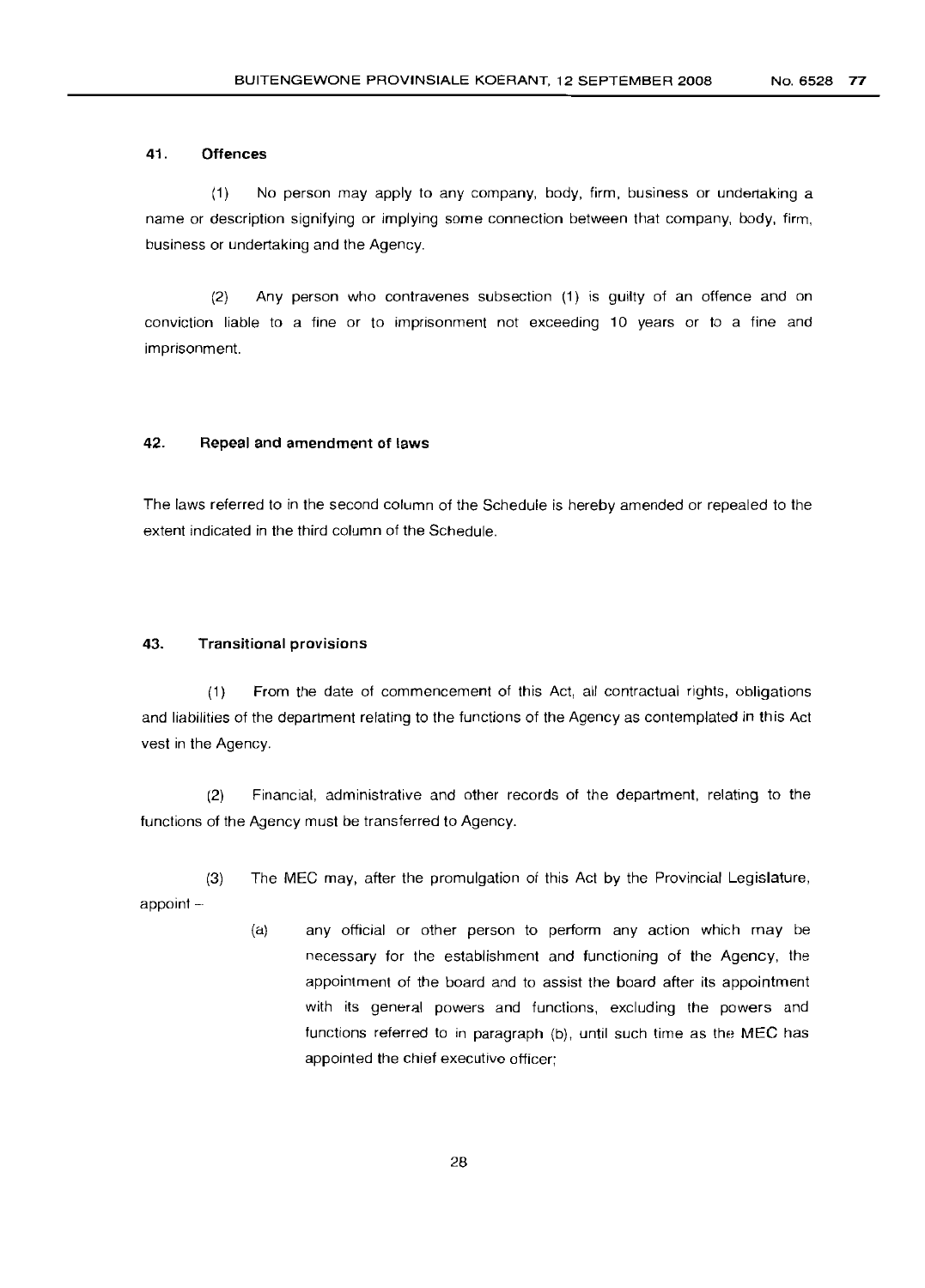#### 41. Offences

(1) No person may apply to any company, body, firm, business or undertaking a name or description signifying or implying some connection between that company, body, firm, business or undertaking and the Agency.

(2) Any person who contravenes subsection (1) is guilty of an offence and on conviction liable to a fine or to imprisonment not exceeding 10 years or to a fine and imprisonment.

#### 42. Repeal and amendment of laws

The laws referred to in the second column of the Schedule is hereby amended or repealed to the extent indicated in the third column of the Schedule.

## 43. Transitional provisions

(1) From the date of commencement of this Act, all contractual rights, obligations and liabilities of the department relating to the functions of the Agency as contemplated in this Act vest in the Agency.

(2) Financial, administrative and other records of the department, relating to the functions of the Agency must be transferred to Agency.

(3) The MEC may, after the promulgation of this Act by the Provincial Legislature, appoint -

> (a) any official or other person to perform any action which may be necessary for the establishment and functioning of the Agency, the appointment of the board and to assist the board after its appointment with its general powers and functions, excluding the powers and functions referred to in paragraph (b), until such time as the MEC has appointed the chief executive officer;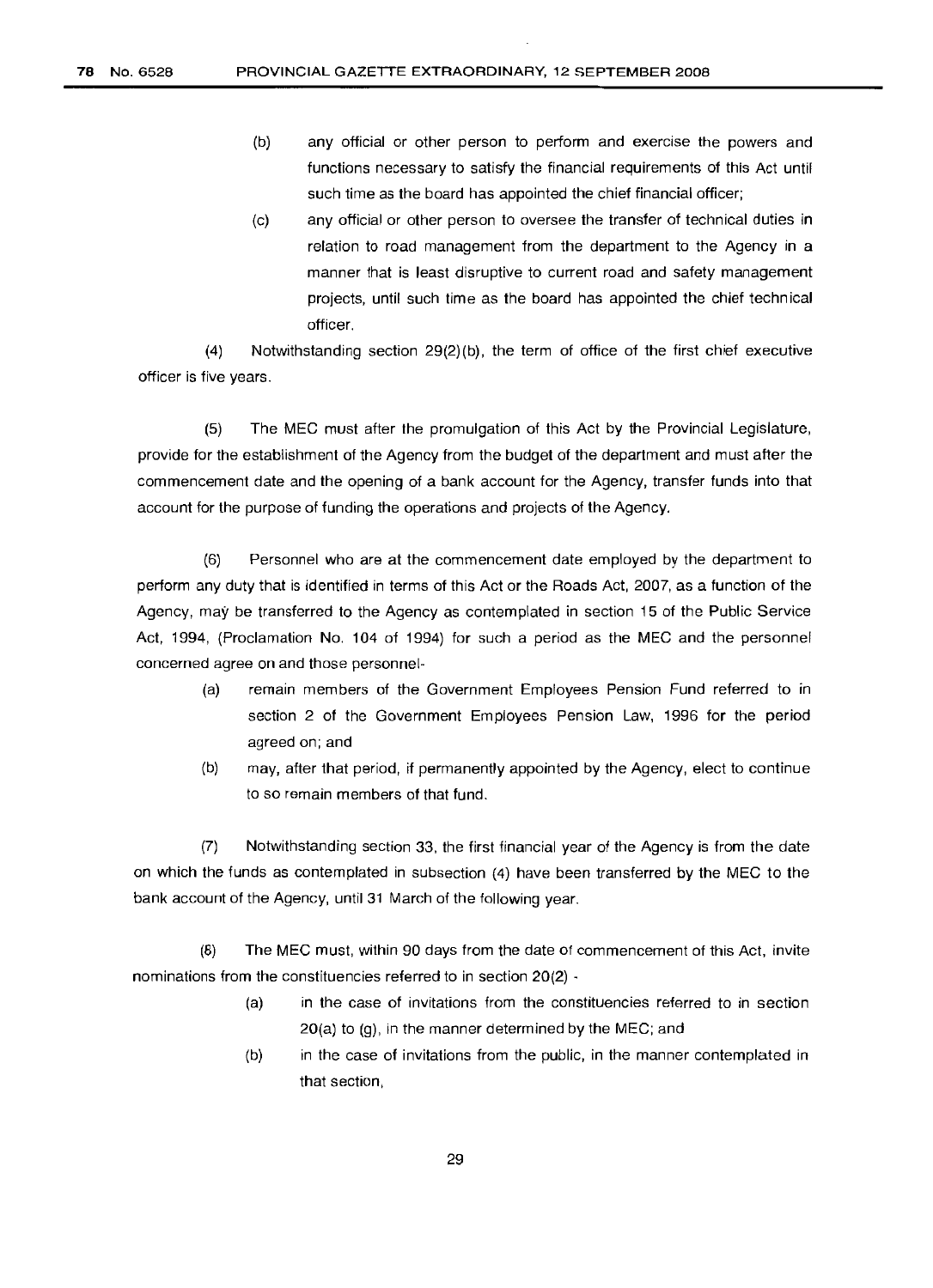- (b) any official or other person to perform and exercise the powers and functions necessary to satisfy the financial requirements of this Act until such time as the board has appointed the chief financial officer;
- (c) any official or other person to oversee the transfer of technical duties in relation to road management from the department to the Agency in a manner that is least disruptive to current road and safety management projects, until such time as the board has appointed the chief technical officer.

(4) Notwithstanding section 29(2)(b), the term of office of the first chief executive officer is five years.

(5) The MEG must after the promulgation of this Act by the Provincial Legislature, provide for the establishment of the Agency from the budget of the department and must after the commencement date and the opening of a bank account for the Agency, transfer funds into that account for the purpose of funding the operations and projects of the Agency.

(6) Personnel who are at the commencement date employed by the department to perform any duty that is identified in terms of this Act or the Roads Act, 2007, as a function of the Agency, may be transferred to the Agency as contemplated in section 15 of the Public Service Act, 1994, (Proclamation No. 104 of 1994) for such a period as the MEG and the personnel concerned agree on and those personnel-

- (a) remain members of the Government Employees Pension Fund referred to in section 2 of the Government Employees Pension Law, 1996 for the period agreed on; and
- (b) may, after that period, if permanently appointed by the Agency, elect to continue to so remain members of that fund.

(7) Notwithstanding section 33, the first financial year of the Agency is from the date on which the funds as contemplated in subsection (4) have been transferred by the MEG to the bank account of the Agency, until 31 March of the following year.

(8) The MEG must, within 90 days from the date of commencement of this Act, invite nominations from the constituencies referred to in section 20(2) -

- (a) in the case of invitations from the constituencies referred to in section 20(a) to (g), in the manner determined by the MEG; and
- (b) in the case of invitations from the public, in the manner contemplated in that section,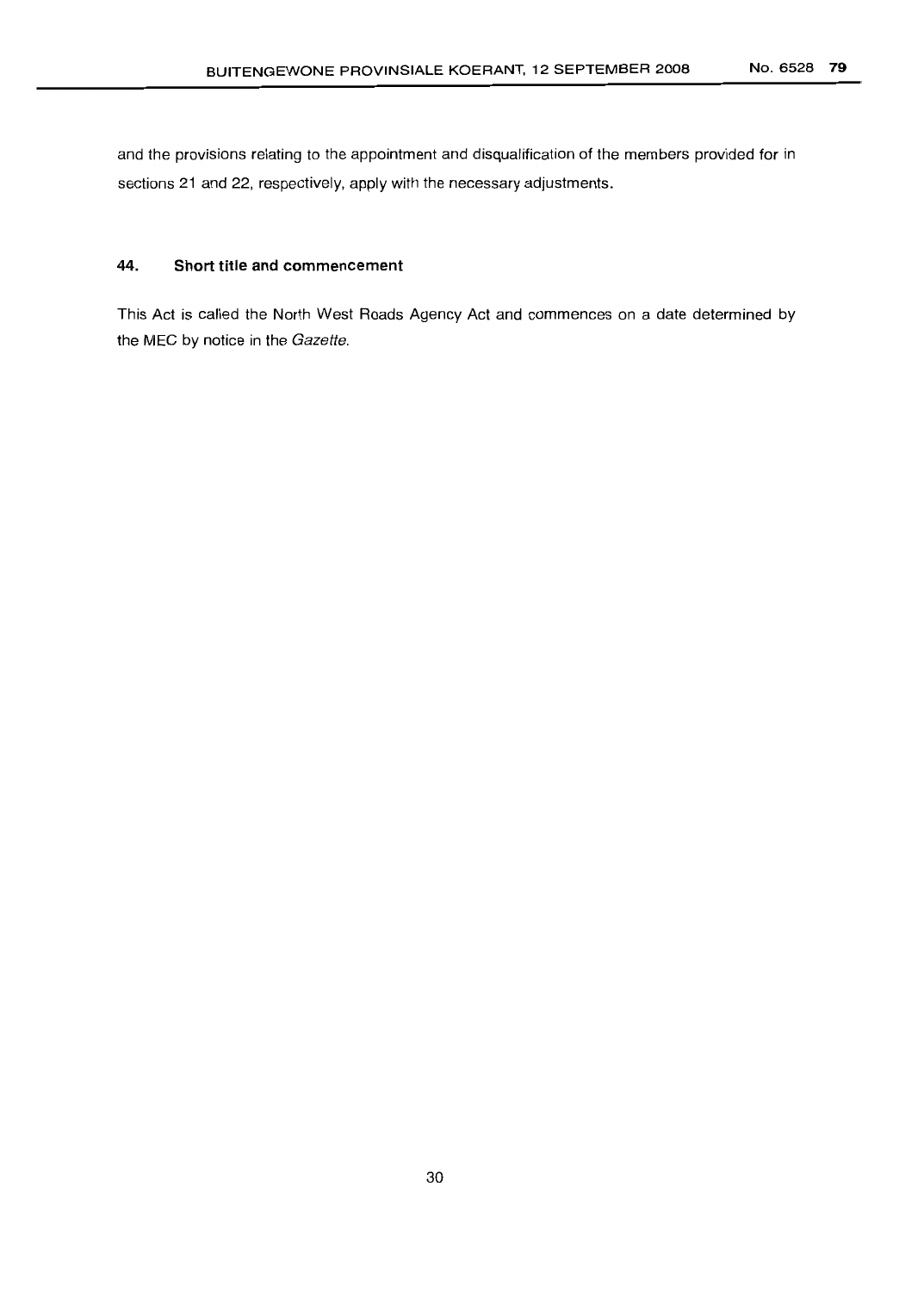and the provisions relating to the appointment and disqualification of the members provided for in sections 21 and 22, respectively, apply with the necessary adjustments.

# 44. **Short title and commencement**

This Act is called the North West Roads Agency Act and commences on a date determined by the MEC by notice in the Gazette.